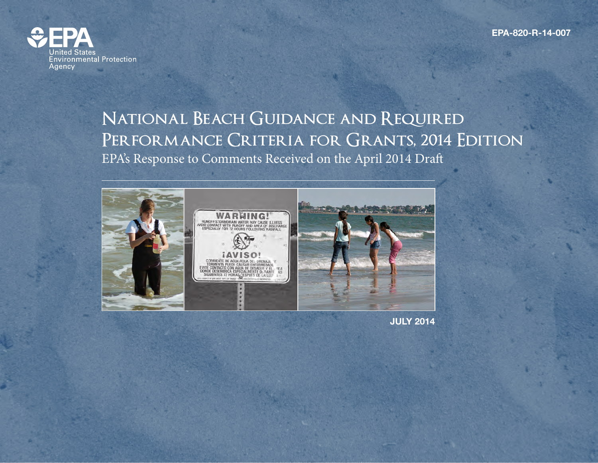**EPA-820-R-14-007**



## **National Beach Guidance and Required Performance Criteria for Grants, 2014 Edition** EPA's Response to Comments Received on the April 2014 Draft



**JULY 2014**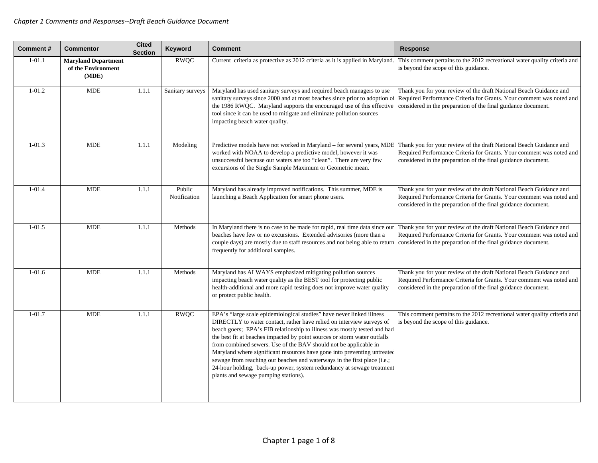| <b>Comment#</b> | <b>Commentor</b>                                          | <b>Cited</b><br><b>Section</b> | <b>Keyword</b>         | <b>Comment</b>                                                                                                                                                                                                                                                                                                                                                                                                                                                                                                                                                                                                                                       | <b>Response</b>                                                                                                                                                                                             |
|-----------------|-----------------------------------------------------------|--------------------------------|------------------------|------------------------------------------------------------------------------------------------------------------------------------------------------------------------------------------------------------------------------------------------------------------------------------------------------------------------------------------------------------------------------------------------------------------------------------------------------------------------------------------------------------------------------------------------------------------------------------------------------------------------------------------------------|-------------------------------------------------------------------------------------------------------------------------------------------------------------------------------------------------------------|
| $1-01.1$        | <b>Maryland Department</b><br>of the Environment<br>(MDE) |                                | <b>RWQC</b>            | Current criteria as protective as 2012 criteria as it is applied in Maryland.                                                                                                                                                                                                                                                                                                                                                                                                                                                                                                                                                                        | This comment pertains to the 2012 recreational water quality criteria and<br>is beyond the scope of this guidance.                                                                                          |
| $1 - 01.2$      | <b>MDE</b>                                                | 1.1.1                          | Sanitary surveys       | Maryland has used sanitary surveys and required beach managers to use<br>sanitary surveys since 2000 and at most beaches since prior to adoption o<br>the 1986 RWQC. Maryland supports the encouraged use of this effective<br>tool since it can be used to mitigate and eliminate pollution sources<br>impacting beach water quality.                                                                                                                                                                                                                                                                                                               | Thank you for your review of the draft National Beach Guidance and<br>Required Performance Criteria for Grants. Your comment was noted and<br>considered in the preparation of the final guidance document. |
| $1-01.3$        | <b>MDE</b>                                                | 1.1.1                          | Modeling               | Predictive models have not worked in Maryland - for several years, MDE<br>worked with NOAA to develop a predictive model, however it was<br>unsuccessful because our waters are too "clean". There are very few<br>excursions of the Single Sample Maximum or Geometric mean.                                                                                                                                                                                                                                                                                                                                                                        | Thank you for your review of the draft National Beach Guidance and<br>Required Performance Criteria for Grants. Your comment was noted and<br>considered in the preparation of the final guidance document. |
| $1 - 01.4$      | <b>MDE</b>                                                | 1.1.1                          | Public<br>Notification | Maryland has already improved notifications. This summer, MDE is<br>launching a Beach Application for smart phone users.                                                                                                                                                                                                                                                                                                                                                                                                                                                                                                                             | Thank you for your review of the draft National Beach Guidance and<br>Required Performance Criteria for Grants. Your comment was noted and<br>considered in the preparation of the final guidance document. |
| $1 - 01.5$      | <b>MDE</b>                                                | 1.1.1                          | Methods                | In Maryland there is no case to be made for rapid, real time data since our<br>beaches have few or no excursions. Extended advisories (more than a<br>couple days) are mostly due to staff resources and not being able to return<br>frequently for additional samples.                                                                                                                                                                                                                                                                                                                                                                              | Thank you for your review of the draft National Beach Guidance and<br>Required Performance Criteria for Grants. Your comment was noted and<br>considered in the preparation of the final guidance document. |
| $1-01.6$        | <b>MDE</b>                                                | 1.1.1                          | Methods                | Maryland has ALWAYS emphasized mitigating pollution sources<br>impacting beach water quality as the BEST tool for protecting public<br>health-additional and more rapid testing does not improve water quality<br>or protect public health.                                                                                                                                                                                                                                                                                                                                                                                                          | Thank you for your review of the draft National Beach Guidance and<br>Required Performance Criteria for Grants. Your comment was noted and<br>considered in the preparation of the final guidance document. |
| $1 - 01.7$      | <b>MDE</b>                                                | 1.1.1                          | <b>RWQC</b>            | EPA's "large scale epidemiological studies" have never linked illness<br>DIRECTLY to water contact, rather have relied on interview surveys of<br>beach goers; EPA's FIB relationship to illness was mostly tested and had<br>the best fit at beaches impacted by point sources or storm water outfalls<br>from combined sewers. Use of the BAV should not be applicable in<br>Maryland where significant resources have gone into preventing untreated<br>sewage from reaching our beaches and waterways in the first place (i.e.;<br>24-hour holding, back-up power, system redundancy at sewage treatment<br>plants and sewage pumping stations). | This comment pertains to the 2012 recreational water quality criteria and<br>is beyond the scope of this guidance.                                                                                          |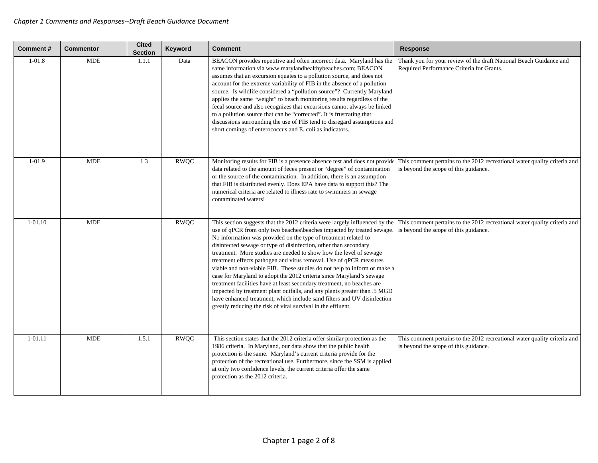| Comment#    | <b>Commentor</b> | <b>Cited</b><br><b>Section</b> | Keyword     | <b>Comment</b>                                                                                                                                                                                                                                                                                                                                                                                                                                                                                                                                                                                                                                                                                                                                                                                                                                                                               | <b>Response</b>                                                                                                    |
|-------------|------------------|--------------------------------|-------------|----------------------------------------------------------------------------------------------------------------------------------------------------------------------------------------------------------------------------------------------------------------------------------------------------------------------------------------------------------------------------------------------------------------------------------------------------------------------------------------------------------------------------------------------------------------------------------------------------------------------------------------------------------------------------------------------------------------------------------------------------------------------------------------------------------------------------------------------------------------------------------------------|--------------------------------------------------------------------------------------------------------------------|
| $1 - 01.8$  | <b>MDE</b>       | 1.1.1                          | Data        | BEACON provides repetitive and often incorrect data. Maryland has the<br>same information via www.marylandhealthybeaches.com; BEACON<br>assumes that an excursion equates to a pollution source, and does not<br>account for the extreme variability of FIB in the absence of a pollution<br>source. Is wildlife considered a "pollution source"? Currently Maryland<br>applies the same "weight" to beach monitoring results regardless of the<br>fecal source and also recognizes that excursions cannot always be linked<br>to a pollution source that can be "corrected". It is frustrating that<br>discussions surrounding the use of FIB tend to disregard assumptions and<br>short comings of enterococcus and E. coli as indicators.                                                                                                                                                 | Thank you for your review of the draft National Beach Guidance and<br>Required Performance Criteria for Grants.    |
| $1-01.9$    | <b>MDE</b>       | 1.3                            | <b>RWQC</b> | Monitoring results for FIB is a presence absence test and does not provide<br>data related to the amount of feces present or "degree" of contamination<br>or the source of the contamination. In addition, there is an assumption<br>that FIB is distributed evenly. Does EPA have data to support this? The<br>numerical criteria are related to illness rate to swimmers in sewage<br>contaminated waters!                                                                                                                                                                                                                                                                                                                                                                                                                                                                                 | This comment pertains to the 2012 recreational water quality criteria and<br>is beyond the scope of this guidance. |
| $1 - 01.10$ | <b>MDE</b>       |                                | <b>RWQC</b> | This section suggests that the 2012 criteria were largely influenced by the<br>use of qPCR from only two beaches\beaches impacted by treated sewage.<br>No information was provided on the type of treatment related to<br>disinfected sewage or type of disinfection, other than secondary<br>treatment. More studies are needed to show how the level of sewage<br>treatment effects pathogen and virus removal. Use of qPCR measures<br>viable and non-viable FIB. These studies do not help to inform or make a<br>case for Maryland to adopt the 2012 criteria since Maryland's sewage<br>treatment facilities have at least secondary treatment, no beaches are<br>impacted by treatment plant outfalls, and any plants greater than .5 MGD<br>have enhanced treatment, which include sand filters and UV disinfection<br>greatly reducing the risk of viral survival in the effluent. | This comment pertains to the 2012 recreational water quality criteria and<br>is beyond the scope of this guidance. |
| 1-01.11     | <b>MDE</b>       | 1.5.1                          | <b>RWQC</b> | This section states that the 2012 criteria offer similar protection as the<br>1986 criteria. In Maryland, our data show that the public health<br>protection is the same. Maryland's current criteria provide for the<br>protection of the recreational use. Furthermore, since the SSM is applied<br>at only two confidence levels, the current criteria offer the same<br>protection as the 2012 criteria.                                                                                                                                                                                                                                                                                                                                                                                                                                                                                 | This comment pertains to the 2012 recreational water quality criteria and<br>is beyond the scope of this guidance. |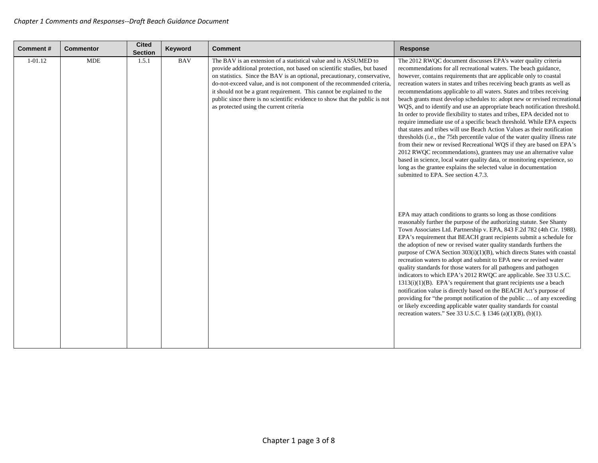| <b>Comment#</b> | <b>Commentor</b> | <b>Cited</b><br><b>Section</b> | Keyword    | <b>Comment</b>                                                                                                                                                                                                                                                                                                                                                                                                                                                                                          | <b>Response</b>                                                                                                                                                                                                                                                                                                                                                                                                                                                                                                                                                                                                                                                                                                                                                                                                                                                                                                                                                                                                                                                                                                                                                                  |
|-----------------|------------------|--------------------------------|------------|---------------------------------------------------------------------------------------------------------------------------------------------------------------------------------------------------------------------------------------------------------------------------------------------------------------------------------------------------------------------------------------------------------------------------------------------------------------------------------------------------------|----------------------------------------------------------------------------------------------------------------------------------------------------------------------------------------------------------------------------------------------------------------------------------------------------------------------------------------------------------------------------------------------------------------------------------------------------------------------------------------------------------------------------------------------------------------------------------------------------------------------------------------------------------------------------------------------------------------------------------------------------------------------------------------------------------------------------------------------------------------------------------------------------------------------------------------------------------------------------------------------------------------------------------------------------------------------------------------------------------------------------------------------------------------------------------|
| $1 - 01.12$     | <b>MDE</b>       | 1.5.1                          | <b>BAV</b> | The BAV is an extension of a statistical value and is ASSUMED to<br>provide additional protection, not based on scientific studies, but based<br>on statistics. Since the BAV is an optional, precautionary, conservative,<br>do-not-exceed value, and is not component of the recommended criteria,<br>it should not be a grant requirement. This cannot be explained to the<br>public since there is no scientific evidence to show that the public is not<br>as protected using the current criteria | The 2012 RWQC document discusses EPA's water quality criteria<br>recommendations for all recreational waters. The beach guidance,<br>however, contains requirements that are applicable only to coastal<br>recreation waters in states and tribes receiving beach grants as well as<br>recommendations applicable to all waters. States and tribes receiving<br>beach grants must develop schedules to: adopt new or revised recreational<br>WQS, and to identify and use an appropriate beach notification threshold.<br>In order to provide flexibility to states and tribes, EPA decided not to<br>require immediate use of a specific beach threshold. While EPA expects<br>that states and tribes will use Beach Action Values as their notification<br>thresholds (i.e., the 75th percentile value of the water quality illness rate<br>from their new or revised Recreational WQS if they are based on EPA's<br>2012 RWQC recommendations), grantees may use an alternative value<br>based in science, local water quality data, or monitoring experience, so<br>long as the grantee explains the selected value in documentation<br>submitted to EPA. See section 4.7.3. |
|                 |                  |                                |            |                                                                                                                                                                                                                                                                                                                                                                                                                                                                                                         | EPA may attach conditions to grants so long as those conditions<br>reasonably further the purpose of the authorizing statute. See Shanty<br>Town Associates Ltd. Partnership v. EPA, 843 F.2d 782 (4th Cir. 1988).<br>EPA's requirement that BEACH grant recipients submit a schedule for<br>the adoption of new or revised water quality standards furthers the<br>purpose of CWA Section 303(i)(1)(B), which directs States with coastal<br>recreation waters to adopt and submit to EPA new or revised water<br>quality standards for those waters for all pathogens and pathogen<br>indicators to which EPA's 2012 RWQC are applicable. See 33 U.S.C.<br>$1313(i)(1)(B)$ . EPA's requirement that grant recipients use a beach<br>notification value is directly based on the BEACH Act's purpose of<br>providing for "the prompt notification of the public  of any exceeding<br>or likely exceeding applicable water quality standards for coastal<br>recreation waters." See 33 U.S.C. § 1346 (a)(1)(B), (b)(1).                                                                                                                                                          |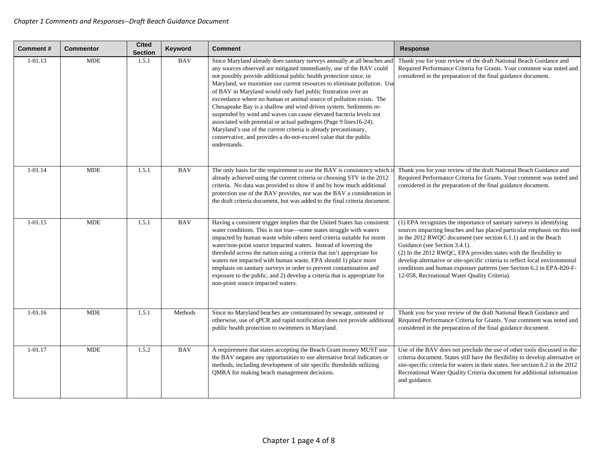| Comment#    | <b>Commentor</b> | <b>Cited</b><br><b>Section</b> | Keyword    | <b>Comment</b>                                                                                                                                                                                                                                                                                                                                                                                                                                                                                                                                                                                                                                                                                                                                                                                                      | <b>Response</b>                                                                                                                                                                                                                                                                                                                                                                                                                                                                                                                     |
|-------------|------------------|--------------------------------|------------|---------------------------------------------------------------------------------------------------------------------------------------------------------------------------------------------------------------------------------------------------------------------------------------------------------------------------------------------------------------------------------------------------------------------------------------------------------------------------------------------------------------------------------------------------------------------------------------------------------------------------------------------------------------------------------------------------------------------------------------------------------------------------------------------------------------------|-------------------------------------------------------------------------------------------------------------------------------------------------------------------------------------------------------------------------------------------------------------------------------------------------------------------------------------------------------------------------------------------------------------------------------------------------------------------------------------------------------------------------------------|
| $1 - 01.13$ | <b>MDE</b>       | 1.5.1                          | <b>BAV</b> | Since Maryland already does sanitary surveys annually at all beaches and<br>any sources observed are mitigated immediately, use of the BAV could<br>not possibly provide additional public health protection since, in<br>Maryland, we maximize our current resources to eliminate pollution. Use<br>of BAV in Maryland would only fuel public frustration over an<br>exceedance where no human or animal source of pollution exists. The<br>Chesapeake Bay is a shallow and wind driven system. Sediments re-<br>suspended by wind and waves can cause elevated bacteria levels not<br>associated with potential or actual pathogens (Page 9 lines 16-24).<br>Maryland's use of the current criteria is already precautionary,<br>conservative, and provides a do-not-exceed value that the public<br>understands. | Thank you for your review of the draft National Beach Guidance and<br>Required Performance Criteria for Grants. Your comment was noted and<br>considered in the preparation of the final guidance document.                                                                                                                                                                                                                                                                                                                         |
| $1 - 01.14$ | <b>MDE</b>       | 1.5.1                          | <b>BAV</b> | The only basis for the requirement to use the BAV is consistency which is<br>already achieved using the current criteria or choosing STV in the 2012<br>criteria. No data was provided to show if and by how much additional<br>protection use of the BAV provides, nor was the BAV a consideration in<br>the draft criteria document, but was added to the final criteria document.                                                                                                                                                                                                                                                                                                                                                                                                                                | Thank you for your review of the draft National Beach Guidance and<br>Required Performance Criteria for Grants. Your comment was noted and<br>considered in the preparation of the final guidance document.                                                                                                                                                                                                                                                                                                                         |
| $1 - 01.15$ | <b>MDE</b>       | 1.5.1                          | <b>BAV</b> | Having a consistent trigger implies that the United States has consistent<br>water conditions. This is not true—some states struggle with waters<br>impacted by human waste while others need criteria suitable for storm<br>water/non-point source impacted waters. Instead of lowering the<br>threshold across the nation using a criteria that isn't appropriate for<br>waters not impacted with human waste, EPA should 1) place more<br>emphasis on sanitary surveys in order to prevent contamination and<br>exposure to the public, and 2) develop a criteria that is appropriate for<br>non-point source impacted waters.                                                                                                                                                                                   | (1) EPA recognizes the importance of sanitary surveys in identifying<br>sources impacting beaches and has placed particular emphasis on this tool<br>in the 2012 RWQC document (see section 6.1.1) and in the Beach<br>Guidance (see Section 3.4.1).<br>(2) In the 2012 RWQC, EPA provides states with the flexibility to<br>develop alternative or site-specific criteria to reflect local environmental<br>conditions and human exposure patterns (see Section 6.2 in EPA-820-F-<br>12-058, Recreational Water Quality Criteria). |
| $1 - 01.16$ | <b>MDE</b>       | 1.5.1                          | Methods    | Since no Maryland beaches are contaminated by sewage, untreated or<br>otherwise, use of qPCR and rapid notification does not provide additional<br>public health protection to swimmers in Maryland.                                                                                                                                                                                                                                                                                                                                                                                                                                                                                                                                                                                                                | Thank you for your review of the draft National Beach Guidance and<br>Required Performance Criteria for Grants. Your comment was noted and<br>considered in the preparation of the final guidance document.                                                                                                                                                                                                                                                                                                                         |
| 1-01.17     | <b>MDE</b>       | 1.5.2                          | <b>BAV</b> | A requirement that states accepting the Beach Grant money MUST use<br>the BAV negates any opportunities to use alternative fecal indicators or<br>methods, including development of site specific thresholds utilizing<br>QMRA for making beach management decisions.                                                                                                                                                                                                                                                                                                                                                                                                                                                                                                                                               | Use of the BAV does not preclude the use of other tools discussed in the<br>criteria document. States still have the flexibility to develop alternative or<br>site-specific criteria for waters in their states. See section 6.2 in the 2012<br>Recreational Water Quality Criteria document for additional information<br>and guidance.                                                                                                                                                                                            |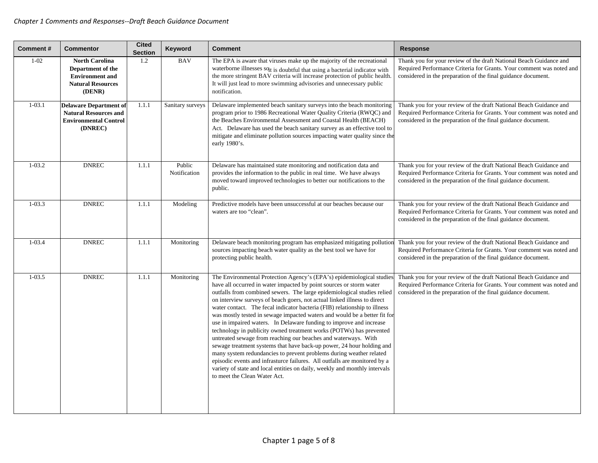| Comment#   | <b>Commentor</b>                                                                                           | <b>Cited</b><br><b>Section</b> | Keyword                | <b>Comment</b>                                                                                                                                                                                                                                                                                                                                                                                                                                                                                                                                                                                                                                                                                                                                                                                                                                                                                                                                                                                                           | <b>Response</b>                                                                                                                                                                                             |
|------------|------------------------------------------------------------------------------------------------------------|--------------------------------|------------------------|--------------------------------------------------------------------------------------------------------------------------------------------------------------------------------------------------------------------------------------------------------------------------------------------------------------------------------------------------------------------------------------------------------------------------------------------------------------------------------------------------------------------------------------------------------------------------------------------------------------------------------------------------------------------------------------------------------------------------------------------------------------------------------------------------------------------------------------------------------------------------------------------------------------------------------------------------------------------------------------------------------------------------|-------------------------------------------------------------------------------------------------------------------------------------------------------------------------------------------------------------|
| $1 - 02$   | <b>North Carolina</b><br>Department of the<br><b>Environment</b> and<br><b>Natural Resources</b><br>(DENR) | 1.2                            | <b>BAV</b>             | The EPA is aware that viruses make up the majority of the recreational<br>waterborne illnesses sqt is doubtful that using a bacterial indicator with<br>the more stringent BAV criteria will increase protection of public health.<br>It will just lead to more swimming advisories and unnecessary public<br>notification.                                                                                                                                                                                                                                                                                                                                                                                                                                                                                                                                                                                                                                                                                              | Thank you for your review of the draft National Beach Guidance and<br>Required Performance Criteria for Grants. Your comment was noted and<br>considered in the preparation of the final guidance document. |
| $1 - 03.1$ | <b>Delaware Department of</b><br><b>Natural Resources and</b><br><b>Environmental Control</b><br>(DNREC)   | 1.1.1                          | Sanitary surveys       | Delaware implemented beach sanitary surveys into the beach monitoring<br>program prior to 1986 Recreational Water Quality Criteria (RWQC) and<br>the Beaches Environmental Assessment and Coastal Health (BEACH)<br>Act. Delaware has used the beach sanitary survey as an effective tool to<br>mitigate and eliminate pollution sources impacting water quality since the<br>early 1980's.                                                                                                                                                                                                                                                                                                                                                                                                                                                                                                                                                                                                                              | Thank you for your review of the draft National Beach Guidance and<br>Required Performance Criteria for Grants. Your comment was noted and<br>considered in the preparation of the final guidance document. |
| $1-03.2$   | <b>DNREC</b>                                                                                               | 1.1.1                          | Public<br>Notification | Delaware has maintained state monitoring and notification data and<br>provides the information to the public in real time. We have always<br>moved toward improved technologies to better our notifications to the<br>public.                                                                                                                                                                                                                                                                                                                                                                                                                                                                                                                                                                                                                                                                                                                                                                                            | Thank you for your review of the draft National Beach Guidance and<br>Required Performance Criteria for Grants. Your comment was noted and<br>considered in the preparation of the final guidance document. |
| $1 - 03.3$ | <b>DNREC</b>                                                                                               | 1.1.1                          | Modeling               | Predictive models have been unsuccessful at our beaches because our<br>waters are too "clean".                                                                                                                                                                                                                                                                                                                                                                                                                                                                                                                                                                                                                                                                                                                                                                                                                                                                                                                           | Thank you for your review of the draft National Beach Guidance and<br>Required Performance Criteria for Grants. Your comment was noted and<br>considered in the preparation of the final guidance document. |
| $1 - 03.4$ | <b>DNREC</b>                                                                                               | 1.1.1                          | Monitoring             | Delaware beach monitoring program has emphasized mitigating pollution<br>sources impacting beach water quality as the best tool we have for<br>protecting public health.                                                                                                                                                                                                                                                                                                                                                                                                                                                                                                                                                                                                                                                                                                                                                                                                                                                 | Thank you for your review of the draft National Beach Guidance and<br>Required Performance Criteria for Grants. Your comment was noted and<br>considered in the preparation of the final guidance document. |
| $1 - 03.5$ | <b>DNREC</b>                                                                                               | 1.1.1                          | Monitoring             | The Environmental Protection Agency's (EPA's) epidemiological studies<br>have all occurred in water impacted by point sources or storm water<br>outfalls from combined sewers. The large epidemiological studies relied<br>on interview surveys of beach goers, not actual linked illness to direct<br>water contact. The fecal indicator bacteria (FIB) relationship to illness<br>was mostly tested in sewage impacted waters and would be a better fit for<br>use in impaired waters. In Delaware funding to improve and increase<br>technology in publicity owned treatment works (POTWs) has prevented<br>untreated sewage from reaching our beaches and waterways. With<br>sewage treatment systems that have back-up power, 24 hour holding and<br>many system redundancies to prevent problems during weather related<br>episodic events and infrasturce failures. All outfalls are monitored by a<br>variety of state and local entities on daily, weekly and monthly intervals<br>to meet the Clean Water Act. | Thank you for your review of the draft National Beach Guidance and<br>Required Performance Criteria for Grants. Your comment was noted and<br>considered in the preparation of the final guidance document. |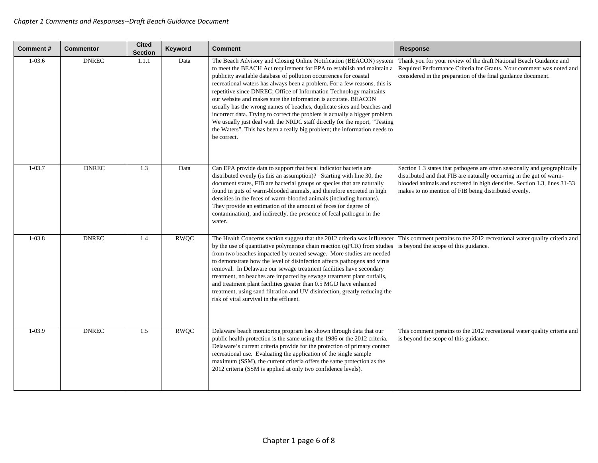| Comment#   | <b>Commentor</b> | <b>Cited</b><br><b>Section</b> | Keyword     | <b>Comment</b>                                                                                                                                                                                                                                                                                                                                                                                                                                                                                                                                                                                                                                                                                                                                                            | <b>Response</b>                                                                                                                                                                                                                                                                       |
|------------|------------------|--------------------------------|-------------|---------------------------------------------------------------------------------------------------------------------------------------------------------------------------------------------------------------------------------------------------------------------------------------------------------------------------------------------------------------------------------------------------------------------------------------------------------------------------------------------------------------------------------------------------------------------------------------------------------------------------------------------------------------------------------------------------------------------------------------------------------------------------|---------------------------------------------------------------------------------------------------------------------------------------------------------------------------------------------------------------------------------------------------------------------------------------|
| $1 - 03.6$ | <b>DNREC</b>     | 1.1.1                          | Data        | The Beach Advisory and Closing Online Notification (BEACON) system<br>to meet the BEACH Act requirement for EPA to establish and maintain a<br>publicity available database of pollution occurrences for coastal<br>recreational waters has always been a problem. For a few reasons, this is<br>repetitive since DNREC; Office of Information Technology maintains<br>our website and makes sure the information is accurate. BEACON<br>usually has the wrong names of beaches, duplicate sites and beaches and<br>incorrect data. Trying to correct the problem is actually a bigger problem.<br>We usually just deal with the NRDC staff directly for the report, "Testing<br>the Waters". This has been a really big problem; the information needs to<br>be correct. | Thank you for your review of the draft National Beach Guidance and<br>Required Performance Criteria for Grants. Your comment was noted and<br>considered in the preparation of the final guidance document.                                                                           |
| $1 - 03.7$ | <b>DNREC</b>     | 1.3                            | Data        | Can EPA provide data to support that fecal indicator bacteria are<br>distributed evenly (is this an assumption)? Starting with line 30, the<br>document states, FIB are bacterial groups or species that are naturally<br>found in guts of warm-blooded animals, and therefore excreted in high<br>densities in the feces of warm-blooded animals (including humans).<br>They provide an estimation of the amount of feces (or degree of<br>contamination), and indirectly, the presence of fecal pathogen in the<br>water.                                                                                                                                                                                                                                               | Section 1.3 states that pathogens are often seasonally and geographically<br>distributed and that FIB are naturally occurring in the gut of warm-<br>blooded animals and excreted in high densities. Section 1.3, lines 31-33<br>makes to no mention of FIB being distributed evenly. |
| $1 - 03.8$ | <b>DNREC</b>     | 1.4                            | <b>RWQC</b> | The Health Concerns section suggest that the 2012 criteria was influenced<br>by the use of quantitative polymerase chain reaction (qPCR) from studies<br>from two beaches impacted by treated sewage. More studies are needed<br>to demonstrate how the level of disinfection affects pathogens and virus<br>removal. In Delaware our sewage treatment facilities have secondary<br>treatment, no beaches are impacted by sewage treatment plant outfalls,<br>and treatment plant facilities greater than 0.5 MGD have enhanced<br>treatment, using sand filtration and UV disinfection, greatly reducing the<br>risk of viral survival in the effluent.                                                                                                                  | This comment pertains to the 2012 recreational water quality criteria and<br>is beyond the scope of this guidance.                                                                                                                                                                    |
| $1-03.9$   | <b>DNREC</b>     | 1.5                            | <b>RWQC</b> | Delaware beach monitoring program has shown through data that our<br>public health protection is the same using the 1986 or the 2012 criteria.<br>Delaware's current criteria provide for the protection of primary contact<br>recreational use. Evaluating the application of the single sample<br>maximum (SSM), the current criteria offers the same protection as the<br>2012 criteria (SSM is applied at only two confidence levels).                                                                                                                                                                                                                                                                                                                                | This comment pertains to the 2012 recreational water quality criteria and<br>is beyond the scope of this guidance.                                                                                                                                                                    |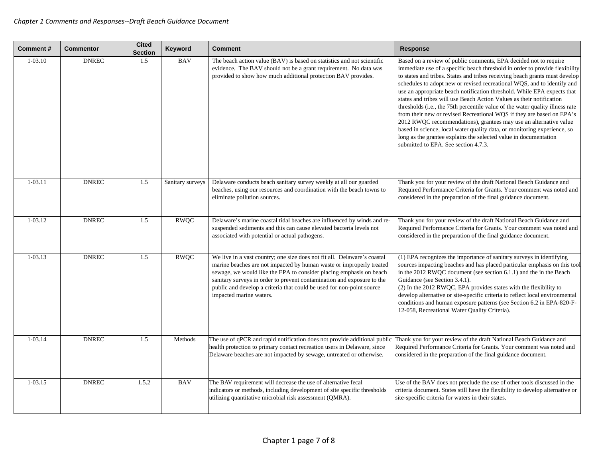| <b>Comment#</b> | <b>Commentor</b> | <b>Cited</b><br><b>Section</b> | Keyword          | <b>Comment</b>                                                                                                                                                                                                                                                                                                                                                                                        | <b>Response</b>                                                                                                                                                                                                                                                                                                                                                                                                                                                                                                                                                                                                                                                                                                                                                                                                                                                                     |
|-----------------|------------------|--------------------------------|------------------|-------------------------------------------------------------------------------------------------------------------------------------------------------------------------------------------------------------------------------------------------------------------------------------------------------------------------------------------------------------------------------------------------------|-------------------------------------------------------------------------------------------------------------------------------------------------------------------------------------------------------------------------------------------------------------------------------------------------------------------------------------------------------------------------------------------------------------------------------------------------------------------------------------------------------------------------------------------------------------------------------------------------------------------------------------------------------------------------------------------------------------------------------------------------------------------------------------------------------------------------------------------------------------------------------------|
| $1 - 03.10$     | <b>DNREC</b>     | 1.5                            | <b>BAV</b>       | The beach action value (BAV) is based on statistics and not scientific<br>evidence. The BAV should not be a grant requirement. No data was<br>provided to show how much additional protection BAV provides.                                                                                                                                                                                           | Based on a review of public comments, EPA decided not to require<br>immediate use of a specific beach threshold in order to provide flexibility<br>to states and tribes. States and tribes receiving beach grants must develop<br>schedules to adopt new or revised recreational WQS, and to identify and<br>use an appropriate beach notification threshold. While EPA expects that<br>states and tribes will use Beach Action Values as their notification<br>thresholds (i.e., the 75th percentile value of the water quality illness rate<br>from their new or revised Recreational WQS if they are based on EPA's<br>2012 RWQC recommendations), grantees may use an alternative value<br>based in science, local water quality data, or monitoring experience, so<br>long as the grantee explains the selected value in documentation<br>submitted to EPA. See section 4.7.3. |
| $1 - 03.11$     | <b>DNREC</b>     | 1.5                            | Sanitary surveys | Delaware conducts beach sanitary survey weekly at all our guarded<br>beaches, using our resources and coordination with the beach towns to<br>eliminate pollution sources.                                                                                                                                                                                                                            | Thank you for your review of the draft National Beach Guidance and<br>Required Performance Criteria for Grants. Your comment was noted and<br>considered in the preparation of the final guidance document.                                                                                                                                                                                                                                                                                                                                                                                                                                                                                                                                                                                                                                                                         |
| $1-03.12$       | <b>DNREC</b>     | 1.5                            | <b>RWQC</b>      | Delaware's marine coastal tidal beaches are influenced by winds and re-<br>suspended sediments and this can cause elevated bacteria levels not<br>associated with potential or actual pathogens.                                                                                                                                                                                                      | Thank you for your review of the draft National Beach Guidance and<br>Required Performance Criteria for Grants. Your comment was noted and<br>considered in the preparation of the final guidance document.                                                                                                                                                                                                                                                                                                                                                                                                                                                                                                                                                                                                                                                                         |
| $1 - 03.13$     | <b>DNREC</b>     | 1.5                            | <b>RWQC</b>      | We live in a vast country; one size does not fit all. Delaware's coastal<br>marine beaches are not impacted by human waste or improperly treated<br>sewage, we would like the EPA to consider placing emphasis on beach<br>sanitary surveys in order to prevent contamination and exposure to the<br>public and develop a criteria that could be used for non-point source<br>impacted marine waters. | (1) EPA recognizes the importance of sanitary surveys in identifying<br>sources impacting beaches and has placed particular emphasis on this tool<br>in the 2012 RWQC document (see section 6.1.1) and the in the Beach<br>Guidance (see Section 3.4.1).<br>(2) In the 2012 RWQC, EPA provides states with the flexibility to<br>develop alternative or site-specific criteria to reflect local environmental<br>conditions and human exposure patterns (see Section 6.2 in EPA-820-F-<br>12-058, Recreational Water Quality Criteria).                                                                                                                                                                                                                                                                                                                                             |
| $1 - 03.14$     | <b>DNREC</b>     | 1.5                            | Methods          | The use of qPCR and rapid notification does not provide additional public<br>health protection to primary contact recreation users in Delaware, since<br>Delaware beaches are not impacted by sewage, untreated or otherwise.                                                                                                                                                                         | Thank you for your review of the draft National Beach Guidance and<br>Required Performance Criteria for Grants. Your comment was noted and<br>considered in the preparation of the final guidance document.                                                                                                                                                                                                                                                                                                                                                                                                                                                                                                                                                                                                                                                                         |
| $1 - 03.15$     | <b>DNREC</b>     | 1.5.2                          | <b>BAV</b>       | The BAV requirement will decrease the use of alternative fecal<br>indicators or methods, including development of site specific thresholds<br>utilizing quantitative microbial risk assessment (QMRA).                                                                                                                                                                                                | Use of the BAV does not preclude the use of other tools discussed in the<br>criteria document. States still have the flexibility to develop alternative or<br>site-specific criteria for waters in their states.                                                                                                                                                                                                                                                                                                                                                                                                                                                                                                                                                                                                                                                                    |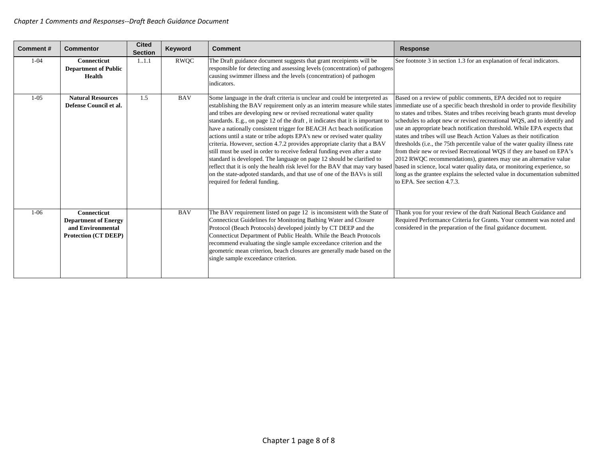| Comment# | <b>Commentor</b>                                                                                      | <b>Cited</b><br><b>Section</b> | Keyword    | <b>Comment</b>                                                                                                                                                                                                                                                                                                                                                                                                                                                                                                                                                                                                                                                                                                                                                                                                                                                                                       | Response                                                                                                                                                                                                                                                                                                                                                                                                                                                                                                                                                                                                                                                                                                                                                                                                                                                                            |
|----------|-------------------------------------------------------------------------------------------------------|--------------------------------|------------|------------------------------------------------------------------------------------------------------------------------------------------------------------------------------------------------------------------------------------------------------------------------------------------------------------------------------------------------------------------------------------------------------------------------------------------------------------------------------------------------------------------------------------------------------------------------------------------------------------------------------------------------------------------------------------------------------------------------------------------------------------------------------------------------------------------------------------------------------------------------------------------------------|-------------------------------------------------------------------------------------------------------------------------------------------------------------------------------------------------------------------------------------------------------------------------------------------------------------------------------------------------------------------------------------------------------------------------------------------------------------------------------------------------------------------------------------------------------------------------------------------------------------------------------------------------------------------------------------------------------------------------------------------------------------------------------------------------------------------------------------------------------------------------------------|
| $1 - 04$ | <b>Connecticut</b><br><b>Department of Public</b><br><b>Health</b>                                    | 11.1                           | RWQC       | The Draft guidance document suggests that grant receipients will be<br>responsible for detecting and assessing levels (concentration) of pathogens<br>causing swimmer illness and the levels (concentration) of pathogen<br>indicators.                                                                                                                                                                                                                                                                                                                                                                                                                                                                                                                                                                                                                                                              | See footnote 3 in section 1.3 for an explanation of fecal indicators.                                                                                                                                                                                                                                                                                                                                                                                                                                                                                                                                                                                                                                                                                                                                                                                                               |
| $1-05$   | <b>Natural Resources</b><br>Defense Council et al.                                                    | 1.5                            | <b>BAV</b> | Some language in the draft criteria is unclear and could be interpreted as<br>establishing the BAV requirement only as an interim measure while states<br>and tribes are developing new or revised recreational water quality<br>standards. E.g., on page 12 of the draft, it indicates that it is important to<br>have a nationally consistent trigger for BEACH Act beach notification<br>actions until a state or tribe adopts EPA's new or revised water quality<br>criteria. However, section 4.7.2 provides appropriate clarity that a BAV<br>still must be used in order to receive federal funding even after a state<br>standard is developed. The language on page 12 should be clarified to<br>reflect that it is only the health risk level for the BAV that may vary based<br>on the state-adpoted standards, and that use of one of the BAVs is still<br>required for federal funding. | Based on a review of public comments, EPA decided not to require<br>immediate use of a specific beach threshold in order to provide flexibility<br>to states and tribes. States and tribes receiving beach grants must develop<br>schedules to adopt new or revised recreational WQS, and to identify and<br>use an appropriate beach notification threshold. While EPA expects that<br>states and tribes will use Beach Action Values as their notification<br>thresholds (i.e., the 75th percentile value of the water quality illness rate<br>from their new or revised Recreational WQS if they are based on EPA's<br>2012 RWQC recommendations), grantees may use an alternative value<br>based in science, local water quality data, or monitoring experience, so<br>long as the grantee explains the selected value in documentation submitted<br>to EPA. See section 4.7.3. |
| $1-06$   | <b>Connecticut</b><br><b>Department of Energy</b><br>and Environmental<br><b>Protection (CT DEEP)</b> |                                | <b>BAV</b> | The BAV requirement listed on page 12 is inconsistent with the State of<br>Connecticut Guidelines for Monitoring Bathing Water and Closure<br>Protocol (Beach Protocols) developed jointly by CT DEEP and the<br>Connecticut Department of Public Health. While the Beach Protocols<br>recommend evaluating the single sample exceedance criterion and the<br>geometric mean criterion, beach closures are generally made based on the<br>single sample exceedance criterion.                                                                                                                                                                                                                                                                                                                                                                                                                        | Thank you for your review of the draft National Beach Guidance and<br>Required Performance Criteria for Grants. Your comment was noted and<br>considered in the preparation of the final guidance document.                                                                                                                                                                                                                                                                                                                                                                                                                                                                                                                                                                                                                                                                         |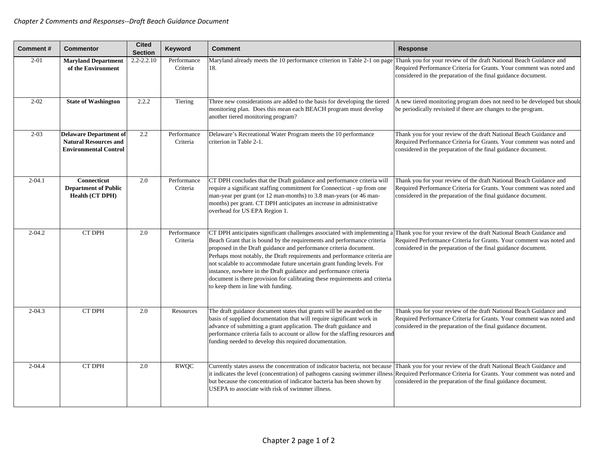| <b>Comment#</b> | <b>Commentor</b>                                                                              | <b>Cited</b><br><b>Section</b> | Keyword                 | <b>Comment</b>                                                                                                                                                                                                                                                                                                                                                                                                                                                                                                                                                          | Response                                                                                                                                                                                                    |
|-----------------|-----------------------------------------------------------------------------------------------|--------------------------------|-------------------------|-------------------------------------------------------------------------------------------------------------------------------------------------------------------------------------------------------------------------------------------------------------------------------------------------------------------------------------------------------------------------------------------------------------------------------------------------------------------------------------------------------------------------------------------------------------------------|-------------------------------------------------------------------------------------------------------------------------------------------------------------------------------------------------------------|
| $2 - 01$        | <b>Maryland Department</b><br>of the Environment                                              | $2.2 - 2.2.10$                 | Performance<br>Criteria | Maryland already meets the 10 performance criterion in Table 2-1 on page<br>18.                                                                                                                                                                                                                                                                                                                                                                                                                                                                                         | Thank you for your review of the draft National Beach Guidance and<br>Required Performance Criteria for Grants. Your comment was noted and<br>considered in the preparation of the final guidance document. |
| $2 - 02$        | <b>State of Washington</b>                                                                    | 2.2.2                          | Tiering                 | Three new considerations are added to the basis for developing the tiered<br>monitoring plan. Does this mean each BEACH program must develop<br>another tiered monitoring program?                                                                                                                                                                                                                                                                                                                                                                                      | A new tiered monitoring program does not need to be developed but should<br>be periodically revisited if there are changes to the program.                                                                  |
| $2 - 03$        | <b>Delaware Department of</b><br><b>Natural Resources and</b><br><b>Environmental Control</b> | 2.2                            | Performance<br>Criteria | Delaware's Recreational Water Program meets the 10 performance<br>criterion in Table 2-1.                                                                                                                                                                                                                                                                                                                                                                                                                                                                               | Thank you for your review of the draft National Beach Guidance and<br>Required Performance Criteria for Grants. Your comment was noted and<br>considered in the preparation of the final guidance document. |
| $2 - 04.1$      | <b>Connecticut</b><br><b>Department of Public</b><br>Health (CT DPH)                          | 2.0                            | Performance<br>Criteria | CT DPH concludes that the Draft guidance and performance criteria will<br>require a significant staffing commitment for Connecticut - up from one<br>man-year per grant (or 12 man-months) to 3.8 man-years (or 46 man-<br>months) per grant. CT DPH anticipates an increase in administrative<br>overhead for US EPA Region 1.                                                                                                                                                                                                                                         | Thank you for your review of the draft National Beach Guidance and<br>Required Performance Criteria for Grants. Your comment was noted and<br>considered in the preparation of the final guidance document. |
| $2 - 04.2$      | CT DPH                                                                                        | 2.0                            | Performance<br>Criteria | CT DPH anticipates significant challenges associated with implementing a<br>Beach Grant that is bound by the requirements and performance criteria<br>proposed in the Draft guidance and performance criteria document.<br>Perhaps most notably, the Draft requirements and performance criteria are<br>not scalable to accommodate future uncertain grant funding levels. For<br>instance, nowhere in the Draft guidance and performance criteria<br>document is there provision for calibrating these requirements and criteria<br>to keep them in line with funding. | Thank you for your review of the draft National Beach Guidance and<br>Required Performance Criteria for Grants. Your comment was noted and<br>considered in the preparation of the final guidance document. |
| $2 - 04.3$      | <b>CT DPH</b>                                                                                 | 2.0                            | Resources               | The draft guidance document states that grants will be awarded on the<br>basis of supplied documentation that will require significant work in<br>advance of submitting a grant application. The draft guidance and<br>performance criteria fails to account or allow for the sfaffing resources and<br>funding needed to develop this required documentation.                                                                                                                                                                                                          | Thank you for your review of the draft National Beach Guidance and<br>Required Performance Criteria for Grants. Your comment was noted and<br>considered in the preparation of the final guidance document. |
| $2 - 04.4$      | <b>CT DPH</b>                                                                                 | 2.0                            | <b>RWQC</b>             | Currently states assess the concentration of indicator bacteria, not because<br>it indicates the level (concentration) of pathogens causing swimmer illness<br>but because the concentration of indicator bacteria has been shown by<br>USEPA to associate with risk of swimmer illness.                                                                                                                                                                                                                                                                                | Thank you for your review of the draft National Beach Guidance and<br>Required Performance Criteria for Grants. Your comment was noted and<br>considered in the preparation of the final guidance document. |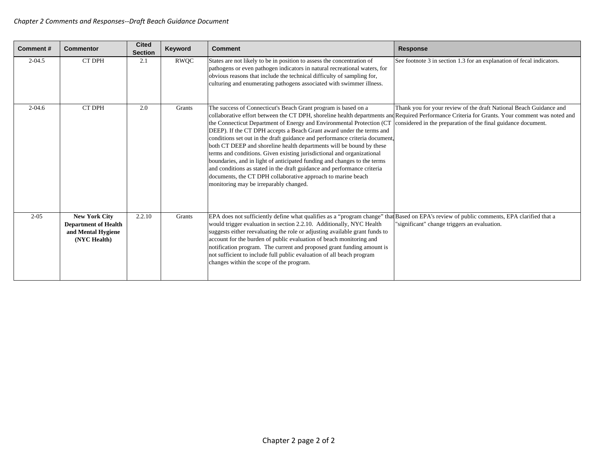| <b>Comment#</b> | <b>Commentor</b>                                                                          | <b>Cited</b><br><b>Section</b> | Keyword     | <b>Comment</b>                                                                                                                                                                                                                                                                                                                                                                                                                                                                                                                                                                                                                                                                                                                                                                                                                                                      | <b>Response</b>                                                                                                                     |
|-----------------|-------------------------------------------------------------------------------------------|--------------------------------|-------------|---------------------------------------------------------------------------------------------------------------------------------------------------------------------------------------------------------------------------------------------------------------------------------------------------------------------------------------------------------------------------------------------------------------------------------------------------------------------------------------------------------------------------------------------------------------------------------------------------------------------------------------------------------------------------------------------------------------------------------------------------------------------------------------------------------------------------------------------------------------------|-------------------------------------------------------------------------------------------------------------------------------------|
| $2 - 04.5$      | <b>CT DPH</b>                                                                             | 2.1                            | <b>RWOC</b> | States are not likely to be in position to assess the concentration of<br>pathogens or even pathogen indicators in natural recreational waters, for<br>obvious reasons that include the technical difficulty of sampling for,<br>culturing and enumerating pathogens associated with swimmer illness.                                                                                                                                                                                                                                                                                                                                                                                                                                                                                                                                                               | See footnote 3 in section 1.3 for an explanation of fecal indicators.                                                               |
| $2 - 04.6$      | <b>CT DPH</b>                                                                             | 2.0                            | Grants      | The success of Connecticut's Beach Grant program is based on a<br>collaborative effort between the CT DPH, shoreline health departments and Required Performance Criteria for Grants. Your comment was noted and<br>the Connecticut Department of Energy and Environmental Protection (CT<br>DEEP). If the CT DPH accepts a Beach Grant award under the terms and<br>conditions set out in the draft guidance and performance criteria document,<br>both CT DEEP and shoreline health departments will be bound by these<br>terms and conditions. Given existing jurisdictional and organizational<br>boundaries, and in light of anticipated funding and changes to the terms<br>and conditions as stated in the draft guidance and performance criteria<br>documents, the CT DPH collaborative approach to marine beach<br>monitoring may be irreparably changed. | Thank you for your review of the draft National Beach Guidance and<br>considered in the preparation of the final guidance document. |
| $2 - 0.5$       | <b>New York City</b><br><b>Department of Health</b><br>and Mental Hygiene<br>(NYC Health) | 2.2.10                         | Grants      | EPA does not sufficiently define what qualifies as a "program change" that Based on EPA's review of public comments, EPA clarified that a<br>would trigger evaluation in section 2.2.10. Additionally, NYC Health<br>suggests either reevaluating the role or adjusting available grant funds to<br>account for the burden of public evaluation of beach monitoring and<br>notification program. The current and proposed grant funding amount is<br>not sufficient to include full public evaluation of all beach program<br>changes within the scope of the program.                                                                                                                                                                                                                                                                                              | "significant" change triggers an evaluation.                                                                                        |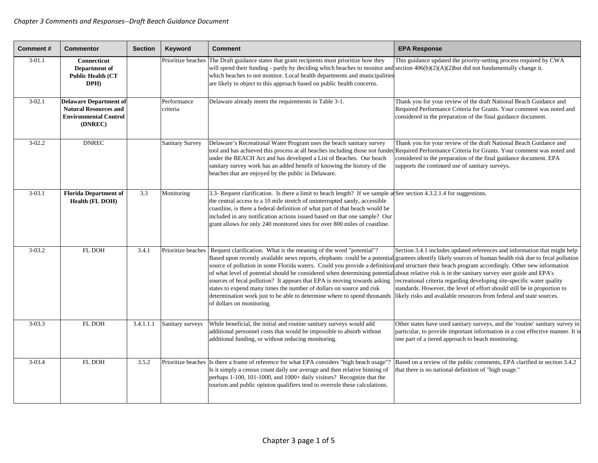| <b>Comment#</b> | <b>Commentor</b>                                                                                         | <b>Section</b> | Keyword                 | <b>Comment</b>                                                                                                                                                                                                                                                                                                                                                                                                                                                                                                                                                                                                                                                                                                                                                                                    | <b>EPA Response</b>                                                                                                                                                                                                                                                                                   |
|-----------------|----------------------------------------------------------------------------------------------------------|----------------|-------------------------|---------------------------------------------------------------------------------------------------------------------------------------------------------------------------------------------------------------------------------------------------------------------------------------------------------------------------------------------------------------------------------------------------------------------------------------------------------------------------------------------------------------------------------------------------------------------------------------------------------------------------------------------------------------------------------------------------------------------------------------------------------------------------------------------------|-------------------------------------------------------------------------------------------------------------------------------------------------------------------------------------------------------------------------------------------------------------------------------------------------------|
| $3-01.1$        | Connecticut<br>Department of<br><b>Public Health (CT</b><br>DPH)                                         |                | Prioritize beaches      | The Draft guidance states that grant recipients must prioritize how they<br>will spend their funding - partly by deciding which beaches to monitor and<br>which beaches to not monitor. Local health departments and municipalities<br>are likely to object to this approach based on public health concerns.                                                                                                                                                                                                                                                                                                                                                                                                                                                                                     | This guidance updated the priority-setting process required by CWA<br>section $406(b)(2)(A)(2)$ but did not fundamentally change it.                                                                                                                                                                  |
| $3 - 02.1$      | <b>Delaware Department of</b><br><b>Natural Resources and</b><br><b>Environmental Control</b><br>(DNREC) |                | Performance<br>criteria | Delaware already meets the requirements in Table 3-1.                                                                                                                                                                                                                                                                                                                                                                                                                                                                                                                                                                                                                                                                                                                                             | Thank you for your review of the draft National Beach Guidance and<br>Required Performance Criteria for Grants. Your comment was noted and<br>considered in the preparation of the final guidance document.                                                                                           |
| $3 - 02.2$      | <b>DNREC</b>                                                                                             |                | <b>Sanitary Survey</b>  | Delaware's Recreational Water Program uses the beach sanitary survey<br>tool and has achieved this process at all beaches including those not funded Required Performance Criteria for Grants. Your comment was noted and<br>under the BEACH Act and has developed a List of Beaches. Our beach<br>sanitary survey work has an added benefit of knowing the history of the<br>beaches that are enjoyed by the public in Delaware.                                                                                                                                                                                                                                                                                                                                                                 | Thank you for your review of the draft National Beach Guidance and<br>considered in the preparation of the final guidance document. EPA<br>upports the continued use of sanitary surveys.                                                                                                             |
| $3 - 03.1$      | <b>Florida Department of</b><br><b>Health (FL DOH)</b>                                                   | 3.3            | Monitoring              | 3.3- Request clarification. Is there a limit to beach length? If we sample a See section 4.3.2.1.4 for suggestions.<br>the central access to a 10 mile stretch of uninterrupted sandy, accessible<br>coastline, is there a federal definition of what part of that beach would be<br>included in any notification actions issued based on that one sample? Our<br>grant allows for only 240 monitored sites for over 800 miles of coastline.                                                                                                                                                                                                                                                                                                                                                      |                                                                                                                                                                                                                                                                                                       |
| $3 - 03.2$      | FL DOH                                                                                                   | 3.4.1          | Prioritize beaches      | Request clarification. What is the meaning of the word "potential"?<br>Based upon recently available news reports, elephants could be a potential grantees identify likely sources of human health risk due to fecal pollution<br>source of pollution in some Florida waters. Could you provide a definition and structure their beach program accordingly. Other new information<br>of what level of potential should be considered when determining potential<br>sources of fecal pollution? It appears that EPA is moving towards asking<br>states to expend many times the number of dollars on source and risk<br>determination work just to be able to determine where to spend thousands likely risks and available resources from federal and state sources.<br>of dollars on monitoring. | Section 3.4.1 includes updated references and information that might help<br>about relative risk is in the sanitary survey user guide and EPA's<br>recreational criteria regarding developing site-specific water quality<br>standards. However, the level of effort should still be in proportion to |
| $3 - 03.3$      | FL DOH                                                                                                   | 3.4.1.1.1      | Sanitary surveys        | While beneficial, the initial and routine sanitary surveys would add<br>additional personnel costs that would be impossible to absorb without<br>additional funding, or without reducing monitoring.                                                                                                                                                                                                                                                                                                                                                                                                                                                                                                                                                                                              | Other states have used sanitary surveys, and the 'routine' sanitary survey in<br>particular, to provide important information in a cost effective manner. It is<br>one part of a tiered approach to beach monitoring.                                                                                 |
| $3 - 03.4$      | <b>FL DOH</b>                                                                                            | 3.5.2          |                         | Prioritize beaches Is there a frame of reference for what EPA considers "high beach usage"?<br>Is it simply a census count daily use average and then relative binning of<br>perhaps 1-100, 101-1000, and 1000+ daily visitors? Recognize that the<br>tourism and public opinion qualifiers tend to overrule these calculations.                                                                                                                                                                                                                                                                                                                                                                                                                                                                  | Based on a review of the public comments, EPA clarified in section 3.4.2<br>that there is no national definition of "high usage."                                                                                                                                                                     |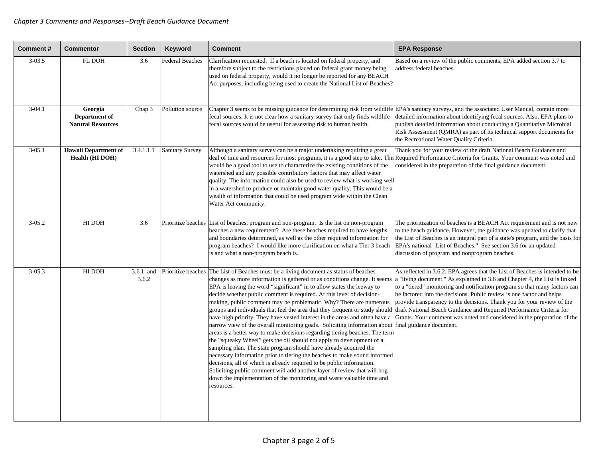| <b>Comment#</b> | <b>Commentor</b>                                     | <b>Section</b>     | Keyword                | <b>Comment</b>                                                                                                                                                                                                                                                                                                                                                                                                                                                                                                                                                                                                                                                                                                                                                                                                                                                                                                                                                                                                                                                                                                                                                                                                                                                                             | <b>EPA Response</b>                                                                                                                                                                                                                                                                                                                                                                                                                                                     |
|-----------------|------------------------------------------------------|--------------------|------------------------|--------------------------------------------------------------------------------------------------------------------------------------------------------------------------------------------------------------------------------------------------------------------------------------------------------------------------------------------------------------------------------------------------------------------------------------------------------------------------------------------------------------------------------------------------------------------------------------------------------------------------------------------------------------------------------------------------------------------------------------------------------------------------------------------------------------------------------------------------------------------------------------------------------------------------------------------------------------------------------------------------------------------------------------------------------------------------------------------------------------------------------------------------------------------------------------------------------------------------------------------------------------------------------------------|-------------------------------------------------------------------------------------------------------------------------------------------------------------------------------------------------------------------------------------------------------------------------------------------------------------------------------------------------------------------------------------------------------------------------------------------------------------------------|
| $3 - 03.5$      | FL DOH                                               | 3.6                | <b>Federal Beaches</b> | Clarification requested. If a beach is located on federal property, and<br>therefore subject to the restrictions placed on federal grant money being<br>used on federal property, would it no longer be reported for any BEACH<br>Act purposes, including being used to create the National List of Beaches?                                                                                                                                                                                                                                                                                                                                                                                                                                                                                                                                                                                                                                                                                                                                                                                                                                                                                                                                                                               | Based on a review of the public comments, EPA added section 3.7 to<br>address federal beaches.                                                                                                                                                                                                                                                                                                                                                                          |
| $3 - 04.1$      | Georgia<br>Department of<br><b>Natural Resources</b> | Chap 3             | Pollution source       | Chapter 3 seems to be missing guidance for determining risk from wildlife EPA's sanitary surveys, and the associated User Manual, contain more<br>fecal sources. It is not clear how a sanitary survey that only finds wildlife<br>fecal sources would be useful for assessing risk to human health.                                                                                                                                                                                                                                                                                                                                                                                                                                                                                                                                                                                                                                                                                                                                                                                                                                                                                                                                                                                       | detailed information about identifying fecal sources. Also, EPA plans to<br>publish detailed information about conducting a Quantitative Microbial<br>Risk Assessment (QMRA) as part of its technical support documents for<br>the Recreational Water Quality Criteria.                                                                                                                                                                                                 |
| $3 - 05.1$      | <b>Hawaii Department of</b><br>Health (HI DOH)       | 3.4.1.1.1          | <b>Sanitary Survey</b> | Although a sanitary survey can be a major undertaking requiring a great<br>deal of time and resources for most programs, it is a good step to take. This Required Performance Criteria for Grants. Your comment was noted and<br>would be a good tool to use to characterize the existing conditions of the<br>watershed and any possible contributory factors that may affect water<br>quality. The information could also be used to review what is working well<br>in a watershed to produce or maintain good water quality. This would be a<br>wealth of information that could be used program wide within the Clean<br>Water Act community.                                                                                                                                                                                                                                                                                                                                                                                                                                                                                                                                                                                                                                          | Thank you for your review of the draft National Beach Guidance and<br>considered in the preparation of the final guidance document.                                                                                                                                                                                                                                                                                                                                     |
| $3 - 05.2$      | HI DOH                                               | 3.6                |                        | Prioritize beaches List of beaches, program and non-program. Is the list on non-program<br>beaches a new requirement? Are these beaches required to have lengths<br>and boundaries determined, as well as the other required information for<br>program beaches? I would like more clarification on what a Tier 3 beach<br>is and what a non-program beach is.                                                                                                                                                                                                                                                                                                                                                                                                                                                                                                                                                                                                                                                                                                                                                                                                                                                                                                                             | The prioritization of beaches is a BEACH Act requirement and is not new<br>to the beach guidance. However, the guidance was updated to clarify that<br>the List of Beaches is an integral part of a state's program, and the basis for<br>EPA's national "List of Beaches." See section 3.6 for an updated<br>discussion of program and nonprogram beaches.                                                                                                             |
| $3 - 05.3$      | HI DOH                                               | 3.6.1 and<br>3.6.2 |                        | Prioritize beaches The List of Beaches must be a living document as status of beaches<br>changes as more information is gathered or as conditions change. It seems<br>EPA is leaving the word "significant" in to allow states the leeway to<br>decide whether public comment is required. At this level of decision-<br>making, public comment may be problematic. Why? There are numerous<br>groups and individuals that feel the area that they frequent or study should draft National Beach Guidance and Required Performance Criteria for<br>have high priority. They have vested interest in the areas and often have a<br>narrow view of the overall monitoring goals. Soliciting information about final guidance document.<br>areas is a better way to make decisions regarding tiering beaches. The term<br>the "squeaky Wheel" gets the oil should not apply to development of a<br>sampling plan. The state program should have already acquired the<br>necessary information prior to tiering the beaches to make sound informed<br>decisions, all of which is already required to be public information.<br>Soliciting public comment will add another layer of review that will bog<br>down the implementation of the monitoring and waste valuable time and<br>resources. | As reflected in 3.6.2, EPA agrees that the List of Beaches is intended to be<br>a "living document." As explained in 3.6 and Chapter 4, the List is linked<br>to a "tiered" monitoring and notification program so that many factors can<br>be factored into the decisions. Public review is one factor and helps<br>provide transparency to the decisions. Thank you for your review of the<br>Grants. Your comment was noted and considered in the preparation of the |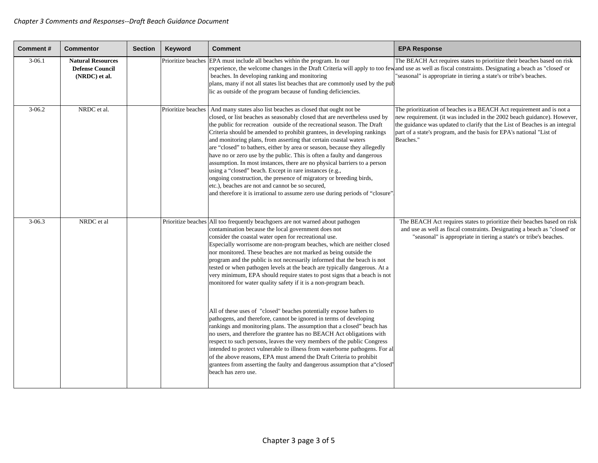| <b>Comment#</b> | <b>Commentor</b>                                                    | <b>Section</b> | Keyword | <b>Comment</b>                                                                                                                                                                                                                                                                                                                                                                                                                                                                                                                                                                                                                                                                                                                                                                                                                                                                                        | <b>EPA Response</b>                                                                                                                                                                                                                                                                                                  |
|-----------------|---------------------------------------------------------------------|----------------|---------|-------------------------------------------------------------------------------------------------------------------------------------------------------------------------------------------------------------------------------------------------------------------------------------------------------------------------------------------------------------------------------------------------------------------------------------------------------------------------------------------------------------------------------------------------------------------------------------------------------------------------------------------------------------------------------------------------------------------------------------------------------------------------------------------------------------------------------------------------------------------------------------------------------|----------------------------------------------------------------------------------------------------------------------------------------------------------------------------------------------------------------------------------------------------------------------------------------------------------------------|
| $3-06.1$        | <b>Natural Resources</b><br><b>Defense Council</b><br>(NRDC) et al. |                |         | Prioritize beaches EPA must include all beaches within the program. In our<br>experience, the welcome changes in the Draft Criteria will apply to too few<br>beaches. In developing ranking and monitoring<br>plans, many if not all states list beaches that are commonly used by the pub-<br>lic as outside of the program because of funding deficiencies.                                                                                                                                                                                                                                                                                                                                                                                                                                                                                                                                         | The BEACH Act requires states to prioritize their beaches based on risk<br>and use as well as fiscal constraints. Designating a beach as "closed' or<br>"seasonal" is appropriate in tiering a state's or tribe's beaches.                                                                                           |
| $3-06.2$        | NRDC et al.                                                         |                |         | Prioritize beaches   And many states also list beaches as closed that ought not be<br>closed, or list beaches as seasonably closed that are nevertheless used by<br>the public for recreation outside of the recreational season. The Draft<br>Criteria should be amended to prohibit grantees, in developing rankings<br>and monitoring plans, from asserting that certain coastal waters<br>are "closed" to bathers, either by area or season, because they allegedly<br>have no or zero use by the public. This is often a faulty and dangerous<br>assumption. In most instances, there are no physical barriers to a person<br>using a "closed" beach. Except in rare instances (e.g.,<br>ongoing construction, the presence of migratory or breeding birds,<br>etc.), beaches are not and cannot be so secured,<br>and therefore it is irrational to assume zero use during periods of "closure" | The prioritization of beaches is a BEACH Act requirement and is not a<br>new requirement. (it was included in the 2002 beach guidance). However,<br>the guidance was updated to clarify that the List of Beaches is an integral<br>part of a state's program, and the basis for EPA's national "List of<br>Beaches." |
| $3 - 06.3$      | NRDC et al                                                          |                |         | Prioritize beaches All too frequently beachgoers are not warned about pathogen<br>contamination because the local government does not<br>consider the coastal water open for recreational use.<br>Especially worrisome are non-program beaches, which are neither closed<br>nor monitored. These beaches are not marked as being outside the<br>program and the public is not necessarily informed that the beach is not<br>tested or when pathogen levels at the beach are typically dangerous. At a<br>very minimum, EPA should require states to post signs that a beach is not<br>monitored for water quality safety if it is a non-program beach.                                                                                                                                                                                                                                                | The BEACH Act requires states to prioritize their beaches based on risk<br>and use as well as fiscal constraints. Designating a beach as "closed' or<br>"seasonal" is appropriate in tiering a state's or tribe's beaches.                                                                                           |
|                 |                                                                     |                |         | All of these uses of "closed" beaches potentially expose bathers to<br>pathogens, and therefore, cannot be ignored in terms of developing<br>rankings and monitoring plans. The assumption that a closed" beach has<br>no users, and therefore the grantee has no BEACH Act obligations with<br>respect to such persons, leaves the very members of the public Congress<br>intended to protect vulnerable to illness from waterborne pathogens. For all<br>of the above reasons, EPA must amend the Draft Criteria to prohibit<br>grantees from asserting the faulty and dangerous assumption that a "closed"<br>beach has zero use.                                                                                                                                                                                                                                                                  |                                                                                                                                                                                                                                                                                                                      |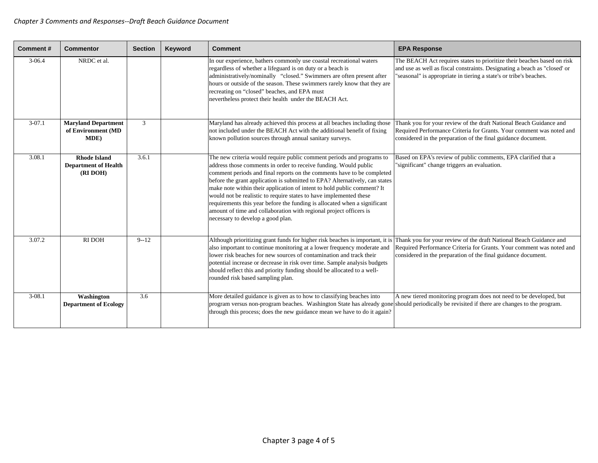| Comment#   | <b>Commentor</b>                                               | <b>Section</b> | Keyword | <b>Comment</b>                                                                                                                                                                                                                                                                                                                                                                                                                                                                                                                                                                                                                              | <b>EPA Response</b>                                                                                                                                                                                                        |
|------------|----------------------------------------------------------------|----------------|---------|---------------------------------------------------------------------------------------------------------------------------------------------------------------------------------------------------------------------------------------------------------------------------------------------------------------------------------------------------------------------------------------------------------------------------------------------------------------------------------------------------------------------------------------------------------------------------------------------------------------------------------------------|----------------------------------------------------------------------------------------------------------------------------------------------------------------------------------------------------------------------------|
| $3 - 06.4$ | NRDC et al.                                                    |                |         | In our experience, bathers commonly use coastal recreational waters<br>regardless of whether a lifeguard is on duty or a beach is<br>administratively/nominally "closed." Swimmers are often present after<br>hours or outside of the season. These swimmers rarely know that they are<br>recreating on "closed" beaches, and EPA must<br>nevertheless protect their health under the BEACH Act.                                                                                                                                                                                                                                            | The BEACH Act requires states to prioritize their beaches based on risk<br>and use as well as fiscal constraints. Designating a beach as "closed' or<br>"seasonal" is appropriate in tiering a state's or tribe's beaches. |
| $3-07.1$   | <b>Maryland Department</b><br>of Environment (MD<br>MDE)       | 3              |         | Maryland has already achieved this process at all beaches including those<br>not included under the BEACH Act with the additional benefit of fixing<br>known pollution sources through annual sanitary surveys.                                                                                                                                                                                                                                                                                                                                                                                                                             | Thank you for your review of the draft National Beach Guidance and<br>Required Performance Criteria for Grants. Your comment was noted and<br>considered in the preparation of the final guidance document.                |
| 3.08.1     | <b>Rhode Island</b><br><b>Department of Health</b><br>(RI DOH) | 3.6.1          |         | The new criteria would require public comment periods and programs to<br>address those comments in order to receive funding. Would public<br>comment periods and final reports on the comments have to be completed<br>before the grant application is submitted to EPA? Alternatively, can states<br>make note within their application of intent to hold public comment? It<br>would not be realistic to require states to have implemented these<br>requirements this year before the funding is allocated when a significant<br>amount of time and collaboration with regional project officers is<br>necessary to develop a good plan. | Based on EPA's review of public comments, EPA clarified that a<br>"significant" change triggers an evaluation.                                                                                                             |
| 3.07.2     | <b>RI DOH</b>                                                  | $9 - 12$       |         | Although prioritizing grant funds for higher risk beaches is important, it is<br>also important to continue monitoring at a lower frequency moderate and<br>lower risk beaches for new sources of contamination and track their<br>potential increase or decrease in risk over time. Sample analysis budgets<br>should reflect this and priority funding should be allocated to a well-<br>rounded risk based sampling plan.                                                                                                                                                                                                                | Thank you for your review of the draft National Beach Guidance and<br>Required Performance Criteria for Grants. Your comment was noted and<br>considered in the preparation of the final guidance document.                |
| $3-08.1$   | Washington<br><b>Department of Ecology</b>                     | 3.6            |         | More detailed guidance is given as to how to classifying beaches into<br>program versus non-program beaches. Washington State has already gone should periodically be revisited if there are changes to the program.<br>through this process; does the new guidance mean we have to do it again?                                                                                                                                                                                                                                                                                                                                            | A new tiered monitoring program does not need to be developed, but                                                                                                                                                         |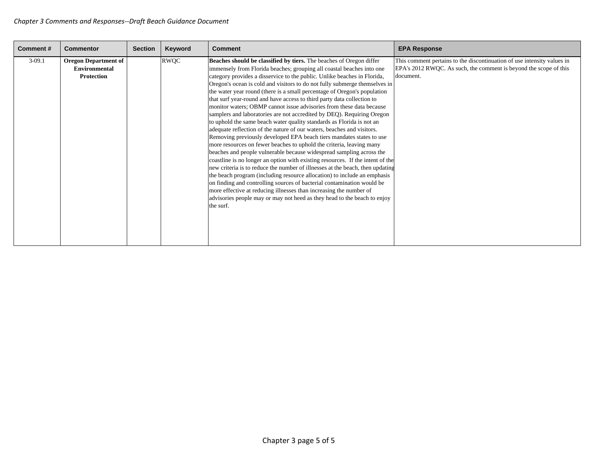| <b>Comment#</b> | <b>Commentor</b>                                                         | <b>Section</b> | Keyword | <b>Comment</b>                                                                                                                                                                                                                                                                                                                                                                                                                                                                                                                                                                                                                                                                                                                                                                                                                                                                                                                                                                                                                                                                                                                                                                                                                                                                                                                                                                                                                                                                    | <b>EPA Response</b>                                                                                                                                       |
|-----------------|--------------------------------------------------------------------------|----------------|---------|-----------------------------------------------------------------------------------------------------------------------------------------------------------------------------------------------------------------------------------------------------------------------------------------------------------------------------------------------------------------------------------------------------------------------------------------------------------------------------------------------------------------------------------------------------------------------------------------------------------------------------------------------------------------------------------------------------------------------------------------------------------------------------------------------------------------------------------------------------------------------------------------------------------------------------------------------------------------------------------------------------------------------------------------------------------------------------------------------------------------------------------------------------------------------------------------------------------------------------------------------------------------------------------------------------------------------------------------------------------------------------------------------------------------------------------------------------------------------------------|-----------------------------------------------------------------------------------------------------------------------------------------------------------|
| $3-09.1$        | <b>Oregon Department of</b><br><b>Environmental</b><br><b>Protection</b> |                | RWQC    | Beaches should be classified by tiers. The beaches of Oregon differ<br>immensely from Florida beaches; grouping all coastal beaches into one<br>category provides a disservice to the public. Unlike beaches in Florida,<br>Oregon's ocean is cold and visitors to do not fully submerge themselves in<br>the water year round (there is a small percentage of Oregon's population<br>that surf year-round and have access to third party data collection to<br>monitor waters; OBMP cannot issue advisories from these data because<br>samplers and laboratories are not accredited by DEQ). Requiring Oregon<br>to uphold the same beach water quality standards as Florida is not an<br>adequate reflection of the nature of our waters, beaches and visitors.<br>Removing previously developed EPA beach tiers mandates states to use<br>more resources on fewer beaches to uphold the criteria, leaving many<br>beaches and people vulnerable because widespread sampling across the<br>coastline is no longer an option with existing resources. If the intent of the<br>new criteria is to reduce the number of illnesses at the beach, then updating<br>the beach program (including resource allocation) to include an emphasis<br>on finding and controlling sources of bacterial contamination would be<br>more effective at reducing illnesses than increasing the number of<br>advisories people may or may not heed as they head to the beach to enjoy<br>the surf. | This comment pertains to the discontinuation of use intensity values in<br>EPA's 2012 RWQC. As such, the comment is beyond the scope of this<br>document. |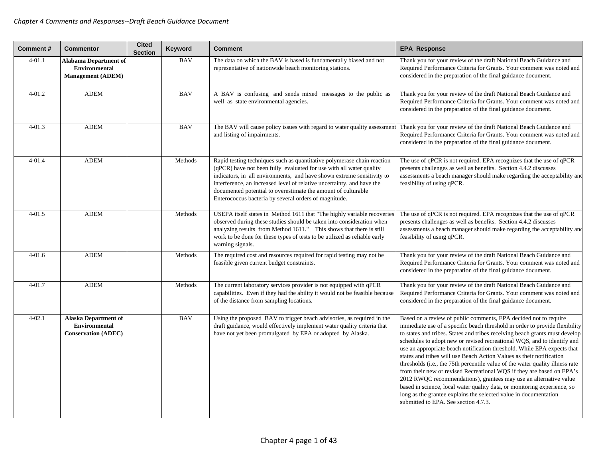| Comment#   | <b>Commentor</b>                                                                  | <b>Cited</b><br><b>Section</b> | Keyword    | <b>Comment</b>                                                                                                                                                                                                                                                                                                                                                                                                               | <b>EPA Response</b>                                                                                                                                                                                                                                                                                                                                                                                                                                                                                                                                                                                                                                                                                                                                                                                                                                                                 |
|------------|-----------------------------------------------------------------------------------|--------------------------------|------------|------------------------------------------------------------------------------------------------------------------------------------------------------------------------------------------------------------------------------------------------------------------------------------------------------------------------------------------------------------------------------------------------------------------------------|-------------------------------------------------------------------------------------------------------------------------------------------------------------------------------------------------------------------------------------------------------------------------------------------------------------------------------------------------------------------------------------------------------------------------------------------------------------------------------------------------------------------------------------------------------------------------------------------------------------------------------------------------------------------------------------------------------------------------------------------------------------------------------------------------------------------------------------------------------------------------------------|
| $4 - 01.1$ | <b>Alabama Department of</b><br><b>Environmental</b><br><b>Management</b> (ADEM)  |                                | <b>BAV</b> | The data on which the BAV is based is fundamentally biased and not<br>representative of nationwide beach monitoring stations.                                                                                                                                                                                                                                                                                                | Thank you for your review of the draft National Beach Guidance and<br>Required Performance Criteria for Grants. Your comment was noted and<br>considered in the preparation of the final guidance document.                                                                                                                                                                                                                                                                                                                                                                                                                                                                                                                                                                                                                                                                         |
| $4 - 01.2$ | <b>ADEM</b>                                                                       |                                | <b>BAV</b> | A BAV is confusing and sends mixed messages to the public as<br>well as state environmental agencies.                                                                                                                                                                                                                                                                                                                        | Thank you for your review of the draft National Beach Guidance and<br>Required Performance Criteria for Grants. Your comment was noted and<br>considered in the preparation of the final guidance document.                                                                                                                                                                                                                                                                                                                                                                                                                                                                                                                                                                                                                                                                         |
| $4 - 01.3$ | <b>ADEM</b>                                                                       |                                | <b>BAV</b> | The BAV will cause policy issues with regard to water quality assessmen<br>and listing of impairments.                                                                                                                                                                                                                                                                                                                       | Thank you for your review of the draft National Beach Guidance and<br>Required Performance Criteria for Grants. Your comment was noted and<br>considered in the preparation of the final guidance document.                                                                                                                                                                                                                                                                                                                                                                                                                                                                                                                                                                                                                                                                         |
| $4 - 01.4$ | <b>ADEM</b>                                                                       |                                | Methods    | Rapid testing techniques such as quantitative polymerase chain reaction<br>(qPCR) have not been fully evaluated for use with all water quality<br>indicators, in all environments, and have shown extreme sensitivity to<br>interference, an increased level of relative uncertainty, and have the<br>documented potential to overestimate the amount of culturable<br>Enterococcus bacteria by several orders of magnitude. | The use of qPCR is not required. EPA recognizes that the use of qPCR<br>presents challenges as well as benefits. Section 4.4.2 discusses<br>assessments a beach manager should make regarding the acceptability and<br>feasibility of using qPCR.                                                                                                                                                                                                                                                                                                                                                                                                                                                                                                                                                                                                                                   |
| $4 - 01.5$ | <b>ADEM</b>                                                                       |                                | Methods    | USEPA itself states in Method 1611 that "The highly variable recoveries<br>observed during these studies should be taken into consideration when<br>analyzing results from Method 1611." This shows that there is still<br>work to be done for these types of tests to be utilized as reliable early<br>warning signals.                                                                                                     | The use of qPCR is not required. EPA recognizes that the use of qPCR<br>presents challenges as well as benefits. Section 4.4.2 discusses<br>assessments a beach manager should make regarding the acceptability and<br>feasibility of using qPCR.                                                                                                                                                                                                                                                                                                                                                                                                                                                                                                                                                                                                                                   |
| $4 - 01.6$ | <b>ADEM</b>                                                                       |                                | Methods    | The required cost and resources required for rapid testing may not be<br>feasible given current budget constraints.                                                                                                                                                                                                                                                                                                          | Thank you for your review of the draft National Beach Guidance and<br>Required Performance Criteria for Grants. Your comment was noted and<br>considered in the preparation of the final guidance document.                                                                                                                                                                                                                                                                                                                                                                                                                                                                                                                                                                                                                                                                         |
| $4 - 01.7$ | <b>ADEM</b>                                                                       |                                | Methods    | The current laboratory services provider is not equipped with qPCR<br>capabilities. Even if they had the ability it would not be feasible because<br>of the distance from sampling locations.                                                                                                                                                                                                                                | Thank you for your review of the draft National Beach Guidance and<br>Required Performance Criteria for Grants. Your comment was noted and<br>considered in the preparation of the final guidance document.                                                                                                                                                                                                                                                                                                                                                                                                                                                                                                                                                                                                                                                                         |
| $4 - 02.1$ | <b>Alaska Department of</b><br><b>Environmental</b><br><b>Conservation (ADEC)</b> |                                | <b>BAV</b> | Using the proposed BAV to trigger beach advisories, as required in the<br>draft guidance, would effectively implement water quality criteria that<br>have not yet been promulgated by EPA or adopted by Alaska.                                                                                                                                                                                                              | Based on a review of public comments, EPA decided not to require<br>immediate use of a specific beach threshold in order to provide flexibility<br>to states and tribes. States and tribes receiving beach grants must develop<br>schedules to adopt new or revised recreational WQS, and to identify and<br>use an appropriate beach notification threshold. While EPA expects that<br>states and tribes will use Beach Action Values as their notification<br>thresholds (i.e., the 75th percentile value of the water quality illness rate<br>from their new or revised Recreational WQS if they are based on EPA's<br>2012 RWQC recommendations), grantees may use an alternative value<br>based in science, local water quality data, or monitoring experience, so<br>long as the grantee explains the selected value in documentation<br>submitted to EPA. See section 4.7.3. |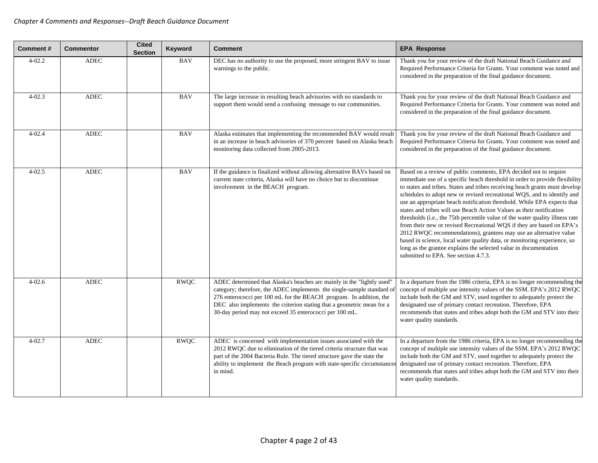| <b>Comment#</b> | <b>Commentor</b> | <b>Cited</b><br><b>Section</b> | Keyword     | <b>Comment</b>                                                                                                                                                                                                                                                                                                                                             | <b>EPA Response</b>                                                                                                                                                                                                                                                                                                                                                                                                                                                                                                                                                                                                                                                                                                                                                                                                                                                                 |
|-----------------|------------------|--------------------------------|-------------|------------------------------------------------------------------------------------------------------------------------------------------------------------------------------------------------------------------------------------------------------------------------------------------------------------------------------------------------------------|-------------------------------------------------------------------------------------------------------------------------------------------------------------------------------------------------------------------------------------------------------------------------------------------------------------------------------------------------------------------------------------------------------------------------------------------------------------------------------------------------------------------------------------------------------------------------------------------------------------------------------------------------------------------------------------------------------------------------------------------------------------------------------------------------------------------------------------------------------------------------------------|
| $4 - 02.2$      | <b>ADEC</b>      |                                | <b>BAV</b>  | DEC has no authority to use the proposed, more stringent BAV to issue<br>warnings to the public.                                                                                                                                                                                                                                                           | Thank you for your review of the draft National Beach Guidance and<br>Required Performance Criteria for Grants. Your comment was noted and<br>considered in the preparation of the final guidance document.                                                                                                                                                                                                                                                                                                                                                                                                                                                                                                                                                                                                                                                                         |
| $4 - 02.3$      | <b>ADEC</b>      |                                | <b>BAV</b>  | The large increase in resulting beach advisories with no standards to<br>support them would send a confusing message to our communities.                                                                                                                                                                                                                   | Thank you for your review of the draft National Beach Guidance and<br>Required Performance Criteria for Grants. Your comment was noted and<br>considered in the preparation of the final guidance document.                                                                                                                                                                                                                                                                                                                                                                                                                                                                                                                                                                                                                                                                         |
| $4 - 02.4$      | <b>ADEC</b>      |                                | <b>BAV</b>  | Alaska estimates that implementing the recommended BAV would result<br>in an increase in beach advisories of 370 percent based on Alaska beach<br>monitoring data collected from 2005-2013.                                                                                                                                                                | Thank you for your review of the draft National Beach Guidance and<br>Required Performance Criteria for Grants. Your comment was noted and<br>considered in the preparation of the final guidance document.                                                                                                                                                                                                                                                                                                                                                                                                                                                                                                                                                                                                                                                                         |
| $4 - 02.5$      | <b>ADEC</b>      |                                | <b>BAV</b>  | If the guidance is finalized without allowing alternative BAVs based on<br>current state criteria, Alaska will have no choice but to discontinue<br>involvement in the BEACH program.                                                                                                                                                                      | Based on a review of public comments, EPA decided not to require<br>immediate use of a specific beach threshold in order to provide flexibility<br>to states and tribes. States and tribes receiving beach grants must develop<br>schedules to adopt new or revised recreational WQS, and to identify and<br>use an appropriate beach notification threshold. While EPA expects that<br>states and tribes will use Beach Action Values as their notification<br>thresholds (i.e., the 75th percentile value of the water quality illness rate<br>from their new or revised Recreational WQS if they are based on EPA's<br>2012 RWQC recommendations), grantees may use an alternative value<br>based in science, local water quality data, or monitoring experience, so<br>long as the grantee explains the selected value in documentation<br>submitted to EPA. See section 4.7.3. |
| $4 - 02.6$      | <b>ADEC</b>      |                                | <b>RWQC</b> | ADEC determined that Alaska's beaches arc mainly in the "lightly used"<br>category; therefore, the ADEC implements the single-sample standard of<br>276 enterococci per 100 mL for the BEACH program. In addition, the<br>DEC also implements the criterion stating that a geometric mean for a<br>30-day period may not exceed 35 enterococci per 100 mL. | In a departure from the 1986 criteria, EPA is no longer recommending the<br>concept of multiple use intensity values of the SSM. EPA's 2012 RWQC<br>include both the GM and STV, used together to adequately protect the<br>designated use of primary contact recreation. Therefore, EPA<br>recommends that states and tribes adopt both the GM and STV into their<br>water quality standards.                                                                                                                                                                                                                                                                                                                                                                                                                                                                                      |
| $4 - 02.7$      | <b>ADEC</b>      |                                | <b>RWQC</b> | ADEC is concerned with implementation issues associated with the<br>2012 RWQC due to elimination of the tiered criteria structure that was<br>part of the 2004 Bacteria Rule. The tiered structure gave the state the<br>ability to implement the Beach program with state-specific circumstance<br>in mind.                                               | In a departure from the 1986 criteria, EPA is no longer recommending the<br>concept of multiple use intensity values of the SSM. EPA's 2012 RWQC<br>include both the GM and STV, used together to adequately protect the<br>designated use of primary contact recreation. Therefore, EPA<br>recommends that states and tribes adopt both the GM and STV into their<br>water quality standards.                                                                                                                                                                                                                                                                                                                                                                                                                                                                                      |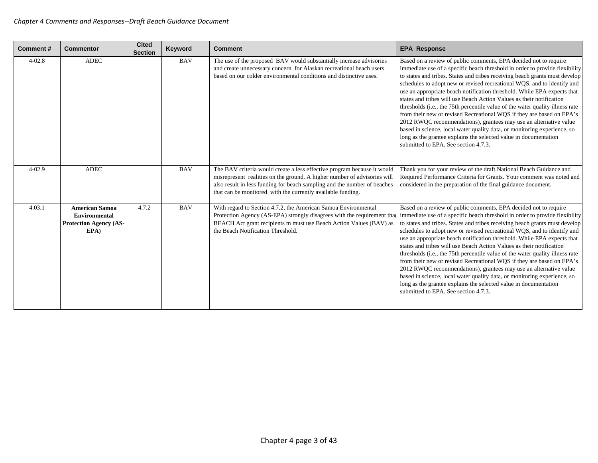| Comment#   | <b>Commentor</b>                                                                       | <b>Cited</b><br><b>Section</b> | Keyword    | <b>Comment</b>                                                                                                                                                                                                                                                                                 | <b>EPA Response</b>                                                                                                                                                                                                                                                                                                                                                                                                                                                                                                                                                                                                                                                                                                                                                                                                                                                                 |
|------------|----------------------------------------------------------------------------------------|--------------------------------|------------|------------------------------------------------------------------------------------------------------------------------------------------------------------------------------------------------------------------------------------------------------------------------------------------------|-------------------------------------------------------------------------------------------------------------------------------------------------------------------------------------------------------------------------------------------------------------------------------------------------------------------------------------------------------------------------------------------------------------------------------------------------------------------------------------------------------------------------------------------------------------------------------------------------------------------------------------------------------------------------------------------------------------------------------------------------------------------------------------------------------------------------------------------------------------------------------------|
| $4 - 02.8$ | <b>ADEC</b>                                                                            |                                | <b>BAV</b> | The use of the proposed BAV would substantially increase advisories<br>and create unnecessary concern for Alaskan recreational beach users<br>based on our colder environmental conditions and distinctive uses.                                                                               | Based on a review of public comments, EPA decided not to require<br>immediate use of a specific beach threshold in order to provide flexibility<br>to states and tribes. States and tribes receiving beach grants must develop<br>schedules to adopt new or revised recreational WQS, and to identify and<br>use an appropriate beach notification threshold. While EPA expects that<br>states and tribes will use Beach Action Values as their notification<br>thresholds (i.e., the 75th percentile value of the water quality illness rate<br>from their new or revised Recreational WQS if they are based on EPA's<br>2012 RWQC recommendations), grantees may use an alternative value<br>based in science, local water quality data, or monitoring experience, so<br>long as the grantee explains the selected value in documentation<br>submitted to EPA. See section 4.7.3. |
| $4 - 02.9$ | <b>ADEC</b>                                                                            |                                | <b>BAV</b> | The BAV criteria would create a less effective program because it would<br>misrepresent realities on the ground. A higher number of advisories will<br>also result in less funding for beach sampling and the number of beaches<br>that can be monitored with the currently available funding. | Thank you for your review of the draft National Beach Guidance and<br>Required Performance Criteria for Grants. Your comment was noted and<br>considered in the preparation of the final guidance document.                                                                                                                                                                                                                                                                                                                                                                                                                                                                                                                                                                                                                                                                         |
| 4.03.1     | <b>American Samoa</b><br><b>Environmental</b><br><b>Protection Agency (AS-</b><br>EPA) | 4.7.2                          | <b>BAV</b> | With regard to Section 4.7.2, the American Samoa Environmental<br>Protection Agency (AS-EPA) strongly disagrees with the requirement that<br>BEACH Act grant recipients m must use Beach Action Values (BAV) as<br>the Beach Notification Threshold.                                           | Based on a review of public comments, EPA decided not to require<br>immediate use of a specific beach threshold in order to provide flexibility<br>to states and tribes. States and tribes receiving beach grants must develop<br>schedules to adopt new or revised recreational WQS, and to identify and<br>use an appropriate beach notification threshold. While EPA expects that<br>states and tribes will use Beach Action Values as their notification<br>thresholds (i.e., the 75th percentile value of the water quality illness rate<br>from their new or revised Recreational WQS if they are based on EPA's<br>2012 RWQC recommendations), grantees may use an alternative value<br>based in science, local water quality data, or monitoring experience, so<br>long as the grantee explains the selected value in documentation<br>submitted to EPA. See section 4.7.3. |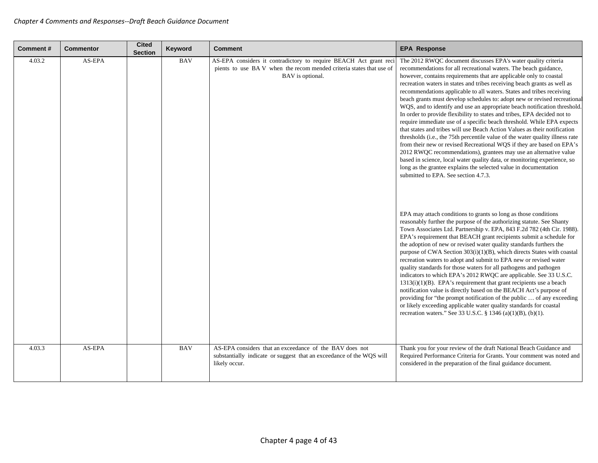| <b>Comment#</b> | <b>Commentor</b> | <b>Cited</b><br><b>Section</b> | Keyword    | <b>Comment</b>                                                                                                                                              | <b>EPA Response</b>                                                                                                                                                                                                                                                                                                                                                                                                                                                                                                                                                                                                                                                                                                                                                                                                                                                                                                                                                                                                                                                                                                                                                              |
|-----------------|------------------|--------------------------------|------------|-------------------------------------------------------------------------------------------------------------------------------------------------------------|----------------------------------------------------------------------------------------------------------------------------------------------------------------------------------------------------------------------------------------------------------------------------------------------------------------------------------------------------------------------------------------------------------------------------------------------------------------------------------------------------------------------------------------------------------------------------------------------------------------------------------------------------------------------------------------------------------------------------------------------------------------------------------------------------------------------------------------------------------------------------------------------------------------------------------------------------------------------------------------------------------------------------------------------------------------------------------------------------------------------------------------------------------------------------------|
| 4.03.2          | AS-EPA           |                                | <b>BAV</b> | AS-EPA considers it contradictory to require BEACH Act grant reci<br>pients to use BAV when the recommended criteria states that use of<br>BAV is optional. | The 2012 RWQC document discusses EPA's water quality criteria<br>recommendations for all recreational waters. The beach guidance,<br>however, contains requirements that are applicable only to coastal<br>recreation waters in states and tribes receiving beach grants as well as<br>recommendations applicable to all waters. States and tribes receiving<br>beach grants must develop schedules to: adopt new or revised recreational<br>WQS, and to identify and use an appropriate beach notification threshold.<br>In order to provide flexibility to states and tribes, EPA decided not to<br>require immediate use of a specific beach threshold. While EPA expects<br>that states and tribes will use Beach Action Values as their notification<br>thresholds (i.e., the 75th percentile value of the water quality illness rate<br>from their new or revised Recreational WQS if they are based on EPA's<br>2012 RWQC recommendations), grantees may use an alternative value<br>based in science, local water quality data, or monitoring experience, so<br>long as the grantee explains the selected value in documentation<br>submitted to EPA. See section 4.7.3. |
|                 |                  |                                |            |                                                                                                                                                             | EPA may attach conditions to grants so long as those conditions<br>reasonably further the purpose of the authorizing statute. See Shanty<br>Town Associates Ltd. Partnership v. EPA, 843 F.2d 782 (4th Cir. 1988).<br>EPA's requirement that BEACH grant recipients submit a schedule for<br>the adoption of new or revised water quality standards furthers the<br>purpose of CWA Section 303(i)(1)(B), which directs States with coastal<br>recreation waters to adopt and submit to EPA new or revised water<br>quality standards for those waters for all pathogens and pathogen<br>indicators to which EPA's 2012 RWQC are applicable. See 33 U.S.C.<br>$1313(i)(1)(B)$ . EPA's requirement that grant recipients use a beach<br>notification value is directly based on the BEACH Act's purpose of<br>providing for "the prompt notification of the public  of any exceeding<br>or likely exceeding applicable water quality standards for coastal<br>recreation waters." See 33 U.S.C. § 1346 (a)(1)(B), (b)(1).                                                                                                                                                          |
| 4.03.3          | AS-EPA           |                                | <b>BAV</b> | AS-EPA considers that an exceedance of the BAV does not<br>substantially indicate or suggest that an exceedance of the WQS will<br>likely occur.            | Thank you for your review of the draft National Beach Guidance and<br>Required Performance Criteria for Grants. Your comment was noted and<br>considered in the preparation of the final guidance document.                                                                                                                                                                                                                                                                                                                                                                                                                                                                                                                                                                                                                                                                                                                                                                                                                                                                                                                                                                      |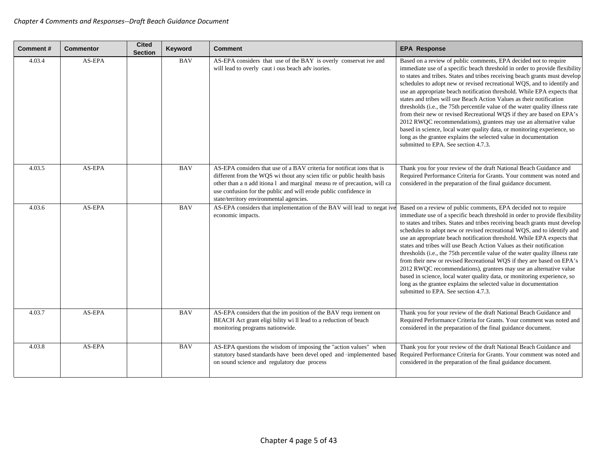| Comment# | <b>Commentor</b> | <b>Cited</b><br><b>Section</b> | Keyword    | <b>Comment</b>                                                                                                                                                                                                                                                                                                                            | <b>EPA Response</b>                                                                                                                                                                                                                                                                                                                                                                                                                                                                                                                                                                                                                                                                                                                                                                                                                                                                 |
|----------|------------------|--------------------------------|------------|-------------------------------------------------------------------------------------------------------------------------------------------------------------------------------------------------------------------------------------------------------------------------------------------------------------------------------------------|-------------------------------------------------------------------------------------------------------------------------------------------------------------------------------------------------------------------------------------------------------------------------------------------------------------------------------------------------------------------------------------------------------------------------------------------------------------------------------------------------------------------------------------------------------------------------------------------------------------------------------------------------------------------------------------------------------------------------------------------------------------------------------------------------------------------------------------------------------------------------------------|
| 4.03.4   | AS-EPA           |                                | <b>BAV</b> | AS-EPA considers that use of the BAY is overly conservat ive and<br>will lead to overly caut i ous beach adv isories.                                                                                                                                                                                                                     | Based on a review of public comments, EPA decided not to require<br>immediate use of a specific beach threshold in order to provide flexibility<br>to states and tribes. States and tribes receiving beach grants must develop<br>schedules to adopt new or revised recreational WQS, and to identify and<br>use an appropriate beach notification threshold. While EPA expects that<br>states and tribes will use Beach Action Values as their notification<br>thresholds (i.e., the 75th percentile value of the water quality illness rate<br>from their new or revised Recreational WQS if they are based on EPA's<br>2012 RWQC recommendations), grantees may use an alternative value<br>based in science, local water quality data, or monitoring experience, so<br>long as the grantee explains the selected value in documentation<br>submitted to EPA. See section 4.7.3. |
| 4.03.5   | AS-EPA           |                                | <b>BAV</b> | AS-EPA considers that use of a BAV criteria for notificat ions that is<br>different from the WQS wi thout any scien tific or public health basis<br>other than a n add itional and marginal measure of precaution, will ca<br>use confusion for the public and will erode public confidence in<br>state/territory environmental agencies. | Thank you for your review of the draft National Beach Guidance and<br>Required Performance Criteria for Grants. Your comment was noted and<br>considered in the preparation of the final guidance document.                                                                                                                                                                                                                                                                                                                                                                                                                                                                                                                                                                                                                                                                         |
| 4.03.6   | AS-EPA           |                                | <b>BAV</b> | AS-EPA considers that implementation of the BAV will lead to negat ive<br>economic impacts.                                                                                                                                                                                                                                               | Based on a review of public comments, EPA decided not to require<br>immediate use of a specific beach threshold in order to provide flexibility<br>to states and tribes. States and tribes receiving beach grants must develop<br>schedules to adopt new or revised recreational WQS, and to identify and<br>use an appropriate beach notification threshold. While EPA expects that<br>states and tribes will use Beach Action Values as their notification<br>thresholds (i.e., the 75th percentile value of the water quality illness rate<br>from their new or revised Recreational WQS if they are based on EPA's<br>2012 RWQC recommendations), grantees may use an alternative value<br>based in science, local water quality data, or monitoring experience, so<br>long as the grantee explains the selected value in documentation<br>submitted to EPA. See section 4.7.3. |
| 4.03.7   | AS-EPA           |                                | <b>BAV</b> | AS-EPA considers that the im position of the BAV requ irement on<br>BEACH Act grant eligi bility wi ll lead to a reduction of beach<br>monitoring programs nationwide.                                                                                                                                                                    | Thank you for your review of the draft National Beach Guidance and<br>Required Performance Criteria for Grants. Your comment was noted and<br>considered in the preparation of the final guidance document.                                                                                                                                                                                                                                                                                                                                                                                                                                                                                                                                                                                                                                                                         |
| 4.03.8   | AS-EPA           |                                | <b>BAV</b> | AS-EPA questions the wisdom of imposing the "action values" when<br>statutory based standards have been devel oped and ·implemented based<br>on sound science and regulatory due process                                                                                                                                                  | Thank you for your review of the draft National Beach Guidance and<br>Required Performance Criteria for Grants. Your comment was noted and<br>considered in the preparation of the final guidance document.                                                                                                                                                                                                                                                                                                                                                                                                                                                                                                                                                                                                                                                                         |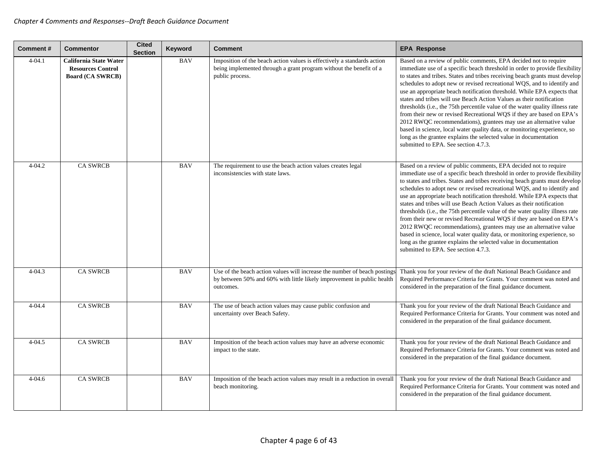| <b>Comment#</b> | <b>Commentor</b>                                                                     | <b>Cited</b><br><b>Section</b> | Keyword    | <b>Comment</b>                                                                                                                                                   | <b>EPA Response</b>                                                                                                                                                                                                                                                                                                                                                                                                                                                                                                                                                                                                                                                                                                                                                                                                                                                                 |
|-----------------|--------------------------------------------------------------------------------------|--------------------------------|------------|------------------------------------------------------------------------------------------------------------------------------------------------------------------|-------------------------------------------------------------------------------------------------------------------------------------------------------------------------------------------------------------------------------------------------------------------------------------------------------------------------------------------------------------------------------------------------------------------------------------------------------------------------------------------------------------------------------------------------------------------------------------------------------------------------------------------------------------------------------------------------------------------------------------------------------------------------------------------------------------------------------------------------------------------------------------|
| $4 - 04.1$      | <b>California State Water</b><br><b>Resources Control</b><br><b>Board (CA SWRCB)</b> |                                | <b>BAV</b> | Imposition of the beach action values is effectively a standards action<br>being implemented through a grant program without the benefit of a<br>public process. | Based on a review of public comments, EPA decided not to require<br>immediate use of a specific beach threshold in order to provide flexibility<br>to states and tribes. States and tribes receiving beach grants must develop<br>schedules to adopt new or revised recreational WQS, and to identify and<br>use an appropriate beach notification threshold. While EPA expects that<br>states and tribes will use Beach Action Values as their notification<br>thresholds (i.e., the 75th percentile value of the water quality illness rate<br>from their new or revised Recreational WQS if they are based on EPA's<br>2012 RWQC recommendations), grantees may use an alternative value<br>based in science, local water quality data, or monitoring experience, so<br>long as the grantee explains the selected value in documentation<br>submitted to EPA. See section 4.7.3. |
| $4 - 04.2$      | <b>CA SWRCB</b>                                                                      |                                | <b>BAV</b> | The requirement to use the beach action values creates legal<br>inconsistencies with state laws.                                                                 | Based on a review of public comments, EPA decided not to require<br>immediate use of a specific beach threshold in order to provide flexibility<br>to states and tribes. States and tribes receiving beach grants must develop<br>schedules to adopt new or revised recreational WQS, and to identify and<br>use an appropriate beach notification threshold. While EPA expects that<br>states and tribes will use Beach Action Values as their notification<br>thresholds (i.e., the 75th percentile value of the water quality illness rate<br>from their new or revised Recreational WQS if they are based on EPA's<br>2012 RWQC recommendations), grantees may use an alternative value<br>based in science, local water quality data, or monitoring experience, so<br>long as the grantee explains the selected value in documentation<br>submitted to EPA. See section 4.7.3. |
| $4 - 04.3$      | <b>CA SWRCB</b>                                                                      |                                | <b>BAV</b> | Use of the beach action values will increase the number of beach postings<br>by between 50% and 60% with little likely improvement in public health<br>outcomes. | Thank you for your review of the draft National Beach Guidance and<br>Required Performance Criteria for Grants. Your comment was noted and<br>considered in the preparation of the final guidance document.                                                                                                                                                                                                                                                                                                                                                                                                                                                                                                                                                                                                                                                                         |
| $4 - 04.4$      | <b>CA SWRCB</b>                                                                      |                                | <b>BAV</b> | The use of beach action values may cause public confusion and<br>uncertainty over Beach Safety.                                                                  | Thank you for your review of the draft National Beach Guidance and<br>Required Performance Criteria for Grants. Your comment was noted and<br>considered in the preparation of the final guidance document.                                                                                                                                                                                                                                                                                                                                                                                                                                                                                                                                                                                                                                                                         |
| $4 - 04.5$      | <b>CA SWRCB</b>                                                                      |                                | <b>BAV</b> | Imposition of the beach action values may have an adverse economic<br>impact to the state.                                                                       | Thank you for your review of the draft National Beach Guidance and<br>Required Performance Criteria for Grants. Your comment was noted and<br>considered in the preparation of the final guidance document.                                                                                                                                                                                                                                                                                                                                                                                                                                                                                                                                                                                                                                                                         |
| $4 - 04.6$      | <b>CA SWRCB</b>                                                                      |                                | <b>BAV</b> | Imposition of the beach action values may result in a reduction in overall<br>beach monitoring.                                                                  | Thank you for your review of the draft National Beach Guidance and<br>Required Performance Criteria for Grants. Your comment was noted and<br>considered in the preparation of the final guidance document.                                                                                                                                                                                                                                                                                                                                                                                                                                                                                                                                                                                                                                                                         |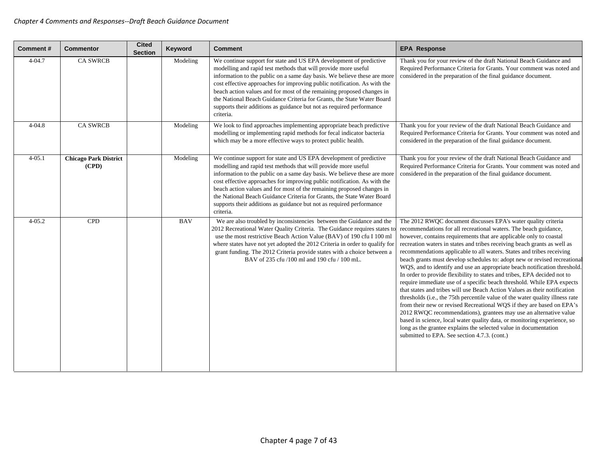| <b>Comment#</b> | <b>Commentor</b>                      | <b>Cited</b><br><b>Section</b> | Keyword    | <b>Comment</b>                                                                                                                                                                                                                                                                                                                                                                                                                                                                                                                       | <b>EPA Response</b>                                                                                                                                                                                                                                                                                                                                                                                                                                                                                                                                                                                                                                                                                                                                                                                                                                                                                                                                                                                                                                                                                                                                                                      |
|-----------------|---------------------------------------|--------------------------------|------------|--------------------------------------------------------------------------------------------------------------------------------------------------------------------------------------------------------------------------------------------------------------------------------------------------------------------------------------------------------------------------------------------------------------------------------------------------------------------------------------------------------------------------------------|------------------------------------------------------------------------------------------------------------------------------------------------------------------------------------------------------------------------------------------------------------------------------------------------------------------------------------------------------------------------------------------------------------------------------------------------------------------------------------------------------------------------------------------------------------------------------------------------------------------------------------------------------------------------------------------------------------------------------------------------------------------------------------------------------------------------------------------------------------------------------------------------------------------------------------------------------------------------------------------------------------------------------------------------------------------------------------------------------------------------------------------------------------------------------------------|
| $4 - 04.7$      | <b>CA SWRCB</b>                       |                                | Modeling   | We continue support for state and US EPA development of predictive<br>modelling and rapid test methods that will provide more useful<br>information to the public on a same day basis. We believe these are more<br>cost effective approaches for improving public notification. As with the<br>beach action values and for most of the remaining proposed changes in<br>the National Beach Guidance Criteria for Grants, the State Water Board<br>supports their additions as guidance but not as required performance<br>criteria. | Thank you for your review of the draft National Beach Guidance and<br>Required Performance Criteria for Grants. Your comment was noted and<br>considered in the preparation of the final guidance document.                                                                                                                                                                                                                                                                                                                                                                                                                                                                                                                                                                                                                                                                                                                                                                                                                                                                                                                                                                              |
| $4 - 04.8$      | <b>CA SWRCB</b>                       |                                | Modeling   | We look to find approaches implementing appropriate beach predictive<br>modelling or implementing rapid methods for fecal indicator bacteria<br>which may be a more effective ways to protect public health.                                                                                                                                                                                                                                                                                                                         | Thank you for your review of the draft National Beach Guidance and<br>Required Performance Criteria for Grants. Your comment was noted and<br>considered in the preparation of the final guidance document.                                                                                                                                                                                                                                                                                                                                                                                                                                                                                                                                                                                                                                                                                                                                                                                                                                                                                                                                                                              |
| $4 - 05.1$      | <b>Chicago Park District</b><br>(CPD) |                                | Modeling   | We continue support for state and US EPA development of predictive<br>modelling and rapid test methods that will provide more useful<br>information to the public on a same day basis. We believe these are more<br>cost effective approaches for improving public notification. As with the<br>beach action values and for most of the remaining proposed changes in<br>the National Beach Guidance Criteria for Grants, the State Water Board<br>supports their additions as guidance but not as required performance<br>criteria. | Thank you for your review of the draft National Beach Guidance and<br>Required Performance Criteria for Grants. Your comment was noted and<br>considered in the preparation of the final guidance document.                                                                                                                                                                                                                                                                                                                                                                                                                                                                                                                                                                                                                                                                                                                                                                                                                                                                                                                                                                              |
| $4 - 05.2$      | <b>CPD</b>                            |                                | <b>BAV</b> | We are also troubled by inconsistencies between the Guidance and the<br>2012 Recreational Water Quality Criteria. The Guidance requires states to<br>use the most restrictive Beach Action Value (BAV) of 190 cfu I 100 ml<br>where states have not yet adopted the 2012 Criteria in order to qualify for<br>grant funding. The 2012 Criteria provide states with a choice between a<br>BAV of 235 cfu /100 ml and 190 cfu / 100 mL.                                                                                                 | The 2012 RWQC document discusses EPA's water quality criteria<br>recommendations for all recreational waters. The beach guidance,<br>however, contains requirements that are applicable only to coastal<br>recreation waters in states and tribes receiving beach grants as well as<br>recommendations applicable to all waters. States and tribes receiving<br>beach grants must develop schedules to: adopt new or revised recreational<br>WQS, and to identify and use an appropriate beach notification threshold.<br>In order to provide flexibility to states and tribes, EPA decided not to<br>require immediate use of a specific beach threshold. While EPA expects<br>that states and tribes will use Beach Action Values as their notification<br>thresholds (i.e., the 75th percentile value of the water quality illness rate<br>from their new or revised Recreational WQS if they are based on EPA's<br>2012 RWQC recommendations), grantees may use an alternative value<br>based in science, local water quality data, or monitoring experience, so<br>long as the grantee explains the selected value in documentation<br>submitted to EPA. See section 4.7.3. (cont.) |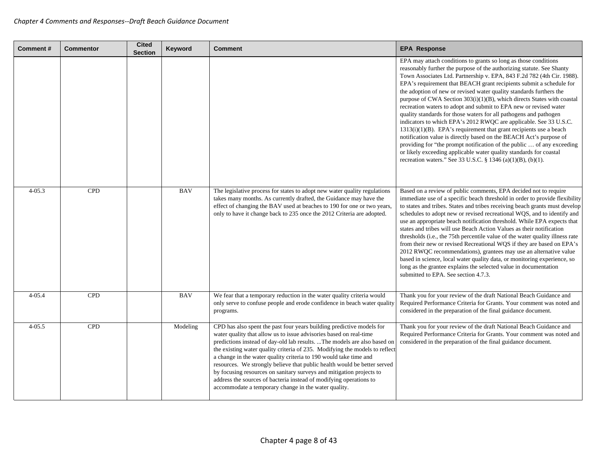| <b>Comment#</b> | <b>Commentor</b> | <b>Cited</b><br><b>Section</b> | Keyword    | <b>Comment</b>                                                                                                                                                                                                                                                                                                                                                                                                                                                                                                                                                                                                                                                 | <b>EPA Response</b>                                                                                                                                                                                                                                                                                                                                                                                                                                                                                                                                                                                                                                                                                                                                                                                                                                                                                                                                                                                                     |
|-----------------|------------------|--------------------------------|------------|----------------------------------------------------------------------------------------------------------------------------------------------------------------------------------------------------------------------------------------------------------------------------------------------------------------------------------------------------------------------------------------------------------------------------------------------------------------------------------------------------------------------------------------------------------------------------------------------------------------------------------------------------------------|-------------------------------------------------------------------------------------------------------------------------------------------------------------------------------------------------------------------------------------------------------------------------------------------------------------------------------------------------------------------------------------------------------------------------------------------------------------------------------------------------------------------------------------------------------------------------------------------------------------------------------------------------------------------------------------------------------------------------------------------------------------------------------------------------------------------------------------------------------------------------------------------------------------------------------------------------------------------------------------------------------------------------|
|                 |                  |                                |            |                                                                                                                                                                                                                                                                                                                                                                                                                                                                                                                                                                                                                                                                | EPA may attach conditions to grants so long as those conditions<br>reasonably further the purpose of the authorizing statute. See Shanty<br>Town Associates Ltd. Partnership v. EPA, 843 F.2d 782 (4th Cir. 1988).<br>EPA's requirement that BEACH grant recipients submit a schedule for<br>the adoption of new or revised water quality standards furthers the<br>purpose of CWA Section 303(i)(1)(B), which directs States with coastal<br>recreation waters to adopt and submit to EPA new or revised water<br>quality standards for those waters for all pathogens and pathogen<br>indicators to which EPA's 2012 RWQC are applicable. See 33 U.S.C.<br>$1313(i)(1)(B)$ . EPA's requirement that grant recipients use a beach<br>notification value is directly based on the BEACH Act's purpose of<br>providing for "the prompt notification of the public  of any exceeding<br>or likely exceeding applicable water quality standards for coastal<br>recreation waters." See 33 U.S.C. § 1346 (a)(1)(B), (b)(1). |
| $4 - 05.3$      | <b>CPD</b>       |                                | <b>BAV</b> | The legislative process for states to adopt new water quality regulations<br>takes many months. As currently drafted, the Guidance may have the<br>effect of changing the BAV used at beaches to 190 for one or two years,<br>only to have it change back to 235 once the 2012 Criteria are adopted.                                                                                                                                                                                                                                                                                                                                                           | Based on a review of public comments, EPA decided not to require<br>immediate use of a specific beach threshold in order to provide flexibility<br>to states and tribes. States and tribes receiving beach grants must develop<br>schedules to adopt new or revised recreational WQS, and to identify and<br>use an appropriate beach notification threshold. While EPA expects that<br>states and tribes will use Beach Action Values as their notification<br>thresholds (i.e., the 75th percentile value of the water quality illness rate<br>from their new or revised Recreational WQS if they are based on EPA's<br>2012 RWQC recommendations), grantees may use an alternative value<br>based in science, local water quality data, or monitoring experience, so<br>long as the grantee explains the selected value in documentation<br>submitted to EPA. See section 4.7.3.                                                                                                                                     |
| $4 - 05.4$      | <b>CPD</b>       |                                | <b>BAV</b> | We fear that a temporary reduction in the water quality criteria would<br>only serve to confuse people and erode confidence in beach water quality<br>programs.                                                                                                                                                                                                                                                                                                                                                                                                                                                                                                | Thank you for your review of the draft National Beach Guidance and<br>Required Performance Criteria for Grants. Your comment was noted and<br>considered in the preparation of the final guidance document.                                                                                                                                                                                                                                                                                                                                                                                                                                                                                                                                                                                                                                                                                                                                                                                                             |
| $4 - 05.5$      | <b>CPD</b>       |                                | Modeling   | CPD has also spent the past four years building predictive models for<br>water quality that allow us to issue advisories based on real-time<br>predictions instead of day-old lab results.  The models are also based on<br>the existing water quality criteria of 235. Modifying the models to reflect<br>a change in the water quality criteria to 190 would take time and<br>resources. We strongly believe that public health would be better served<br>by focusing resources on sanitary surveys and mitigation projects to<br>address the sources of bacteria instead of modifying operations to<br>accommodate a temporary change in the water quality. | Thank you for your review of the draft National Beach Guidance and<br>Required Performance Criteria for Grants. Your comment was noted and<br>considered in the preparation of the final guidance document.                                                                                                                                                                                                                                                                                                                                                                                                                                                                                                                                                                                                                                                                                                                                                                                                             |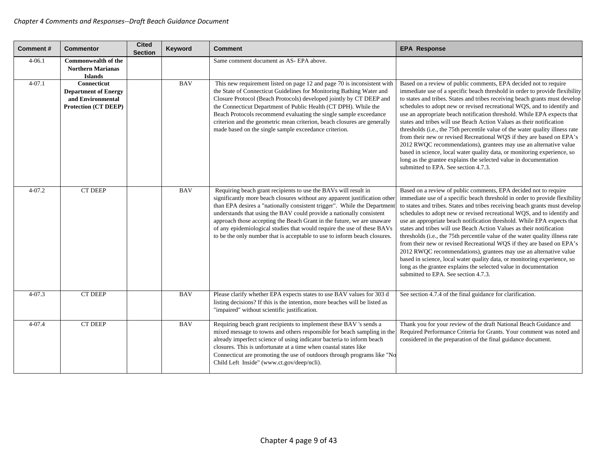| <b>Comment#</b> | Commentor                                                                               | <b>Cited</b><br><b>Section</b> | Keyword    | <b>Comment</b>                                                                                                                                                                                                                                                                                                                                                                                                                                                                                                                     | <b>EPA Response</b>                                                                                                                                                                                                                                                                                                                                                                                                                                                                                                                                                                                                                                                                                                                                                                                                                                                                 |
|-----------------|-----------------------------------------------------------------------------------------|--------------------------------|------------|------------------------------------------------------------------------------------------------------------------------------------------------------------------------------------------------------------------------------------------------------------------------------------------------------------------------------------------------------------------------------------------------------------------------------------------------------------------------------------------------------------------------------------|-------------------------------------------------------------------------------------------------------------------------------------------------------------------------------------------------------------------------------------------------------------------------------------------------------------------------------------------------------------------------------------------------------------------------------------------------------------------------------------------------------------------------------------------------------------------------------------------------------------------------------------------------------------------------------------------------------------------------------------------------------------------------------------------------------------------------------------------------------------------------------------|
| $4 - 06.1$      | <b>Commonwealth of the</b><br><b>Northern Marianas</b><br><b>Islands</b>                |                                |            | Same comment document as AS- EPA above.                                                                                                                                                                                                                                                                                                                                                                                                                                                                                            |                                                                                                                                                                                                                                                                                                                                                                                                                                                                                                                                                                                                                                                                                                                                                                                                                                                                                     |
| $4 - 07.1$      | Connecticut<br><b>Department of Energy</b><br>and Environmental<br>Protection (CT DEEP) |                                | <b>BAV</b> | This new requirement listed on page 12 and page 70 is inconsistent with<br>the State of Connecticut Guidelines for Monitoring Bathing Water and<br>Closure Protocol (Beach Protocols) developed jointly by CT DEEP and<br>the Connecticut Department of Public Health (CT DPH). While the<br>Beach Protocols recommend evaluating the single sample exceedance<br>criterion and the geometric mean criterion, beach closures are generally<br>made based on the single sample exceedance criterion.                                | Based on a review of public comments, EPA decided not to require<br>immediate use of a specific beach threshold in order to provide flexibility<br>to states and tribes. States and tribes receiving beach grants must develop<br>schedules to adopt new or revised recreational WQS, and to identify and<br>use an appropriate beach notification threshold. While EPA expects that<br>states and tribes will use Beach Action Values as their notification<br>thresholds (i.e., the 75th percentile value of the water quality illness rate<br>from their new or revised Recreational WQS if they are based on EPA's<br>2012 RWQC recommendations), grantees may use an alternative value<br>based in science, local water quality data, or monitoring experience, so<br>long as the grantee explains the selected value in documentation<br>submitted to EPA. See section 4.7.3. |
| $4 - 07.2$      | <b>CT DEEP</b>                                                                          |                                | <b>BAV</b> | Requiring beach grant recipients to use the BAVs will result in<br>significantly more beach closures without any apparent justification other<br>than EPA desires a "nationally consistent trigger". While the Departmen<br>understands that using the BAV could provide a nationally consistent<br>approach those accepting the Beach Grant in the future, we are unaware<br>of any epidemiological studies that would require the use of these BAVs<br>to be the only number that is acceptable to use to inform beach closures. | Based on a review of public comments, EPA decided not to require<br>immediate use of a specific beach threshold in order to provide flexibility<br>to states and tribes. States and tribes receiving beach grants must develop<br>schedules to adopt new or revised recreational WQS, and to identify and<br>use an appropriate beach notification threshold. While EPA expects that<br>states and tribes will use Beach Action Values as their notification<br>thresholds (i.e., the 75th percentile value of the water quality illness rate<br>from their new or revised Recreational WQS if they are based on EPA's<br>2012 RWQC recommendations), grantees may use an alternative value<br>based in science, local water quality data, or monitoring experience, so<br>long as the grantee explains the selected value in documentation<br>submitted to EPA. See section 4.7.3. |
| $4 - 07.3$      | <b>CT DEEP</b>                                                                          |                                | <b>BAV</b> | Please clarify whether EPA expects states to use BAV values for 303 d<br>listing decisions? If this is the intention, more beaches will be listed as<br>"impaired" without scientific justification.                                                                                                                                                                                                                                                                                                                               | See section 4.7.4 of the final guidance for clarification.                                                                                                                                                                                                                                                                                                                                                                                                                                                                                                                                                                                                                                                                                                                                                                                                                          |
| $4 - 07.4$      | <b>CT DEEP</b>                                                                          |                                | <b>BAV</b> | Requiring beach grant recipients to implement these BAV 's sends a<br>mixed message to towns and others responsible for beach sampling in the<br>already imperfect science of using indicator bacteria to inform beach<br>closures. This is unfortunate at a time when coastal states like<br>Connecticut are promoting the use of outdoors through programs like "No<br>Child Left Inside" (www.ct.gov/deep/ncli).                                                                                                                | Thank you for your review of the draft National Beach Guidance and<br>Required Performance Criteria for Grants. Your comment was noted and<br>considered in the preparation of the final guidance document.                                                                                                                                                                                                                                                                                                                                                                                                                                                                                                                                                                                                                                                                         |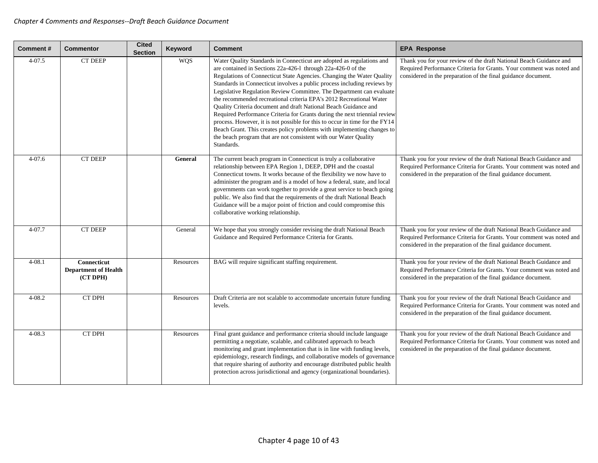| <b>Comment#</b> | <b>Commentor</b>                                       | <b>Cited</b><br><b>Section</b> | Keyword    | <b>Comment</b>                                                                                                                                                                                                                                                                                                                                                                                                                                                                                                                                                                                                                                                                                                                                                                                                                      | <b>EPA Response</b>                                                                                                                                                                                         |
|-----------------|--------------------------------------------------------|--------------------------------|------------|-------------------------------------------------------------------------------------------------------------------------------------------------------------------------------------------------------------------------------------------------------------------------------------------------------------------------------------------------------------------------------------------------------------------------------------------------------------------------------------------------------------------------------------------------------------------------------------------------------------------------------------------------------------------------------------------------------------------------------------------------------------------------------------------------------------------------------------|-------------------------------------------------------------------------------------------------------------------------------------------------------------------------------------------------------------|
| $4 - 07.5$      | <b>CT DEEP</b>                                         |                                | <b>WOS</b> | Water Quality Standards in Connecticut are adopted as regulations and<br>are contained in Sections 22a-426-1 through 22a-426-0 of the<br>Regulations of Connecticut State Agencies. Changing the Water Quality<br>Standards in Connecticut involves a public process including reviews by<br>Legislative Regulation Review Committee. The Department can evaluate<br>the recommended recreational criteria EPA's 2012 Recreational Water<br>Quality Criteria document and draft National Beach Guidance and<br>Required Performance Criteria for Grants during the next triennial review<br>process. However, it is not possible for this to occur in time for the FY14<br>Beach Grant. This creates policy problems with implementing changes to<br>the beach program that are not consistent with our Water Quality<br>Standards. | Thank you for your review of the draft National Beach Guidance and<br>Required Performance Criteria for Grants. Your comment was noted and<br>considered in the preparation of the final guidance document. |
| $4 - 07.6$      | <b>CT DEEP</b>                                         |                                | General    | The current beach program in Connecticut is truly a collaborative<br>relationship between EPA Region 1, DEEP, DPH and the coastal<br>Connecticut towns. It works because of the flexibility we now have to<br>administer the program and is a model of how a federal, state, and local<br>governments can work together to provide a great service to beach going<br>public. We also find that the requirements of the draft National Beach<br>Guidance will be a major point of friction and could compromise this<br>collaborative working relationship.                                                                                                                                                                                                                                                                          | Thank you for your review of the draft National Beach Guidance and<br>Required Performance Criteria for Grants. Your comment was noted and<br>considered in the preparation of the final guidance document. |
| $4 - 07.7$      | <b>CT DEEP</b>                                         |                                | General    | We hope that you strongly consider revising the draft National Beach<br>Guidance and Required Performance Criteria for Grants.                                                                                                                                                                                                                                                                                                                                                                                                                                                                                                                                                                                                                                                                                                      | Thank you for your review of the draft National Beach Guidance and<br>Required Performance Criteria for Grants. Your comment was noted and<br>considered in the preparation of the final guidance document. |
| $4 - 08.1$      | Connecticut<br><b>Department of Health</b><br>(CT DPH) |                                | Resources  | BAG will require significant staffing requirement.                                                                                                                                                                                                                                                                                                                                                                                                                                                                                                                                                                                                                                                                                                                                                                                  | Thank you for your review of the draft National Beach Guidance and<br>Required Performance Criteria for Grants. Your comment was noted and<br>considered in the preparation of the final guidance document. |
| $4 - 08.2$      | <b>CT DPH</b>                                          |                                | Resources  | Draft Criteria are not scalable to accommodate uncertain future funding<br>levels.                                                                                                                                                                                                                                                                                                                                                                                                                                                                                                                                                                                                                                                                                                                                                  | Thank you for your review of the draft National Beach Guidance and<br>Required Performance Criteria for Grants. Your comment was noted and<br>considered in the preparation of the final guidance document. |
| $4 - 08.3$      | <b>CT DPH</b>                                          |                                | Resources  | Final grant guidance and performance criteria should include language<br>permitting a negotiate, scalable, and calibrated approach to beach<br>monitoring and grant implementation that is in line with funding levels,<br>epidemiology, research findings, and collaborative models of governance<br>that require sharing of authority and encourage distributed public health<br>protection across jurisdictional and agency (organizational boundaries).                                                                                                                                                                                                                                                                                                                                                                         | Thank you for your review of the draft National Beach Guidance and<br>Required Performance Criteria for Grants. Your comment was noted and<br>considered in the preparation of the final guidance document. |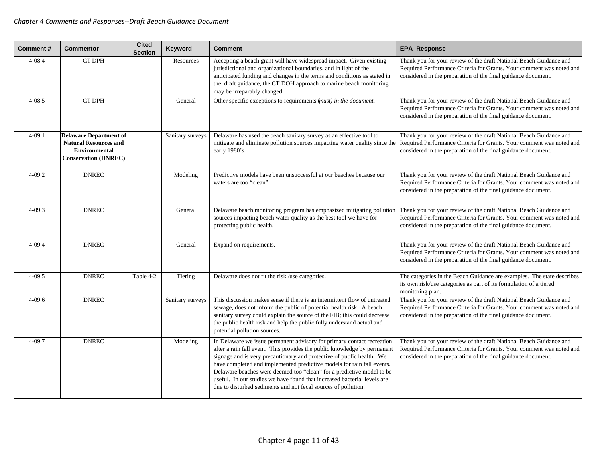| Comment#   | <b>Commentor</b>                                                                                                     | <b>Cited</b><br><b>Section</b> | Keyword          | <b>Comment</b>                                                                                                                                                                                                                                                                                                                                                                                                                                                                                                               | <b>EPA Response</b>                                                                                                                                                                                         |
|------------|----------------------------------------------------------------------------------------------------------------------|--------------------------------|------------------|------------------------------------------------------------------------------------------------------------------------------------------------------------------------------------------------------------------------------------------------------------------------------------------------------------------------------------------------------------------------------------------------------------------------------------------------------------------------------------------------------------------------------|-------------------------------------------------------------------------------------------------------------------------------------------------------------------------------------------------------------|
| $4 - 08.4$ | <b>CT DPH</b>                                                                                                        |                                | Resources        | Accepting a beach grant will have widespread impact. Given existing<br>jurisdictional and organizational boundaries, and in light of the<br>anticipated funding and changes in the terms and conditions as stated in<br>the draft guidance, the CT DOH approach to marine beach monitoring<br>may be irreparably changed.                                                                                                                                                                                                    | Thank you for your review of the draft National Beach Guidance and<br>Required Performance Criteria for Grants. Your comment was noted and<br>considered in the preparation of the final guidance document. |
| $4 - 08.5$ | <b>CT DPH</b>                                                                                                        |                                | General          | Other specific exceptions to requirements (must) in the document.                                                                                                                                                                                                                                                                                                                                                                                                                                                            | Thank you for your review of the draft National Beach Guidance and<br>Required Performance Criteria for Grants. Your comment was noted and<br>considered in the preparation of the final guidance document. |
| $4 - 09.1$ | <b>Delaware Department of</b><br><b>Natural Resources and</b><br><b>Environmental</b><br><b>Conservation (DNREC)</b> |                                | Sanitary surveys | Delaware has used the beach sanitary survey as an effective tool to<br>mitigate and eliminate pollution sources impacting water quality since the<br>early 1980's.                                                                                                                                                                                                                                                                                                                                                           | Thank you for your review of the draft National Beach Guidance and<br>Required Performance Criteria for Grants. Your comment was noted and<br>considered in the preparation of the final guidance document. |
| $4 - 09.2$ | <b>DNREC</b>                                                                                                         |                                | Modeling         | Predictive models have been unsuccessful at our beaches because our<br>waters are too "clean".                                                                                                                                                                                                                                                                                                                                                                                                                               | Thank you for your review of the draft National Beach Guidance and<br>Required Performance Criteria for Grants. Your comment was noted and<br>considered in the preparation of the final guidance document. |
| $4 - 09.3$ | <b>DNREC</b>                                                                                                         |                                | General          | Delaware beach monitoring program has emphasized mitigating pollution<br>sources impacting beach water quality as the best tool we have for<br>protecting public health.                                                                                                                                                                                                                                                                                                                                                     | Thank you for your review of the draft National Beach Guidance and<br>Required Performance Criteria for Grants. Your comment was noted and<br>considered in the preparation of the final guidance document. |
| $4 - 09.4$ | <b>DNREC</b>                                                                                                         |                                | General          | Expand on requirements.                                                                                                                                                                                                                                                                                                                                                                                                                                                                                                      | Thank you for your review of the draft National Beach Guidance and<br>Required Performance Criteria for Grants. Your comment was noted and<br>considered in the preparation of the final guidance document. |
| $4 - 09.5$ | <b>DNREC</b>                                                                                                         | Table 4-2                      | Tiering          | Delaware does not fit the risk /use categories.                                                                                                                                                                                                                                                                                                                                                                                                                                                                              | The categories in the Beach Guidance are examples. The state describes<br>its own risk/use categories as part of its formulation of a tiered<br>monitoring plan.                                            |
| $4 - 09.6$ | <b>DNREC</b>                                                                                                         |                                | Sanitary surveys | This discussion makes sense if there is an intermittent flow of untreated<br>sewage, does not inform the public of potential health risk. A beach<br>sanitary survey could explain the source of the FIB; this could decrease<br>the public health risk and help the public fully understand actual and<br>potential pollution sources.                                                                                                                                                                                      | Thank you for your review of the draft National Beach Guidance and<br>Required Performance Criteria for Grants. Your comment was noted and<br>considered in the preparation of the final guidance document. |
| $4 - 09.7$ | <b>DNREC</b>                                                                                                         |                                | Modeling         | In Delaware we issue permanent advisory for primary contact recreation<br>after a rain fall event. This provides the public knowledge by permanent<br>signage and is very precautionary and protective of public health. We<br>have completed and implemented predictive models for rain fall events.<br>Delaware beaches were deemed too "clean" for a predictive model to be<br>useful. In our studies we have found that increased bacterial levels are<br>due to disturbed sediments and not fecal sources of pollution. | Thank you for your review of the draft National Beach Guidance and<br>Required Performance Criteria for Grants. Your comment was noted and<br>considered in the preparation of the final guidance document. |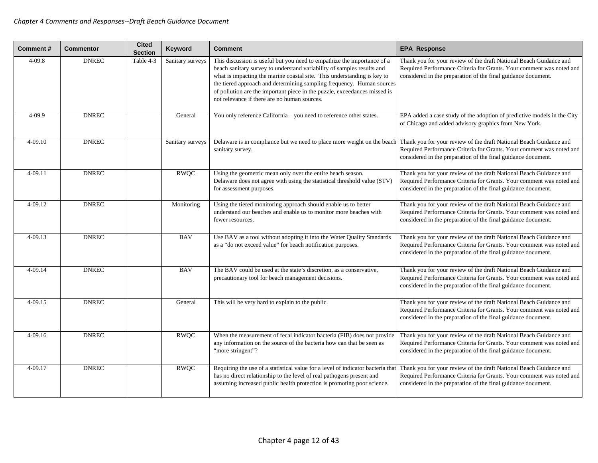| <b>Comment#</b> | <b>Commentor</b> | <b>Cited</b><br><b>Section</b> | Keyword          | <b>Comment</b>                                                                                                                                                                                                                                                                                                                                                                                                                     | <b>EPA Response</b>                                                                                                                                                                                         |
|-----------------|------------------|--------------------------------|------------------|------------------------------------------------------------------------------------------------------------------------------------------------------------------------------------------------------------------------------------------------------------------------------------------------------------------------------------------------------------------------------------------------------------------------------------|-------------------------------------------------------------------------------------------------------------------------------------------------------------------------------------------------------------|
| $4 - 09.8$      | <b>DNREC</b>     | Table 4-3                      | Sanitary surveys | This discussion is useful but you need to empathize the importance of a<br>beach sanitary survey to understand variability of samples results and<br>what is impacting the marine coastal site. This understanding is key to<br>the tiered approach and determining sampling frequency. Human sources<br>of pollution are the important piece in the puzzle, exceedances missed is<br>not relevance if there are no human sources. | Thank you for your review of the draft National Beach Guidance and<br>Required Performance Criteria for Grants. Your comment was noted and<br>considered in the preparation of the final guidance document. |
| 4-09.9          | <b>DNREC</b>     |                                | General          | You only reference California - you need to reference other states.                                                                                                                                                                                                                                                                                                                                                                | EPA added a case study of the adoption of predictive models in the City<br>of Chicago and added advisory graphics from New York.                                                                            |
| $4 - 09.10$     | <b>DNREC</b>     |                                | Sanitary surveys | Delaware is in compliance but we need to place more weight on the beach<br>sanitary survey.                                                                                                                                                                                                                                                                                                                                        | Thank you for your review of the draft National Beach Guidance and<br>Required Performance Criteria for Grants. Your comment was noted and<br>considered in the preparation of the final guidance document. |
| $4 - 09.11$     | <b>DNREC</b>     |                                | <b>RWOC</b>      | Using the geometric mean only over the entire beach season.<br>Delaware does not agree with using the statistical threshold value (STV)<br>for assessment purposes.                                                                                                                                                                                                                                                                | Thank you for your review of the draft National Beach Guidance and<br>Required Performance Criteria for Grants. Your comment was noted and<br>considered in the preparation of the final guidance document. |
| $4 - 09.12$     | <b>DNREC</b>     |                                | Monitoring       | Using the tiered monitoring approach should enable us to better<br>understand our beaches and enable us to monitor more beaches with<br>fewer resources.                                                                                                                                                                                                                                                                           | Thank you for your review of the draft National Beach Guidance and<br>Required Performance Criteria for Grants. Your comment was noted and<br>considered in the preparation of the final guidance document. |
| 4-09.13         | <b>DNREC</b>     |                                | <b>BAV</b>       | Use BAV as a tool without adopting it into the Water Quality Standards<br>as a "do not exceed value" for beach notification purposes.                                                                                                                                                                                                                                                                                              | Thank you for your review of the draft National Beach Guidance and<br>Required Performance Criteria for Grants. Your comment was noted and<br>considered in the preparation of the final guidance document. |
| 4-09.14         | <b>DNREC</b>     |                                | <b>BAV</b>       | The BAV could be used at the state's discretion, as a conservative,<br>precautionary tool for beach management decisions.                                                                                                                                                                                                                                                                                                          | Thank you for your review of the draft National Beach Guidance and<br>Required Performance Criteria for Grants. Your comment was noted and<br>considered in the preparation of the final guidance document. |
| $4 - 09.15$     | <b>DNREC</b>     |                                | General          | This will be very hard to explain to the public.                                                                                                                                                                                                                                                                                                                                                                                   | Thank you for your review of the draft National Beach Guidance and<br>Required Performance Criteria for Grants. Your comment was noted and<br>considered in the preparation of the final guidance document. |
| $4 - 09.16$     | <b>DNREC</b>     |                                | <b>RWQC</b>      | When the measurement of fecal indicator bacteria (FIB) does not provide<br>any information on the source of the bacteria how can that be seen as<br>"more stringent"?                                                                                                                                                                                                                                                              | Thank you for your review of the draft National Beach Guidance and<br>Required Performance Criteria for Grants. Your comment was noted and<br>considered in the preparation of the final guidance document. |
| 4-09.17         | <b>DNREC</b>     |                                | <b>RWQC</b>      | Requiring the use of a statistical value for a level of indicator bacteria tha<br>has no direct relationship to the level of real pathogens present and<br>assuming increased public health protection is promoting poor science.                                                                                                                                                                                                  | Thank you for your review of the draft National Beach Guidance and<br>Required Performance Criteria for Grants. Your comment was noted and<br>considered in the preparation of the final guidance document. |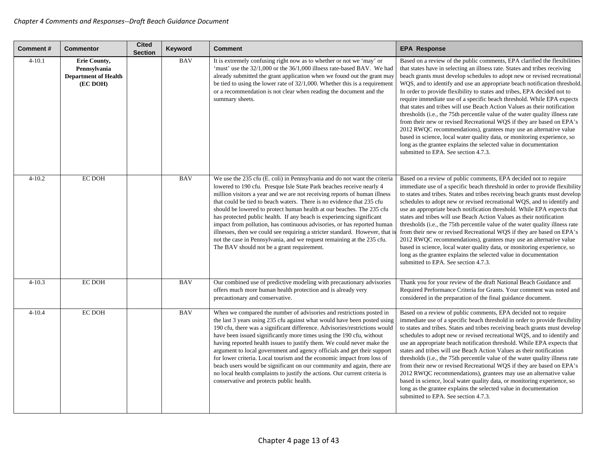| Comment#   | Commentor                                                                      | <b>Cited</b><br><b>Section</b> | Keyword    | <b>Comment</b>                                                                                                                                                                                                                                                                                                                                                                                                                                                                                                                                                                                                                                                                                                                              | <b>EPA Response</b>                                                                                                                                                                                                                                                                                                                                                                                                                                                                                                                                                                                                                                                                                                                                                                                                                                                                                                                                                        |
|------------|--------------------------------------------------------------------------------|--------------------------------|------------|---------------------------------------------------------------------------------------------------------------------------------------------------------------------------------------------------------------------------------------------------------------------------------------------------------------------------------------------------------------------------------------------------------------------------------------------------------------------------------------------------------------------------------------------------------------------------------------------------------------------------------------------------------------------------------------------------------------------------------------------|----------------------------------------------------------------------------------------------------------------------------------------------------------------------------------------------------------------------------------------------------------------------------------------------------------------------------------------------------------------------------------------------------------------------------------------------------------------------------------------------------------------------------------------------------------------------------------------------------------------------------------------------------------------------------------------------------------------------------------------------------------------------------------------------------------------------------------------------------------------------------------------------------------------------------------------------------------------------------|
| $4 - 10.1$ | <b>Erie County,</b><br>Pennsylvania<br><b>Department of Health</b><br>(EC DOH) |                                | <b>BAV</b> | It is extremely confusing right now as to whether or not we 'may' or<br>'must' use the 32/1,000 or the 36/1,000 illness rate-based BAV. We had<br>already submitted the grant application when we found out the grant may<br>be tied to using the lower rate of 32/1,000. Whether this is a requirement<br>or a recommendation is not clear when reading the document and the<br>summary sheets.                                                                                                                                                                                                                                                                                                                                            | Based on a review of the public comments, EPA clarified the flexibilities<br>that states have in selecting an illness rate. States and tribes receiving<br>beach grants must develop schedules to adopt new or revised recreational<br>WQS, and to identify and use an appropriate beach notification threshold.<br>In order to provide flexibility to states and tribes, EPA decided not to<br>require immediate use of a specific beach threshold. While EPA expects<br>that states and tribes will use Beach Action Values as their notification<br>thresholds (i.e., the 75th percentile value of the water quality illness rate<br>from their new or revised Recreational WQS if they are based on EPA's<br>2012 RWQC recommendations), grantees may use an alternative value<br>based in science, local water quality data, or monitoring experience, so<br>long as the grantee explains the selected value in documentation<br>submitted to EPA. See section 4.7.3. |
| $4 - 10.2$ | <b>EC DOH</b>                                                                  |                                | <b>BAV</b> | We use the 235 cfu (E. coli) in Pennsylvania and do not want the criteria<br>lowered to 190 cfu. Presque Isle State Park beaches receive nearly 4<br>million visitors a year and we are not receiving reports of human illness<br>that could be tied to beach waters. There is no evidence that 235 cfu<br>should be lowered to protect human health at our beaches. The 235 cfu<br>has protected public health. If any beach is experiencing significant<br>impact from pollution, has continuous advisories, or has reported human<br>illnesses, then we could see requiring a stricter standard. However, that i<br>not the case in Pennsylvania, and we request remaining at the 235 cfu.<br>The BAV should not be a grant requirement. | Based on a review of public comments, EPA decided not to require<br>immediate use of a specific beach threshold in order to provide flexibility<br>to states and tribes. States and tribes receiving beach grants must develop<br>schedules to adopt new or revised recreational WQS, and to identify and<br>use an appropriate beach notification threshold. While EPA expects that<br>states and tribes will use Beach Action Values as their notification<br>thresholds (i.e., the 75th percentile value of the water quality illness rate<br>from their new or revised Recreational WQS if they are based on EPA's<br>2012 RWQC recommendations), grantees may use an alternative value<br>based in science, local water quality data, or monitoring experience, so<br>long as the grantee explains the selected value in documentation<br>submitted to EPA. See section 4.7.3.                                                                                        |
| $4 - 10.3$ | <b>EC DOH</b>                                                                  |                                | <b>BAV</b> | Our combined use of predictive modeling with precautionary advisories<br>offers much more human health protection and is already very<br>precautionary and conservative.                                                                                                                                                                                                                                                                                                                                                                                                                                                                                                                                                                    | Thank you for your review of the draft National Beach Guidance and<br>Required Performance Criteria for Grants. Your comment was noted and<br>considered in the preparation of the final guidance document.                                                                                                                                                                                                                                                                                                                                                                                                                                                                                                                                                                                                                                                                                                                                                                |
| $4 - 10.4$ | <b>EC DOH</b>                                                                  |                                | <b>BAV</b> | When we compared the number of advisories and restrictions posted in<br>the last 3 years using 235 cfu against what would have been posted using<br>190 cfu, there was a significant difference. Advisories/restrictions would<br>have been issued significantly more times using the 190 cfu, without<br>having reported health issues to justify them. We could never make the<br>argument to local government and agency officials and get their support<br>for lower criteria. Local tourism and the economic impact from loss of<br>beach users would be significant on our community and again, there are<br>no local health complaints to justify the actions. Our current criteria is<br>conservative and protects public health.   | Based on a review of public comments, EPA decided not to require<br>immediate use of a specific beach threshold in order to provide flexibility<br>to states and tribes. States and tribes receiving beach grants must develop<br>schedules to adopt new or revised recreational WQS, and to identify and<br>use an appropriate beach notification threshold. While EPA expects that<br>states and tribes will use Beach Action Values as their notification<br>thresholds (i.e., the 75th percentile value of the water quality illness rate<br>from their new or revised Recreational WQS if they are based on EPA's<br>2012 RWQC recommendations), grantees may use an alternative value<br>based in science, local water quality data, or monitoring experience, so<br>long as the grantee explains the selected value in documentation<br>submitted to EPA. See section 4.7.3.                                                                                        |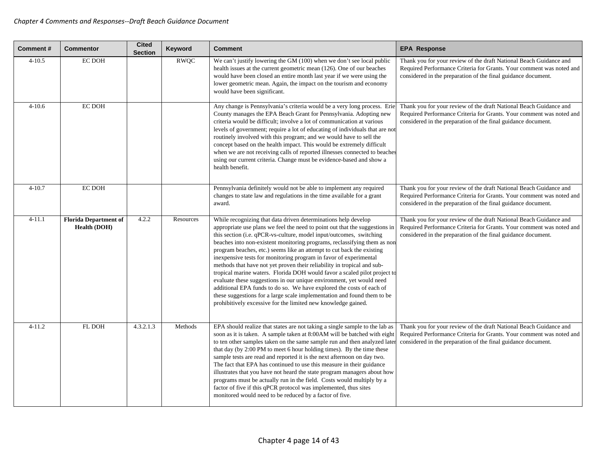| <b>Comment#</b> | <b>Commentor</b>                                    | <b>Cited</b><br><b>Section</b> | Keyword     | <b>Comment</b>                                                                                                                                                                                                                                                                                                                                                                                                                                                                                                                                                                                                                                                                                                                                                                                                                                                                                     | <b>EPA Response</b>                                                                                                                                                                                         |
|-----------------|-----------------------------------------------------|--------------------------------|-------------|----------------------------------------------------------------------------------------------------------------------------------------------------------------------------------------------------------------------------------------------------------------------------------------------------------------------------------------------------------------------------------------------------------------------------------------------------------------------------------------------------------------------------------------------------------------------------------------------------------------------------------------------------------------------------------------------------------------------------------------------------------------------------------------------------------------------------------------------------------------------------------------------------|-------------------------------------------------------------------------------------------------------------------------------------------------------------------------------------------------------------|
| $4 - 10.5$      | <b>EC DOH</b>                                       |                                | <b>RWOC</b> | We can't justify lowering the GM (100) when we don't see local public<br>health issues at the current geometric mean (126). One of our beaches<br>would have been closed an entire month last year if we were using the<br>lower geometric mean. Again, the impact on the tourism and economy<br>would have been significant.                                                                                                                                                                                                                                                                                                                                                                                                                                                                                                                                                                      | Thank you for your review of the draft National Beach Guidance and<br>Required Performance Criteria for Grants. Your comment was noted and<br>considered in the preparation of the final guidance document. |
| $4 - 10.6$      | <b>EC DOH</b>                                       |                                |             | Any change is Pennsylvania's criteria would be a very long process. Erie<br>County manages the EPA Beach Grant for Pennsylvania. Adopting new<br>criteria would be difficult; involve a lot of communication at various<br>levels of government; require a lot of educating of individuals that are not<br>routinely involved with this program; and we would have to sell the<br>concept based on the health impact. This would be extremely difficult<br>when we are not receiving calls of reported illnesses connected to beaches<br>using our current criteria. Change must be evidence-based and show a<br>health benefit.                                                                                                                                                                                                                                                                   | Thank you for your review of the draft National Beach Guidance and<br>Required Performance Criteria for Grants. Your comment was noted and<br>considered in the preparation of the final guidance document. |
| $4 - 10.7$      | <b>EC DOH</b>                                       |                                |             | Pennsylvania definitely would not be able to implement any required<br>changes to state law and regulations in the time available for a grant<br>award.                                                                                                                                                                                                                                                                                                                                                                                                                                                                                                                                                                                                                                                                                                                                            | Thank you for your review of the draft National Beach Guidance and<br>Required Performance Criteria for Grants. Your comment was noted and<br>considered in the preparation of the final guidance document. |
| $4 - 11.1$      | <b>Florida Department of</b><br><b>Health (DOH)</b> | 4.2.2                          | Resources   | While recognizing that data driven determinations help develop<br>appropriate use plans we feel the need to point out that the suggestions in<br>this section (i.e. qPCR-vs-culture, model input/outcomes, switching<br>beaches into non-existent monitoring programs, reclassifying them as non<br>program beaches, etc.) seems like an attempt to cut back the existing<br>inexpensive tests for monitoring program in favor of experimental<br>methods that have not yet proven their reliability in tropical and sub-<br>tropical marine waters. Florida DOH would favor a scaled pilot project to<br>evaluate these suggestions in our unique environment, yet would need<br>additional EPA funds to do so. We have explored the costs of each of<br>these suggestions for a large scale implementation and found them to be<br>prohibitively excessive for the limited new knowledge gained. | Thank you for your review of the draft National Beach Guidance and<br>Required Performance Criteria for Grants. Your comment was noted and<br>considered in the preparation of the final guidance document. |
| $4 - 11.2$      | FL DOH                                              | 4.3.2.1.3                      | Methods     | EPA should realize that states are not taking a single sample to the lab as<br>soon as it is taken. A sample taken at 8:00AM will be batched with eight<br>to ten other samples taken on the same sample run and then analyzed later<br>that day (by 2:00 PM to meet 6 hour holding times). By the time these<br>sample tests are read and reported it is the next afternoon on day two.<br>The fact that EPA has continued to use this measure in their guidance<br>illustrates that you have not heard the state program managers about how<br>programs must be actually run in the field. Costs would multiply by a<br>factor of five if this qPCR protocol was implemented, thus sites<br>monitored would need to be reduced by a factor of five.                                                                                                                                              | Thank you for your review of the draft National Beach Guidance and<br>Required Performance Criteria for Grants. Your comment was noted and<br>considered in the preparation of the final guidance document. |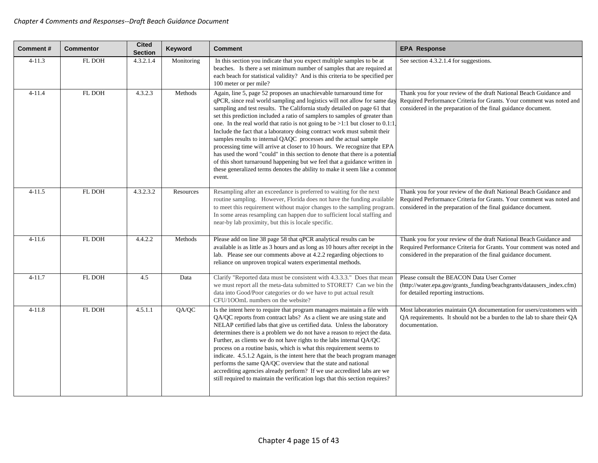| <b>Comment#</b> | <b>Commentor</b> | <b>Cited</b><br><b>Section</b> | Keyword    | <b>Comment</b>                                                                                                                                                                                                                                                                                                                                                                                                                                                                                                                                                                                                                                                                                                                                                                                                                                                                  | <b>EPA Response</b>                                                                                                                                                                                         |
|-----------------|------------------|--------------------------------|------------|---------------------------------------------------------------------------------------------------------------------------------------------------------------------------------------------------------------------------------------------------------------------------------------------------------------------------------------------------------------------------------------------------------------------------------------------------------------------------------------------------------------------------------------------------------------------------------------------------------------------------------------------------------------------------------------------------------------------------------------------------------------------------------------------------------------------------------------------------------------------------------|-------------------------------------------------------------------------------------------------------------------------------------------------------------------------------------------------------------|
| $4 - 11.3$      | FL DOH           | 4.3.2.1.4                      | Monitoring | In this section you indicate that you expect multiple samples to be at<br>beaches. Is there a set minimum number of samples that are required at<br>each beach for statistical validity? And is this criteria to be specified per<br>100 meter or per mile?                                                                                                                                                                                                                                                                                                                                                                                                                                                                                                                                                                                                                     | See section 4.3.2.1.4 for suggestions.                                                                                                                                                                      |
| $4 - 11.4$      | FL DOH           | 4.3.2.3                        | Methods    | Again, line 5, page 52 proposes an unachievable turnaround time for<br>qPCR, since real world sampling and logistics will not allow for same day<br>sampling and test results. The California study detailed on page 61 that<br>set this prediction included a ratio of samplers to samples of greater than<br>one. In the real world that ratio is not going to be $>1:1$ but closer to 0.1:1<br>Include the fact that a laboratory doing contract work must submit their<br>samples results to internal QAQC processes and the actual sample<br>processing time will arrive at closer to 10 hours. We recognize that EPA<br>has used the word "could" in this section to denote that there is a potential<br>of this short turnaround happening but we feel that a guidance written in<br>these generalized terms denotes the ability to make it seem like a commor<br>event. | Thank you for your review of the draft National Beach Guidance and<br>Required Performance Criteria for Grants. Your comment was noted and<br>considered in the preparation of the final guidance document. |
| $4 - 11.5$      | FL DOH           | 4.3.2.3.2                      | Resources  | Resampling after an exceedance is preferred to waiting for the next<br>routine sampling. However, Florida does not have the funding available<br>to meet this requirement without major changes to the sampling program<br>In some areas resampling can happen due to sufficient local staffing and<br>near-by lab proximity, but this is locale specific.                                                                                                                                                                                                                                                                                                                                                                                                                                                                                                                      | Thank you for your review of the draft National Beach Guidance and<br>Required Performance Criteria for Grants. Your comment was noted and<br>considered in the preparation of the final guidance document. |
| $4 - 11.6$      | FL DOH           | 4.4.2.2                        | Methods    | Please add on line 38 page 58 that qPCR analytical results can be<br>available is as little as 3 hours and as long as 10 hours after receipt in the<br>lab. Please see our comments above at 4.2.2 regarding objections to<br>reliance on unproven tropical waters experimental methods.                                                                                                                                                                                                                                                                                                                                                                                                                                                                                                                                                                                        | Thank you for your review of the draft National Beach Guidance and<br>Required Performance Criteria for Grants. Your comment was noted and<br>considered in the preparation of the final guidance document. |
| $4 - 11.7$      | FL DOH           | 4.5                            | Data       | Clarify "Reported data must be consistent with 4.3.3.3." Does that mean<br>we must report all the meta-data submitted to STORET? Can we bin the<br>data into Good/Poor categories or do we have to put actual result<br>CFU/1OOmL numbers on the website?                                                                                                                                                                                                                                                                                                                                                                                                                                                                                                                                                                                                                       | Please consult the BEACON Data User Corner<br>(http://water.epa.gov/grants_funding/beachgrants/datausers_index.cfm)<br>for detailed reporting instructions.                                                 |
| $4 - 11.8$      | FL DOH           | 4.5.1.1                        | QA/QC      | Is the intent here to require that program managers maintain a file with<br>QA/QC reports from contract labs? As a client we are using state and<br>NELAP certified labs that give us certified data. Unless the laboratory<br>determines there is a problem we do not have a reason to reject the data.<br>Further, as clients we do not have rights to the labs internal QA/QC<br>process on a routine basis, which is what this requirement seems to<br>indicate. 4.5.1.2 Again, is the intent here that the beach program manager<br>performs the same QA/QC overview that the state and national<br>accrediting agencies already perform? If we use accredited labs are we<br>still required to maintain the verification logs that this section requires?                                                                                                                 | Most laboratories maintain QA documentation for users/customers with<br>QA requirements. It should not be a burden to the lab to share their QA<br>documentation.                                           |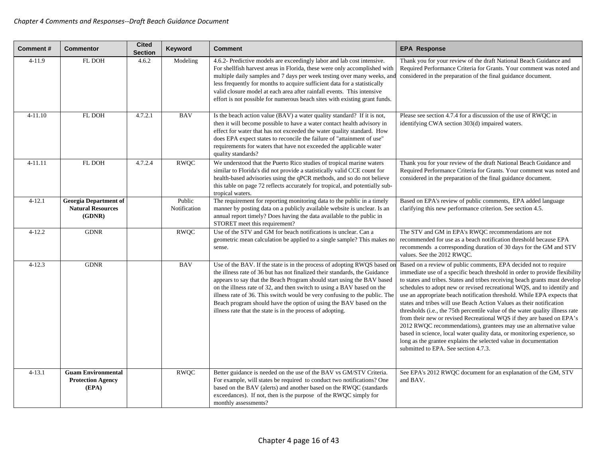| Comment#    | <b>Commentor</b>                                                   | <b>Cited</b><br><b>Section</b> | Keyword                | <b>Comment</b>                                                                                                                                                                                                                                                                                                                                                                                                                                                                                                               | <b>EPA Response</b>                                                                                                                                                                                                                                                                                                                                                                                                                                                                                                                                                                                                                                                                                                                                                                                                                                                                 |
|-------------|--------------------------------------------------------------------|--------------------------------|------------------------|------------------------------------------------------------------------------------------------------------------------------------------------------------------------------------------------------------------------------------------------------------------------------------------------------------------------------------------------------------------------------------------------------------------------------------------------------------------------------------------------------------------------------|-------------------------------------------------------------------------------------------------------------------------------------------------------------------------------------------------------------------------------------------------------------------------------------------------------------------------------------------------------------------------------------------------------------------------------------------------------------------------------------------------------------------------------------------------------------------------------------------------------------------------------------------------------------------------------------------------------------------------------------------------------------------------------------------------------------------------------------------------------------------------------------|
| $4 - 11.9$  | FL DOH                                                             | 4.6.2                          | Modeling               | 4.6.2- Predictive models are exceedingly labor and lab cost intensive.<br>For shellfish harvest areas in Florida, these were only accomplished with<br>multiple daily samples and 7 days per week testing over many weeks, and<br>less frequently for months to acquire sufficient data for a statistically<br>valid closure model at each area after rainfall events. This intensive<br>effort is not possible for numerous beach sites with existing grant funds.                                                          | Thank you for your review of the draft National Beach Guidance and<br>Required Performance Criteria for Grants. Your comment was noted and<br>considered in the preparation of the final guidance document.                                                                                                                                                                                                                                                                                                                                                                                                                                                                                                                                                                                                                                                                         |
| $4 - 11.10$ | FL DOH                                                             | 4.7.2.1                        | <b>BAV</b>             | Is the beach action value (BAV) a water quality standard? If it is not,<br>then it will become possible to have a water contact health advisory in<br>effect for water that has not exceeded the water quality standard. How<br>does EPA expect states to reconcile the failure of "attainment of use"<br>requirements for waters that have not exceeded the applicable water<br>quality standards?                                                                                                                          | Please see section 4.7.4 for a discussion of the use of RWQC in<br>identifying CWA section 303(d) impaired waters.                                                                                                                                                                                                                                                                                                                                                                                                                                                                                                                                                                                                                                                                                                                                                                  |
| 4-11.11     | FL DOH                                                             | 4.7.2.4                        | <b>RWQC</b>            | We understood that the Puerto Rico studies of tropical marine waters<br>similar to Florida's did not provide a statistically valid CCE count for<br>health-based advisories using the qPCR methods, and so do not believe<br>this table on page 72 reflects accurately for tropical, and potentially sub-<br>tropical waters.                                                                                                                                                                                                | Thank you for your review of the draft National Beach Guidance and<br>Required Performance Criteria for Grants. Your comment was noted and<br>considered in the preparation of the final guidance document.                                                                                                                                                                                                                                                                                                                                                                                                                                                                                                                                                                                                                                                                         |
| $4 - 12.1$  | <b>Georgia Department of</b><br><b>Natural Resources</b><br>(GDNR) |                                | Public<br>Notification | The requirement for reporting monitoring data to the public in a timely<br>manner by posting data on a publicly available website is unclear. Is an<br>annual report timely? Does having the data available to the public in<br>STORET meet this requirement?                                                                                                                                                                                                                                                                | Based on EPA's review of public comments, EPA added language<br>clarifying this new performance criterion. See section 4.5.                                                                                                                                                                                                                                                                                                                                                                                                                                                                                                                                                                                                                                                                                                                                                         |
| $4 - 12.2$  | <b>GDNR</b>                                                        |                                | <b>RWQC</b>            | Use of the STV and GM for beach notifications is unclear. Can a<br>geometric mean calculation be applied to a single sample? This makes no<br>sense.                                                                                                                                                                                                                                                                                                                                                                         | The STV and GM in EPA's RWQC recommendations are not<br>recommended for use as a beach notification threshold because EPA<br>recommends a corresponding duration of 30 days for the GM and STV<br>values. See the 2012 RWQC.                                                                                                                                                                                                                                                                                                                                                                                                                                                                                                                                                                                                                                                        |
| $4 - 12.3$  | <b>GDNR</b>                                                        |                                | <b>BAV</b>             | Use of the BAV. If the state is in the process of adopting RWQS based or<br>the illness rate of 36 but has not finalized their standards, the Guidance<br>appears to say that the Beach Program should start using the BAV based<br>on the illness rate of 32, and then switch to using a BAV based on the<br>illness rate of 36. This switch would be very confusing to the public. The<br>Beach program should have the option of using the BAV based on the<br>illness rate that the state is in the process of adopting. | Based on a review of public comments, EPA decided not to require<br>immediate use of a specific beach threshold in order to provide flexibility<br>to states and tribes. States and tribes receiving beach grants must develop<br>schedules to adopt new or revised recreational WQS, and to identify and<br>use an appropriate beach notification threshold. While EPA expects that<br>states and tribes will use Beach Action Values as their notification<br>thresholds (i.e., the 75th percentile value of the water quality illness rate<br>from their new or revised Recreational WQS if they are based on EPA's<br>2012 RWQC recommendations), grantees may use an alternative value<br>based in science, local water quality data, or monitoring experience, so<br>long as the grantee explains the selected value in documentation<br>submitted to EPA. See section 4.7.3. |
| $4 - 13.1$  | <b>Guam Environmental</b><br><b>Protection Agency</b><br>(EPA)     |                                | <b>RWQC</b>            | Better guidance is needed on the use of the BAV vs GM/STV Criteria.<br>For example, will states be required to conduct two notifications? One<br>based on the BAV (alerts) and another based on the RWQC (standards<br>exceedances). If not, then is the purpose of the RWQC simply for<br>monthly assessments?                                                                                                                                                                                                              | See EPA's 2012 RWQC document for an explanation of the GM, STV<br>and BAV.                                                                                                                                                                                                                                                                                                                                                                                                                                                                                                                                                                                                                                                                                                                                                                                                          |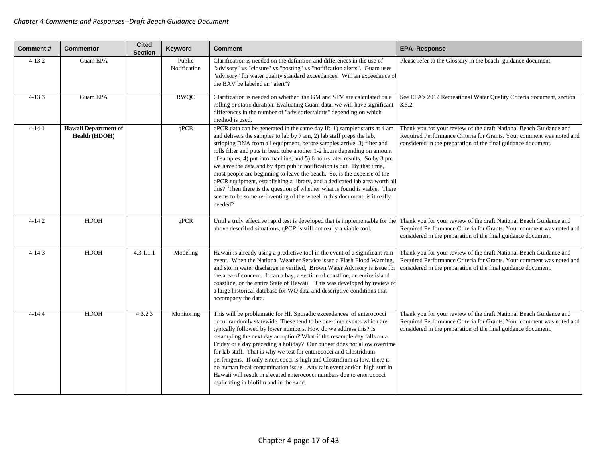| Comment#   | <b>Commentor</b>                             | <b>Cited</b><br><b>Section</b> | Keyword                | Comment                                                                                                                                                                                                                                                                                                                                                                                                                                                                                                                                                                                                                                                                                                                                                                                     | <b>EPA Response</b>                                                                                                                                                                                         |
|------------|----------------------------------------------|--------------------------------|------------------------|---------------------------------------------------------------------------------------------------------------------------------------------------------------------------------------------------------------------------------------------------------------------------------------------------------------------------------------------------------------------------------------------------------------------------------------------------------------------------------------------------------------------------------------------------------------------------------------------------------------------------------------------------------------------------------------------------------------------------------------------------------------------------------------------|-------------------------------------------------------------------------------------------------------------------------------------------------------------------------------------------------------------|
| $4 - 13.2$ | Guam EPA                                     |                                | Public<br>Notification | Clarification is needed on the definition and differences in the use of<br>"advisory" vs "closure" vs "posting" vs "notification alerts". Guam uses<br>"advisory" for water quality standard exceedances. Will an exceedance of<br>the BAV be labeled an "alert"?                                                                                                                                                                                                                                                                                                                                                                                                                                                                                                                           | Please refer to the Glossary in the beach guidance document.                                                                                                                                                |
| $4 - 13.3$ | Guam EPA                                     |                                | <b>RWQC</b>            | Clarification is needed on whether the GM and STV are calculated on a<br>rolling or static duration. Evaluating Guam data, we will have significant<br>differences in the number of "advisories/alerts" depending on which<br>method is used.                                                                                                                                                                                                                                                                                                                                                                                                                                                                                                                                               | See EPA's 2012 Recreational Water Quality Criteria document, section<br>3.6.2.                                                                                                                              |
| $4 - 14.1$ | <b>Hawaii Department of</b><br>Health (HDOH) |                                | qPCR                   | qPCR data can be generated in the same day if: 1) sampler starts at 4 am<br>and delivers the samples to lab by 7 am, 2) lab staff preps the lab,<br>stripping DNA from all equipment, before samples arrive, 3) filter and<br>rolls filter and puts in bead tube another 1-2 hours depending on amount<br>of samples, 4) put into machine, and 5) 6 hours later results. So by 3 pm<br>we have the data and by 4pm public notification is out. By that time,<br>most people are beginning to leave the beach. So, is the expense of the<br>qPCR equipment, establishing a library, and a dedicated lab area worth all<br>this? Then there is the question of whether what is found is viable. There<br>seems to be some re-inventing of the wheel in this document, is it really<br>needed? | Thank you for your review of the draft National Beach Guidance and<br>Required Performance Criteria for Grants. Your comment was noted and<br>considered in the preparation of the final guidance document. |
| $4 - 14.2$ | <b>HDOH</b>                                  |                                | qPCR                   | Until a truly effective rapid test is developed that is implementable for the<br>above described situations, qPCR is still not really a viable tool.                                                                                                                                                                                                                                                                                                                                                                                                                                                                                                                                                                                                                                        | Thank you for your review of the draft National Beach Guidance and<br>Required Performance Criteria for Grants. Your comment was noted and<br>considered in the preparation of the final guidance document. |
| $4 - 14.3$ | <b>HDOH</b>                                  | 4.3.1.1.1                      | Modeling               | Hawaii is already using a predictive tool in the event of a significant rain<br>event. When the National Weather Service issue a Flash Flood Warning,<br>and storm water discharge is verified, Brown Water Advisory is issue for<br>the area of concern. It can a bay, a section of coastline, an entire island<br>coastline, or the entire State of Hawaii. This was developed by review of<br>a large historical database for WQ data and descriptive conditions that<br>accompany the data.                                                                                                                                                                                                                                                                                             | Thank you for your review of the draft National Beach Guidance and<br>Required Performance Criteria for Grants. Your comment was noted and<br>considered in the preparation of the final guidance document. |
| $4 - 14.4$ | <b>HDOH</b>                                  | 4.3.2.3                        | Monitoring             | This will be problematic for HI. Sporadic exceedances of enterococci<br>occur randomly statewide. These tend to be one-time events which are<br>typically followed by lower numbers. How do we address this? Is<br>resampling the next day an option? What if the resample day falls on a<br>Friday or a day preceding a holiday? Our budget does not allow overtime<br>for lab staff. That is why we test for enterococci and Clostridium<br>perfringens. If only enterococci is high and Clostridium is low, there is<br>no human fecal contamination issue. Any rain event and/or high surf in<br>Hawaii will result in elevated enterococci numbers due to enterococci<br>replicating in biofilm and in the sand.                                                                       | Thank you for your review of the draft National Beach Guidance and<br>Required Performance Criteria for Grants. Your comment was noted and<br>considered in the preparation of the final guidance document. |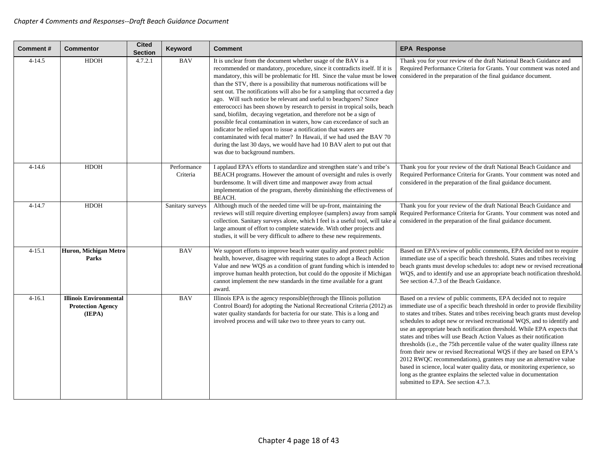| <b>Comment#</b> | <b>Commentor</b>                                                    | <b>Cited</b><br><b>Section</b> | Keyword                 | <b>Comment</b>                                                                                                                                                                                                                                                                                                                                                                                                                                                                                                                                                                                                                                                                                                                                                                                                                                                                                                                                | <b>EPA Response</b>                                                                                                                                                                                                                                                                                                                                                                                                                                                                                                                                                                                                                                                                                                                                                                                                                                                                 |
|-----------------|---------------------------------------------------------------------|--------------------------------|-------------------------|-----------------------------------------------------------------------------------------------------------------------------------------------------------------------------------------------------------------------------------------------------------------------------------------------------------------------------------------------------------------------------------------------------------------------------------------------------------------------------------------------------------------------------------------------------------------------------------------------------------------------------------------------------------------------------------------------------------------------------------------------------------------------------------------------------------------------------------------------------------------------------------------------------------------------------------------------|-------------------------------------------------------------------------------------------------------------------------------------------------------------------------------------------------------------------------------------------------------------------------------------------------------------------------------------------------------------------------------------------------------------------------------------------------------------------------------------------------------------------------------------------------------------------------------------------------------------------------------------------------------------------------------------------------------------------------------------------------------------------------------------------------------------------------------------------------------------------------------------|
| $4 - 14.5$      | <b>HDOH</b>                                                         | 4.7.2.1                        | <b>BAV</b>              | It is unclear from the document whether usage of the BAV is a<br>recommended or mandatory, procedure, since it contradicts itself. If it is<br>mandatory, this will be problematic for HI. Since the value must be lowe<br>than the STV, there is a possibility that numerous notifications will be<br>sent out. The notifications will also be for a sampling that occurred a day<br>ago. Will such notice be relevant and useful to beachgoers? Since<br>enterococci has been shown by research to persist in tropical soils, beach<br>sand, biofilm, decaying vegetation, and therefore not be a sign of<br>possible fecal contamination in waters, how can exceedance of such an<br>indicator be relied upon to issue a notification that waters are<br>contaminated with fecal matter? In Hawaii, if we had used the BAV 70<br>during the last 30 days, we would have had 10 BAV alert to put out that<br>was due to background numbers. | Thank you for your review of the draft National Beach Guidance and<br>Required Performance Criteria for Grants. Your comment was noted and<br>considered in the preparation of the final guidance document.                                                                                                                                                                                                                                                                                                                                                                                                                                                                                                                                                                                                                                                                         |
| $4 - 14.6$      | <b>HDOH</b>                                                         |                                | Performance<br>Criteria | I applaud EPA's efforts to standardize and strengthen state's and tribe's<br>BEACH programs. However the amount of oversight and rules is overly<br>burdensome. It will divert time and manpower away from actual<br>implementation of the program, thereby diminishing the effectiveness of<br><b>BEACH.</b>                                                                                                                                                                                                                                                                                                                                                                                                                                                                                                                                                                                                                                 | Thank you for your review of the draft National Beach Guidance and<br>Required Performance Criteria for Grants. Your comment was noted and<br>considered in the preparation of the final guidance document.                                                                                                                                                                                                                                                                                                                                                                                                                                                                                                                                                                                                                                                                         |
| $4 - 14.7$      | <b>HDOH</b>                                                         |                                | Sanitary surveys        | Although much of the needed time will be up-front, maintaining the<br>reviews will still require diverting employee (samplers) away from sample<br>collection. Sanitary surveys alone, which I feel is a useful tool, will take a<br>large amount of effort to complete statewide. With other projects and<br>studies, it will be very difficult to adhere to these new requirements.                                                                                                                                                                                                                                                                                                                                                                                                                                                                                                                                                         | Thank you for your review of the draft National Beach Guidance and<br>Required Performance Criteria for Grants. Your comment was noted and<br>considered in the preparation of the final guidance document.                                                                                                                                                                                                                                                                                                                                                                                                                                                                                                                                                                                                                                                                         |
| $4 - 15.1$      | Huron, Michigan Metro<br>Parks                                      |                                | <b>BAV</b>              | We support efforts to improve beach water quality and protect public<br>health, however, disagree with requiring states to adopt a Beach Action<br>Value and new WQS as a condition of grant funding which is intended to<br>improve human health protection, but could do the opposite if Michigan<br>cannot implement the new standards in the time available for a grant<br>award.                                                                                                                                                                                                                                                                                                                                                                                                                                                                                                                                                         | Based on EPA's review of public comments, EPA decided not to require<br>immediate use of a specific beach threshold. States and tribes receiving<br>beach grants must develop schedules to: adopt new or revised recreational<br>WQS, and to identify and use an appropriate beach notification threshold.<br>See section 4.7.3 of the Beach Guidance.                                                                                                                                                                                                                                                                                                                                                                                                                                                                                                                              |
| $4 - 16.1$      | <b>Illinois Environmental</b><br><b>Protection Agency</b><br>(IEPA) |                                | <b>BAV</b>              | Illinois EPA is the agency responsible (through the Illinois pollution<br>Control Board) for adopting the National Recreational Criteria (2012) as<br>water quality standards for bacteria for our state. This is a long and<br>involved process and will take two to three years to carry out.                                                                                                                                                                                                                                                                                                                                                                                                                                                                                                                                                                                                                                               | Based on a review of public comments, EPA decided not to require<br>immediate use of a specific beach threshold in order to provide flexibility<br>to states and tribes. States and tribes receiving beach grants must develop<br>schedules to adopt new or revised recreational WQS, and to identify and<br>use an appropriate beach notification threshold. While EPA expects that<br>states and tribes will use Beach Action Values as their notification<br>thresholds (i.e., the 75th percentile value of the water quality illness rate<br>from their new or revised Recreational WQS if they are based on EPA's<br>2012 RWQC recommendations), grantees may use an alternative value<br>based in science, local water quality data, or monitoring experience, so<br>long as the grantee explains the selected value in documentation<br>submitted to EPA. See section 4.7.3. |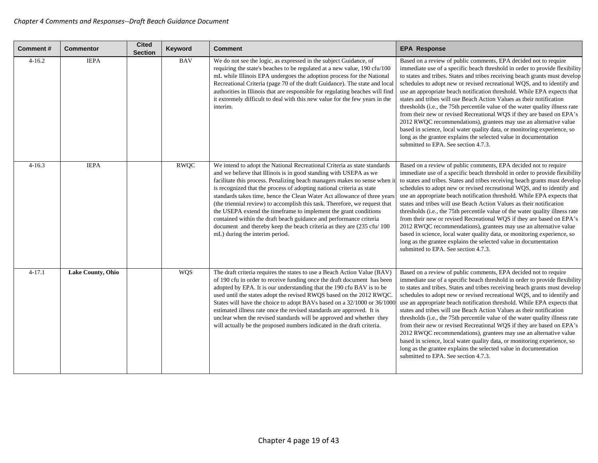| Comment#   | <b>Commentor</b>         | <b>Cited</b><br><b>Section</b> | Keyword     | Comment                                                                                                                                                                                                                                                                                                                                                                                                                                                                                                                                                                                                                                                                                                            | <b>EPA Response</b>                                                                                                                                                                                                                                                                                                                                                                                                                                                                                                                                                                                                                                                                                                                                                                                                                                                                 |
|------------|--------------------------|--------------------------------|-------------|--------------------------------------------------------------------------------------------------------------------------------------------------------------------------------------------------------------------------------------------------------------------------------------------------------------------------------------------------------------------------------------------------------------------------------------------------------------------------------------------------------------------------------------------------------------------------------------------------------------------------------------------------------------------------------------------------------------------|-------------------------------------------------------------------------------------------------------------------------------------------------------------------------------------------------------------------------------------------------------------------------------------------------------------------------------------------------------------------------------------------------------------------------------------------------------------------------------------------------------------------------------------------------------------------------------------------------------------------------------------------------------------------------------------------------------------------------------------------------------------------------------------------------------------------------------------------------------------------------------------|
| $4 - 16.2$ | <b>IEPA</b>              |                                | <b>BAV</b>  | We do not see the logic, as expressed in the subject Guidance, of<br>requiring the state's beaches to be regulated at a new value, 190 cfu/100<br>mL while Illinois EPA undergoes the adoption process for the National<br>Recreational Criteria (page 70 of the draft Guidance). The state and local<br>authorities in Illinois that are responsible for regulating beaches will find<br>it extremely difficult to deal with this new value for the few years in the<br>interim.                                                                                                                                                                                                                                  | Based on a review of public comments, EPA decided not to require<br>immediate use of a specific beach threshold in order to provide flexibility<br>to states and tribes. States and tribes receiving beach grants must develop<br>schedules to adopt new or revised recreational WOS, and to identify and<br>use an appropriate beach notification threshold. While EPA expects that<br>states and tribes will use Beach Action Values as their notification<br>thresholds (i.e., the 75th percentile value of the water quality illness rate<br>from their new or revised Recreational WQS if they are based on EPA's<br>2012 RWQC recommendations), grantees may use an alternative value<br>based in science, local water quality data, or monitoring experience, so<br>long as the grantee explains the selected value in documentation<br>submitted to EPA. See section 4.7.3. |
| $4 - 16.3$ | <b>IEPA</b>              |                                | <b>RWQC</b> | We intend to adopt the National Recreational Criteria as state standards<br>and we believe that Illinois is in good standing with USEPA as we<br>facilitate this process. Penalizing beach managers makes no sense when it<br>is recognized that the process of adopting national criteria as state<br>standards takes time, hence the Clean Water Act allowance of three years<br>(the triennial review) to accomplish this task. Therefore, we request that<br>the USEPA extend the timeframe to implement the grant conditions<br>contained within the draft beach guidance and performance criteria<br>document and thereby keep the beach criteria as they are (235 cfu/100<br>mL) during the interim period. | Based on a review of public comments, EPA decided not to require<br>immediate use of a specific beach threshold in order to provide flexibility<br>to states and tribes. States and tribes receiving beach grants must develop<br>schedules to adopt new or revised recreational WQS, and to identify and<br>use an appropriate beach notification threshold. While EPA expects that<br>states and tribes will use Beach Action Values as their notification<br>thresholds (i.e., the 75th percentile value of the water quality illness rate<br>from their new or revised Recreational WQS if they are based on EPA's<br>2012 RWQC recommendations), grantees may use an alternative value<br>based in science, local water quality data, or monitoring experience, so<br>long as the grantee explains the selected value in documentation<br>submitted to EPA. See section 4.7.3. |
| $4 - 17.1$ | <b>Lake County, Ohio</b> |                                | <b>WQS</b>  | The draft criteria requires the states to use a Beach Action Value (BAV)<br>of 190 cfu in order to receive funding once the draft document has been<br>adopted by EPA. It is our understanding that the 190 cfu BAV is to be<br>used until the states adopt the revised RWQS based on the 2012 RWQC.<br>States will have the choice to adopt BAVs based on a 32/1000 or 36/1000<br>estimated illness rate once the revised standards are approved. It is<br>unclear when the revised standards will be approved and whether they<br>will actually be the proposed numbers indicated in the draft criteria.                                                                                                         | Based on a review of public comments, EPA decided not to require<br>immediate use of a specific beach threshold in order to provide flexibility<br>to states and tribes. States and tribes receiving beach grants must develop<br>schedules to adopt new or revised recreational WQS, and to identify and<br>use an appropriate beach notification threshold. While EPA expects that<br>states and tribes will use Beach Action Values as their notification<br>thresholds (i.e., the 75th percentile value of the water quality illness rate<br>from their new or revised Recreational WQS if they are based on EPA's<br>2012 RWQC recommendations), grantees may use an alternative value<br>based in science, local water quality data, or monitoring experience, so<br>long as the grantee explains the selected value in documentation<br>submitted to EPA. See section 4.7.3. |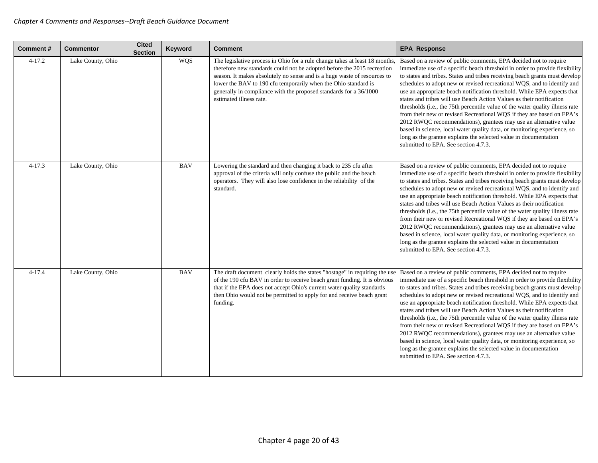| <b>Comment#</b> | <b>Commentor</b>  | <b>Cited</b><br><b>Section</b> | Keyword    | <b>Comment</b>                                                                                                                                                                                                                                                                                                                                                                                      | <b>EPA Response</b>                                                                                                                                                                                                                                                                                                                                                                                                                                                                                                                                                                                                                                                                                                                                                                                                                                                                 |
|-----------------|-------------------|--------------------------------|------------|-----------------------------------------------------------------------------------------------------------------------------------------------------------------------------------------------------------------------------------------------------------------------------------------------------------------------------------------------------------------------------------------------------|-------------------------------------------------------------------------------------------------------------------------------------------------------------------------------------------------------------------------------------------------------------------------------------------------------------------------------------------------------------------------------------------------------------------------------------------------------------------------------------------------------------------------------------------------------------------------------------------------------------------------------------------------------------------------------------------------------------------------------------------------------------------------------------------------------------------------------------------------------------------------------------|
| $4 - 17.2$      | Lake County, Ohio |                                | <b>WQS</b> | The legislative process in Ohio for a rule change takes at least 18 months<br>therefore new standards could not be adopted before the 2015 recreation<br>season. It makes absolutely no sense and is a huge waste of resources to<br>lower the BAV to 190 cfu temporarily when the Ohio standard is<br>generally in compliance with the proposed standards for a 36/1000<br>estimated illness rate. | Based on a review of public comments, EPA decided not to require<br>immediate use of a specific beach threshold in order to provide flexibility<br>to states and tribes. States and tribes receiving beach grants must develop<br>schedules to adopt new or revised recreational WQS, and to identify and<br>use an appropriate beach notification threshold. While EPA expects that<br>states and tribes will use Beach Action Values as their notification<br>thresholds (i.e., the 75th percentile value of the water quality illness rate<br>from their new or revised Recreational WQS if they are based on EPA's<br>2012 RWQC recommendations), grantees may use an alternative value<br>based in science, local water quality data, or monitoring experience, so<br>long as the grantee explains the selected value in documentation<br>submitted to EPA. See section 4.7.3. |
| $4 - 17.3$      | Lake County, Ohio |                                | <b>BAV</b> | Lowering the standard and then changing it back to 235 cfu after<br>approval of the criteria will only confuse the public and the beach<br>operators. They will also lose confidence in the reliability of the<br>standard.                                                                                                                                                                         | Based on a review of public comments, EPA decided not to require<br>immediate use of a specific beach threshold in order to provide flexibility<br>to states and tribes. States and tribes receiving beach grants must develop<br>schedules to adopt new or revised recreational WQS, and to identify and<br>use an appropriate beach notification threshold. While EPA expects that<br>states and tribes will use Beach Action Values as their notification<br>thresholds (i.e., the 75th percentile value of the water quality illness rate<br>from their new or revised Recreational WQS if they are based on EPA's<br>2012 RWQC recommendations), grantees may use an alternative value<br>based in science, local water quality data, or monitoring experience, so<br>long as the grantee explains the selected value in documentation<br>submitted to EPA. See section 4.7.3. |
| $4 - 17.4$      | Lake County, Ohio |                                | <b>BAV</b> | The draft document clearly holds the states "hostage" in requiring the use<br>of the 190 cfu BAV in order to receive beach grant funding. It is obvious<br>that if the EPA does not accept Ohio's current water quality standards<br>then Ohio would not be permitted to apply for and receive beach grant<br>funding.                                                                              | Based on a review of public comments, EPA decided not to require<br>immediate use of a specific beach threshold in order to provide flexibility<br>to states and tribes. States and tribes receiving beach grants must develop<br>schedules to adopt new or revised recreational WQS, and to identify and<br>use an appropriate beach notification threshold. While EPA expects that<br>states and tribes will use Beach Action Values as their notification<br>thresholds (i.e., the 75th percentile value of the water quality illness rate<br>from their new or revised Recreational WQS if they are based on EPA's<br>2012 RWQC recommendations), grantees may use an alternative value<br>based in science, local water quality data, or monitoring experience, so<br>long as the grantee explains the selected value in documentation<br>submitted to EPA. See section 4.7.3. |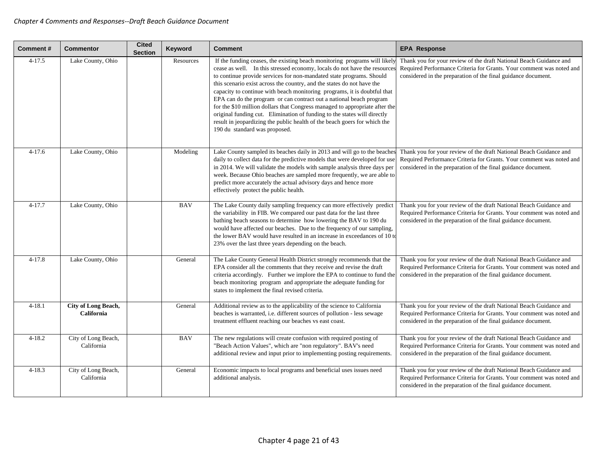| Comment#   | <b>Commentor</b>                         | <b>Cited</b><br><b>Section</b> | Keyword    | <b>Comment</b>                                                                                                                                                                                                                                                                                                                                                                                                                                                                                                                                                                                                                                                                                                                       | <b>EPA Response</b>                                                                                                                                                                                         |
|------------|------------------------------------------|--------------------------------|------------|--------------------------------------------------------------------------------------------------------------------------------------------------------------------------------------------------------------------------------------------------------------------------------------------------------------------------------------------------------------------------------------------------------------------------------------------------------------------------------------------------------------------------------------------------------------------------------------------------------------------------------------------------------------------------------------------------------------------------------------|-------------------------------------------------------------------------------------------------------------------------------------------------------------------------------------------------------------|
| $4-17.5$   | Lake County, Ohio                        |                                | Resources  | If the funding ceases, the existing beach monitoring programs will likely<br>cease as well. In this stressed economy, locals do not have the resources<br>to continue provide services for non-mandated state programs. Should<br>this scenario exist across the country, and the states do not have the<br>capacity to continue with beach monitoring programs, it is doubtful that<br>EPA can do the program or can contract out a national beach program<br>for the \$10 million dollars that Congress managed to appropriate after the<br>original funding cut. Elimination of funding to the states will directly<br>result in jeopardizing the public health of the beach goers for which the<br>190 du standard was proposed. | Thank you for your review of the draft National Beach Guidance and<br>Required Performance Criteria for Grants. Your comment was noted and<br>considered in the preparation of the final guidance document. |
| $4 - 17.6$ | Lake County, Ohio                        |                                | Modeling   | Lake County sampled its beaches daily in 2013 and will go to the beaches<br>daily to collect data for the predictive models that were developed for use<br>in 2014. We will validate the models with sample analysis three days per<br>week. Because Ohio beaches are sampled more frequently, we are able to<br>predict more accurately the actual advisory days and hence more<br>effectively protect the public health.                                                                                                                                                                                                                                                                                                           | Thank you for your review of the draft National Beach Guidance and<br>Required Performance Criteria for Grants. Your comment was noted and<br>considered in the preparation of the final guidance document. |
| $4 - 17.7$ | Lake County, Ohio                        |                                | <b>BAV</b> | The Lake County daily sampling frequency can more effectively predict<br>the variability in FIB. We compared our past data for the last three<br>bathing beach seasons to determine how lowering the BAV to 190 du<br>would have affected our beaches. Due to the frequency of our sampling,<br>the lower BAV would have resulted in an increase in exceedances of 10 to<br>23% over the last three years depending on the beach.                                                                                                                                                                                                                                                                                                    | Thank you for your review of the draft National Beach Guidance and<br>Required Performance Criteria for Grants. Your comment was noted and<br>considered in the preparation of the final guidance document. |
| $4 - 17.8$ | Lake County, Ohio                        |                                | General    | The Lake County General Health District strongly recommends that the<br>EPA consider all the comments that they receive and revise the draft<br>criteria accordingly. Further we implore the EPA to continue to fund the<br>beach monitoring program and appropriate the adequate funding for<br>states to implement the final revised criteria.                                                                                                                                                                                                                                                                                                                                                                                     | Thank you for your review of the draft National Beach Guidance and<br>Required Performance Criteria for Grants. Your comment was noted and<br>considered in the preparation of the final guidance document. |
| $4 - 18.1$ | <b>City of Long Beach,</b><br>California |                                | General    | Additional review as to the applicability of the science to California<br>beaches is warranted, i.e. different sources of pollution - less sewage<br>treatment effluent reaching our beaches vs east coast.                                                                                                                                                                                                                                                                                                                                                                                                                                                                                                                          | Thank you for your review of the draft National Beach Guidance and<br>Required Performance Criteria for Grants. Your comment was noted and<br>considered in the preparation of the final guidance document. |
| $4 - 18.2$ | City of Long Beach,<br>California        |                                | <b>BAV</b> | The new regulations will create confusion with required posting of<br>"Beach Action Values", which are "non regulatory". BAV's need<br>additional review and input prior to implementing posting requirements.                                                                                                                                                                                                                                                                                                                                                                                                                                                                                                                       | Thank you for your review of the draft National Beach Guidance and<br>Required Performance Criteria for Grants. Your comment was noted and<br>considered in the preparation of the final guidance document. |
| $4 - 18.3$ | City of Long Beach,<br>California        |                                | General    | Economic impacts to local programs and beneficial uses issues need<br>additional analysis.                                                                                                                                                                                                                                                                                                                                                                                                                                                                                                                                                                                                                                           | Thank you for your review of the draft National Beach Guidance and<br>Required Performance Criteria for Grants. Your comment was noted and<br>considered in the preparation of the final guidance document. |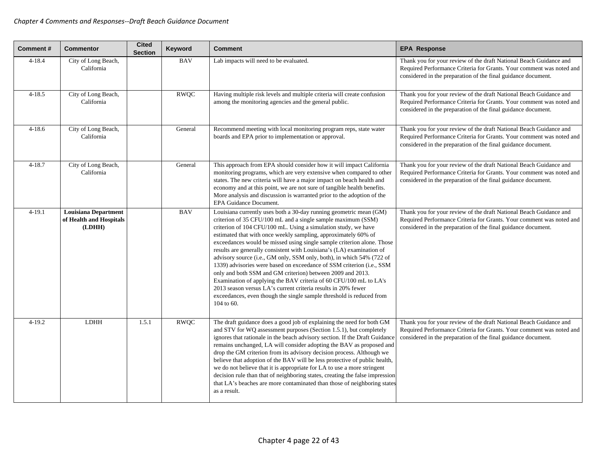| <b>Comment#</b> | <b>Commentor</b>                                                 | <b>Cited</b><br><b>Section</b> | Keyword     | <b>Comment</b>                                                                                                                                                                                                                                                                                                                                                                                                                                                                                                                                                                                                                                                                                                                                                                                                                                                        | <b>EPA Response</b>                                                                                                                                                                                         |
|-----------------|------------------------------------------------------------------|--------------------------------|-------------|-----------------------------------------------------------------------------------------------------------------------------------------------------------------------------------------------------------------------------------------------------------------------------------------------------------------------------------------------------------------------------------------------------------------------------------------------------------------------------------------------------------------------------------------------------------------------------------------------------------------------------------------------------------------------------------------------------------------------------------------------------------------------------------------------------------------------------------------------------------------------|-------------------------------------------------------------------------------------------------------------------------------------------------------------------------------------------------------------|
| $4 - 18.4$      | City of Long Beach,<br>California                                |                                | <b>BAV</b>  | Lab impacts will need to be evaluated.                                                                                                                                                                                                                                                                                                                                                                                                                                                                                                                                                                                                                                                                                                                                                                                                                                | Thank you for your review of the draft National Beach Guidance and<br>Required Performance Criteria for Grants. Your comment was noted and<br>considered in the preparation of the final guidance document. |
| $4 - 18.5$      | City of Long Beach,<br>California                                |                                | <b>RWQC</b> | Having multiple risk levels and multiple criteria will create confusion<br>among the monitoring agencies and the general public.                                                                                                                                                                                                                                                                                                                                                                                                                                                                                                                                                                                                                                                                                                                                      | Thank you for your review of the draft National Beach Guidance and<br>Required Performance Criteria for Grants. Your comment was noted and<br>considered in the preparation of the final guidance document. |
| $4 - 18.6$      | City of Long Beach,<br>California                                |                                | General     | Recommend meeting with local monitoring program reps, state water<br>boards and EPA prior to implementation or approval.                                                                                                                                                                                                                                                                                                                                                                                                                                                                                                                                                                                                                                                                                                                                              | Thank you for your review of the draft National Beach Guidance and<br>Required Performance Criteria for Grants. Your comment was noted and<br>considered in the preparation of the final guidance document. |
| $4 - 18.7$      | City of Long Beach,<br>California                                |                                | General     | This approach from EPA should consider how it will impact California<br>monitoring programs, which are very extensive when compared to other<br>states. The new criteria will have a major impact on beach health and<br>economy and at this point, we are not sure of tangible health benefits.<br>More analysis and discussion is warranted prior to the adoption of the<br><b>EPA Guidance Document.</b>                                                                                                                                                                                                                                                                                                                                                                                                                                                           | Thank you for your review of the draft National Beach Guidance and<br>Required Performance Criteria for Grants. Your comment was noted and<br>considered in the preparation of the final guidance document. |
| $4 - 19.1$      | <b>Louisiana Department</b><br>of Health and Hospitals<br>(LDHH) |                                | <b>BAV</b>  | Louisiana currently uses both a 30-day running geometric mean (GM)<br>criterion of 35 CFU/100 mL and a single sample maximum (SSM)<br>criterion of 104 CFU/100 mL. Using a simulation study, we have<br>estimated that with once weekly sampling, approximately 60% of<br>exceedances would be missed using single sample criterion alone. Those<br>results are generally consistent with Louisiana's (LA) examination of<br>advisory source (i.e., GM only, SSM only, both), in which 54% (722 of<br>1339) advisories were based on exceedance of SSM criterion (i.e., SSM<br>only and both SSM and GM criterion) between 2009 and 2013.<br>Examination of applying the BAV criteria of 60 CFU/100 mL to LA's<br>2013 season versus LA's current criteria results in 20% fewer<br>exceedances, even though the single sample threshold is reduced from<br>104 to 60. | Thank you for your review of the draft National Beach Guidance and<br>Required Performance Criteria for Grants. Your comment was noted and<br>considered in the preparation of the final guidance document. |
| $4 - 19.2$      | <b>LDHH</b>                                                      | 1.5.1                          | <b>RWQC</b> | The draft guidance does a good job of explaining the need for both GM<br>and STV for WQ assessment purposes (Section 1.5.1), but completely<br>ignores that rationale in the beach advisory section. If the Draft Guidance<br>remains unchanged, LA will consider adopting the BAV as proposed and<br>drop the GM criterion from its advisory decision process. Although we<br>believe that adoption of the BAV will be less protective of public health,<br>we do not believe that it is appropriate for LA to use a more stringent<br>decision rule than that of neighboring states, creating the false impression<br>that LA's beaches are more contaminated than those of neighboring states<br>as a result.                                                                                                                                                      | Thank you for your review of the draft National Beach Guidance and<br>Required Performance Criteria for Grants. Your comment was noted and<br>considered in the preparation of the final guidance document. |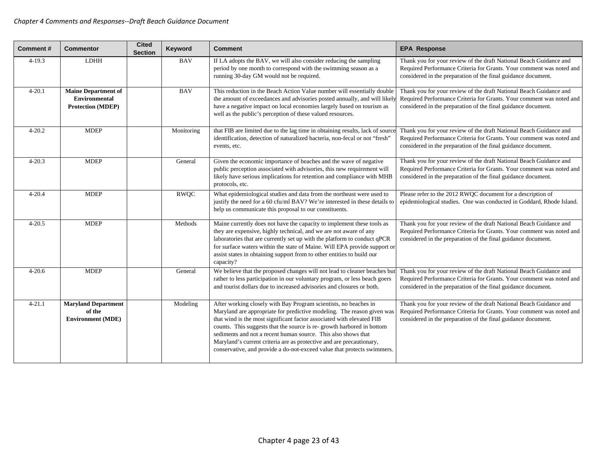| <b>Comment#</b> | <b>Commentor</b>                                                               | <b>Cited</b><br><b>Section</b> | Keyword     | <b>Comment</b>                                                                                                                                                                                                                                                                                                                                                                                                                                                                                                   | <b>EPA Response</b>                                                                                                                                                                                         |
|-----------------|--------------------------------------------------------------------------------|--------------------------------|-------------|------------------------------------------------------------------------------------------------------------------------------------------------------------------------------------------------------------------------------------------------------------------------------------------------------------------------------------------------------------------------------------------------------------------------------------------------------------------------------------------------------------------|-------------------------------------------------------------------------------------------------------------------------------------------------------------------------------------------------------------|
| $4-19.3$        | <b>LDHH</b>                                                                    |                                | <b>BAV</b>  | If LA adopts the BAV, we will also consider reducing the sampling<br>period by one month to correspond with the swimming season as a<br>running 30-day GM would not be required.                                                                                                                                                                                                                                                                                                                                 | Thank you for your review of the draft National Beach Guidance and<br>Required Performance Criteria for Grants. Your comment was noted and<br>considered in the preparation of the final guidance document. |
| $4 - 20.1$      | <b>Maine Department of</b><br><b>Environmental</b><br><b>Protection (MDEP)</b> |                                | <b>BAV</b>  | This reduction in the Beach Action Value number will essentially double<br>the amount of exceedances and advisories posted annually, and will likely<br>have a negative impact on local economies largely based on tourism as<br>well as the public's perception of these valued resources.                                                                                                                                                                                                                      | Thank you for your review of the draft National Beach Guidance and<br>Required Performance Criteria for Grants. Your comment was noted and<br>considered in the preparation of the final guidance document. |
| $4 - 20.2$      | <b>MDEP</b>                                                                    |                                | Monitoring  | that FIB are limited due to the lag time in obtaining results, lack of source<br>identification, detection of naturalized bacteria, non-fecal or not "fresh"<br>events, etc.                                                                                                                                                                                                                                                                                                                                     | Thank you for your review of the draft National Beach Guidance and<br>Required Performance Criteria for Grants. Your comment was noted and<br>considered in the preparation of the final guidance document. |
| $4 - 20.3$      | <b>MDEP</b>                                                                    |                                | General     | Given the economic importance of beaches and the wave of negative<br>public perception associated with advisories, this new requirement will<br>likely have serious implications for retention and compliance with MHB<br>protocols, etc.                                                                                                                                                                                                                                                                        | Thank you for your review of the draft National Beach Guidance and<br>Required Performance Criteria for Grants. Your comment was noted and<br>considered in the preparation of the final guidance document. |
| $4 - 20.4$      | <b>MDEP</b>                                                                    |                                | <b>RWQC</b> | What epidemiological studies and data from the northeast were used to<br>justify the need for a 60 cfu/ml BAV? We're interested in these details to<br>help us communicate this proposal to our constituents.                                                                                                                                                                                                                                                                                                    | Please refer to the 2012 RWQC document for a description of<br>epidemiological studies. One was conducted in Goddard, Rhode Island.                                                                         |
| $4 - 20.5$      | <b>MDEP</b>                                                                    |                                | Methods     | Maine currently does not have the capacity to implement these tools as<br>they are expensive, highly technical, and we are not aware of any<br>laboratories that are currently set up with the platform to conduct qPCR<br>for surface waters within the state of Maine. Will EPA provide support of<br>assist states in obtaining support from to other entities to build our<br>capacity?                                                                                                                      | Thank you for your review of the draft National Beach Guidance and<br>Required Performance Criteria for Grants. Your comment was noted and<br>considered in the preparation of the final guidance document. |
| $4 - 20.6$      | <b>MDEP</b>                                                                    |                                | General     | We believe that the proposed changes will not lead to cleaner beaches but<br>rather to less participation in our voluntary program, or less beach goers<br>and tourist dollars due to increased advisories and closures or both.                                                                                                                                                                                                                                                                                 | Thank you for your review of the draft National Beach Guidance and<br>Required Performance Criteria for Grants. Your comment was noted and<br>considered in the preparation of the final guidance document. |
| $4 - 21.1$      | <b>Maryland Department</b><br>of the<br><b>Environment (MDE)</b>               |                                | Modeling    | After working closely with Bay Program scientists, no beaches in<br>Maryland are appropriate for predictive modeling. The reason given was<br>that wind is the most significant factor associated with elevated FIB<br>counts. This suggests that the source is re-growth harbored in bottom<br>sediments and not a recent human source. This also shows that<br>Maryland's current criteria are as protective and are precautionary,<br>conservative, and provide a do-not-exceed value that protects swimmers. | Thank you for your review of the draft National Beach Guidance and<br>Required Performance Criteria for Grants. Your comment was noted and<br>considered in the preparation of the final guidance document. |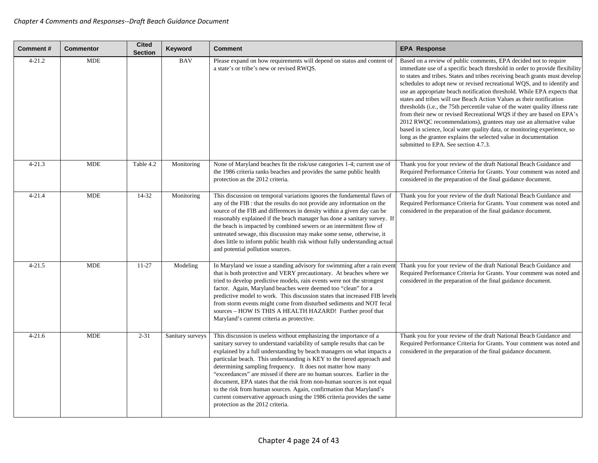| <b>Comment#</b> | <b>Commentor</b> | <b>Cited</b><br><b>Section</b> | Keyword          | <b>Comment</b>                                                                                                                                                                                                                                                                                                                                                                                                                                                                                                                                                                                                                                                                                            | <b>EPA Response</b>                                                                                                                                                                                                                                                                                                                                                                                                                                                                                                                                                                                                                                                                                                                                                                                                                                                                 |
|-----------------|------------------|--------------------------------|------------------|-----------------------------------------------------------------------------------------------------------------------------------------------------------------------------------------------------------------------------------------------------------------------------------------------------------------------------------------------------------------------------------------------------------------------------------------------------------------------------------------------------------------------------------------------------------------------------------------------------------------------------------------------------------------------------------------------------------|-------------------------------------------------------------------------------------------------------------------------------------------------------------------------------------------------------------------------------------------------------------------------------------------------------------------------------------------------------------------------------------------------------------------------------------------------------------------------------------------------------------------------------------------------------------------------------------------------------------------------------------------------------------------------------------------------------------------------------------------------------------------------------------------------------------------------------------------------------------------------------------|
| $4 - 21.2$      | <b>MDE</b>       |                                | <b>BAV</b>       | Please expand on how requirements will depend on status and content of<br>a state's or tribe's new or revised RWQS.                                                                                                                                                                                                                                                                                                                                                                                                                                                                                                                                                                                       | Based on a review of public comments, EPA decided not to require<br>immediate use of a specific beach threshold in order to provide flexibility<br>to states and tribes. States and tribes receiving beach grants must develop<br>schedules to adopt new or revised recreational WQS, and to identify and<br>use an appropriate beach notification threshold. While EPA expects that<br>states and tribes will use Beach Action Values as their notification<br>thresholds (i.e., the 75th percentile value of the water quality illness rate<br>from their new or revised Recreational WQS if they are based on EPA's<br>2012 RWQC recommendations), grantees may use an alternative value<br>based in science, local water quality data, or monitoring experience, so<br>long as the grantee explains the selected value in documentation<br>submitted to EPA. See section 4.7.3. |
| $4 - 21.3$      | <b>MDE</b>       | Table 4.2                      | Monitoring       | None of Maryland beaches fit the risk/use categories 1-4; current use of<br>the 1986 criteria ranks beaches and provides the same public health<br>protection as the 2012 criteria.                                                                                                                                                                                                                                                                                                                                                                                                                                                                                                                       | Thank you for your review of the draft National Beach Guidance and<br>Required Performance Criteria for Grants. Your comment was noted and<br>considered in the preparation of the final guidance document.                                                                                                                                                                                                                                                                                                                                                                                                                                                                                                                                                                                                                                                                         |
| $4 - 21.4$      | <b>MDE</b>       | $14 - 32$                      | Monitoring       | This discussion on temporal variations ignores the fundamental flaws of<br>any of the FIB : that the results do not provide any information on the<br>source of the FIB and differences in density within a given day can be<br>reasonably explained if the beach manager has done a sanitary survey. If<br>the beach is impacted by combined sewers or an intermittent flow of<br>untreated sewage, this discussion may make some sense, otherwise, it<br>does little to inform public health risk without fully understanding actual<br>and potential pollution sources.                                                                                                                                | Thank you for your review of the draft National Beach Guidance and<br>Required Performance Criteria for Grants. Your comment was noted and<br>considered in the preparation of the final guidance document.                                                                                                                                                                                                                                                                                                                                                                                                                                                                                                                                                                                                                                                                         |
| $4 - 21.5$      | <b>MDE</b>       | $11 - 27$                      | Modeling         | In Maryland we issue a standing advisory for swimming after a rain even<br>that is both protective and VERY precautionary. At beaches where we<br>tried to develop predictive models, rain events were not the strongest<br>factor. Again, Maryland beaches were deemed too "clean" for a<br>predictive model to work. This discussion states that increased FIB levels<br>from storm events might come from disturbed sediments and NOT fecal<br>sources - HOW IS THIS A HEALTH HAZARD! Further proof that<br>Maryland's current criteria as protective.                                                                                                                                                 | Thank you for your review of the draft National Beach Guidance and<br>Required Performance Criteria for Grants. Your comment was noted and<br>considered in the preparation of the final guidance document.                                                                                                                                                                                                                                                                                                                                                                                                                                                                                                                                                                                                                                                                         |
| $4 - 21.6$      | <b>MDE</b>       | $2 - 31$                       | Sanitary surveys | This discussion is useless without emphasizing the importance of a<br>sanitary survey to understand variability of sample results that can be<br>explained by a full understanding by beach managers on what impacts a<br>particular beach. This understanding is KEY to the tiered approach and<br>determining sampling frequency. It does not matter how many<br>"exceedances" are missed if there are no human sources. Earlier in the<br>document, EPA states that the risk from non-human sources is not equal<br>to the risk from human sources. Again, confirmation that Maryland's<br>current conservative approach using the 1986 criteria provides the same<br>protection as the 2012 criteria. | Thank you for your review of the draft National Beach Guidance and<br>Required Performance Criteria for Grants. Your comment was noted and<br>considered in the preparation of the final guidance document.                                                                                                                                                                                                                                                                                                                                                                                                                                                                                                                                                                                                                                                                         |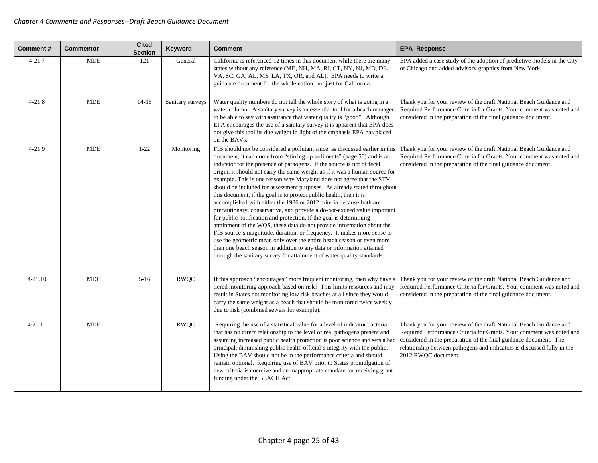| <b>Comment#</b> | <b>Commentor</b> | <b>Cited</b><br><b>Section</b> | Keyword          | <b>Comment</b>                                                                                                                                                                                                                                                                                                                                                                                                                                                                                                                                                                                                                                                                                                                                                                                                                                                                                                                                                                                                                                                                                                                                    | <b>EPA Response</b>                                                                                                                                                                                                                                                                                               |
|-----------------|------------------|--------------------------------|------------------|---------------------------------------------------------------------------------------------------------------------------------------------------------------------------------------------------------------------------------------------------------------------------------------------------------------------------------------------------------------------------------------------------------------------------------------------------------------------------------------------------------------------------------------------------------------------------------------------------------------------------------------------------------------------------------------------------------------------------------------------------------------------------------------------------------------------------------------------------------------------------------------------------------------------------------------------------------------------------------------------------------------------------------------------------------------------------------------------------------------------------------------------------|-------------------------------------------------------------------------------------------------------------------------------------------------------------------------------------------------------------------------------------------------------------------------------------------------------------------|
| $4 - 21.7$      | <b>MDE</b>       | 121                            | General          | California is referenced 12 times in this document while there are many<br>states without any reference (ME, NH, MA, RI, CT, NY, NJ, MD, DE,<br>VA, SC, GA, AL, MS, LA, TX, OR, and AL). EPA needs to write a<br>guidance document for the whole nation, not just for California.                                                                                                                                                                                                                                                                                                                                                                                                                                                                                                                                                                                                                                                                                                                                                                                                                                                                 | EPA added a case study of the adoption of predictive models in the City<br>of Chicago and added advisory graphics from New York.                                                                                                                                                                                  |
| $4 - 21.8$      | <b>MDE</b>       | $14 - 16$                      | Sanitary surveys | Water quality numbers do not tell the whole story of what is going in a<br>water column. A sanitary survey is an essential tool for a beach manager<br>to be able to say with assurance that water quality is "good". Although<br>EPA encourages the use of a sanitary survey it is apparent that EPA does<br>not give this tool its due weight in light of the emphasis EPA has placed<br>on the BAVs.                                                                                                                                                                                                                                                                                                                                                                                                                                                                                                                                                                                                                                                                                                                                           | Thank you for your review of the draft National Beach Guidance and<br>Required Performance Criteria for Grants. Your comment was noted and<br>considered in the preparation of the final guidance document.                                                                                                       |
| $4 - 21.9$      | <b>MDE</b>       | $1 - 22$                       | Monitoring       | FIB should not be considered a pollutant since, as discussed earlier in this<br>document, it can come from "stirring up sediments" (page 50) and is an<br>indicator for the presence of pathogens. If the source is not of fecal<br>origin, it should not carry the same weight as if it was a human source for<br>example. This is one reason why Maryland does not agree that the STV<br>should be included for assessment purposes. As already stated throughou<br>this document, if the goal is to protect public health, then it is<br>accomplished with either the 1986 or 2012 criteria because both are<br>precautionary, conservative, and provide a do-not-exceed value important<br>for public notification and protection. If the goal is determining<br>attainment of the WQS, these data do not provide information about the<br>FIB source's magnitude, duration, or frequency. It makes more sense to<br>use the geometric mean only over the entire beach season or even more<br>than one beach season in addition to any data or information attained<br>through the sanitary survey for attainment of water quality standards. | Thank you for your review of the draft National Beach Guidance and<br>Required Performance Criteria for Grants. Your comment was noted and<br>considered in the preparation of the final guidance document.                                                                                                       |
| $4 - 21.10$     | <b>MDE</b>       | $5 - 16$                       | <b>RWQC</b>      | If this approach "encourages" more frequent monitoring, then why have a<br>tiered monitoring approach based on risk? This limits resources and may<br>result in States not monitoring low risk beaches at all since they would<br>carry the same weight as a beach that should be monitored twice weekly<br>due to risk (combined sewers for example).                                                                                                                                                                                                                                                                                                                                                                                                                                                                                                                                                                                                                                                                                                                                                                                            | Thank you for your review of the draft National Beach Guidance and<br>Required Performance Criteria for Grants. Your comment was noted and<br>considered in the preparation of the final guidance document.                                                                                                       |
| $4 - 21.11$     | <b>MDE</b>       |                                | <b>RWOC</b>      | Requiring the use of a statistical value for a level of indicator bacteria<br>that has no direct relationship to the level of real pathogens present and<br>assuming increased public health protection is poor science and sets a bac<br>principal, diminishing public health official's integrity with the public.<br>Using the BAV should not be in the performance criteria and should<br>remain optional. Requiring use of BAV prior to States promulgation of<br>new criteria is coercive and an inappropriate mandate for receiving grant<br>funding under the BEACH Act.                                                                                                                                                                                                                                                                                                                                                                                                                                                                                                                                                                  | Thank you for your review of the draft National Beach Guidance and<br>Required Performance Criteria for Grants. Your comment was noted and<br>considered in the preparation of the final guidance document. The<br>relationship between pathogens and indicators is discussed fully in the<br>2012 RWQC document. |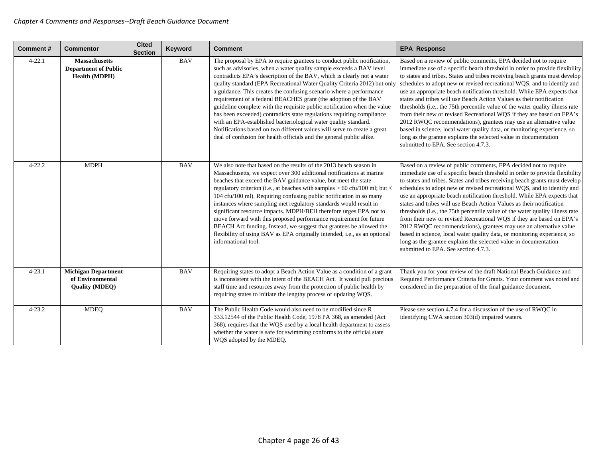| <b>Comment#</b> | <b>Commentor</b>                                                        | <b>Cited</b><br><b>Section</b> | Keyword    | <b>Comment</b>                                                                                                                                                                                                                                                                                                                                                                                                                                                                                                                                                                                                                                                                                                                                                                                                             | <b>EPA Response</b>                                                                                                                                                                                                                                                                                                                                                                                                                                                                                                                                                                                                                                                                                                                                                                                                                                                                 |
|-----------------|-------------------------------------------------------------------------|--------------------------------|------------|----------------------------------------------------------------------------------------------------------------------------------------------------------------------------------------------------------------------------------------------------------------------------------------------------------------------------------------------------------------------------------------------------------------------------------------------------------------------------------------------------------------------------------------------------------------------------------------------------------------------------------------------------------------------------------------------------------------------------------------------------------------------------------------------------------------------------|-------------------------------------------------------------------------------------------------------------------------------------------------------------------------------------------------------------------------------------------------------------------------------------------------------------------------------------------------------------------------------------------------------------------------------------------------------------------------------------------------------------------------------------------------------------------------------------------------------------------------------------------------------------------------------------------------------------------------------------------------------------------------------------------------------------------------------------------------------------------------------------|
| $4 - 22.1$      | <b>Massachusetts</b><br><b>Department of Public</b><br>Health (MDPH)    |                                | <b>BAV</b> | The proposal by EPA to require grantees to conduct public notification,<br>such as advisories, when a water quality sample exceeds a BAV level<br>contradicts EPA's description of the BAV, which is clearly not a water<br>quality standard (EPA Recreational Water Quality Criteria 2012) but only<br>a guidance. This creates the confusing scenario where a performance<br>requirement of a federal BEACHES grant (the adoption of the BAV<br>guideline complete with the requisite public notification when the value<br>has been exceeded) contradicts state regulations requiring compliance<br>with an EPA-established bacteriological water quality standard.<br>Notifications based on two different values will serve to create a great<br>deal of confusion for health officials and the general public alike. | Based on a review of public comments, EPA decided not to require<br>immediate use of a specific beach threshold in order to provide flexibility<br>to states and tribes. States and tribes receiving beach grants must develop<br>schedules to adopt new or revised recreational WQS, and to identify and<br>use an appropriate beach notification threshold. While EPA expects that<br>states and tribes will use Beach Action Values as their notification<br>thresholds (i.e., the 75th percentile value of the water quality illness rate<br>from their new or revised Recreational WQS if they are based on EPA's<br>2012 RWQC recommendations), grantees may use an alternative value<br>based in science, local water quality data, or monitoring experience, so<br>long as the grantee explains the selected value in documentation<br>submitted to EPA. See section 4.7.3. |
| $4 - 22.2$      | <b>MDPH</b>                                                             |                                | <b>BAV</b> | We also note that based on the results of the 2013 beach season in<br>Massachusetts, we expect over 300 additional notifications at marine<br>beaches that exceed the BAV guidance value, but meet the state<br>regulatory criterion (i.e., at beaches with samples > 60 cfu/100 ml; but <<br>104 cfu/100 ml). Requiring confusing public notification in so many<br>instances where sampling met regulatory standards would result in<br>significant resource impacts. MDPH/BEH therefore urges EPA not to<br>move forward with this proposed performance requirement for future<br>BEACH Act funding. Instead, we suggest that grantees be allowed the<br>flexibility of using BAV as EPA originally intended, i.e., as an optional<br>informational tool.                                                               | Based on a review of public comments, EPA decided not to require<br>immediate use of a specific beach threshold in order to provide flexibility<br>to states and tribes. States and tribes receiving beach grants must develop<br>schedules to adopt new or revised recreational WQS, and to identify and<br>use an appropriate beach notification threshold. While EPA expects that<br>states and tribes will use Beach Action Values as their notification<br>thresholds (i.e., the 75th percentile value of the water quality illness rate<br>from their new or revised Recreational WQS if they are based on EPA's<br>2012 RWQC recommendations), grantees may use an alternative value<br>based in science, local water quality data, or monitoring experience, so<br>long as the grantee explains the selected value in documentation<br>submitted to EPA. See section 4.7.3. |
| $4 - 23.1$      | <b>Michigan Department</b><br>of Environmental<br><b>Quality (MDEQ)</b> |                                | <b>BAV</b> | Requiring states to adopt a Beach Action Value as a condition of a grant<br>is inconsistent with the intent of the BEACH Act. It would pull precious<br>staff time and resources away from the protection of public health by<br>requiring states to initiate the lengthy process of updating WQS.                                                                                                                                                                                                                                                                                                                                                                                                                                                                                                                         | Thank you for your review of the draft National Beach Guidance and<br>Required Performance Criteria for Grants. Your comment was noted and<br>considered in the preparation of the final guidance document.                                                                                                                                                                                                                                                                                                                                                                                                                                                                                                                                                                                                                                                                         |
| $4 - 23.2$      | <b>MDEQ</b>                                                             |                                | <b>BAV</b> | The Public Health Code would also need to be modified since R<br>333.12544 of the Public Health Code, 1978 PA 368, as amended (Act<br>368), requires that the WQS used by a local health department to assess<br>whether the water is safe for swimming conforms to the official state<br>WQS adopted by the MDEQ.                                                                                                                                                                                                                                                                                                                                                                                                                                                                                                         | Please see section 4.7.4 for a discussion of the use of RWQC in<br>identifying CWA section 303(d) impaired waters.                                                                                                                                                                                                                                                                                                                                                                                                                                                                                                                                                                                                                                                                                                                                                                  |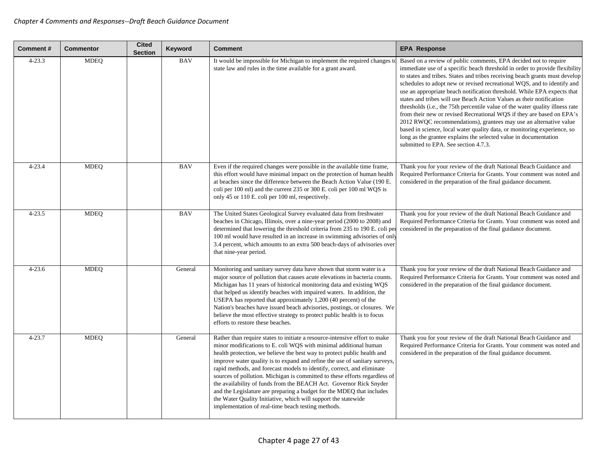| <b>Comment#</b> | <b>Commentor</b> | <b>Cited</b><br><b>Section</b> | Keyword    | <b>Comment</b>                                                                                                                                                                                                                                                                                                                                                                                                                                                                                                                                                                                                                                                                                                                         | <b>EPA Response</b>                                                                                                                                                                                                                                                                                                                                                                                                                                                                                                                                                                                                                                                                                                                                                                                                                                                                 |
|-----------------|------------------|--------------------------------|------------|----------------------------------------------------------------------------------------------------------------------------------------------------------------------------------------------------------------------------------------------------------------------------------------------------------------------------------------------------------------------------------------------------------------------------------------------------------------------------------------------------------------------------------------------------------------------------------------------------------------------------------------------------------------------------------------------------------------------------------------|-------------------------------------------------------------------------------------------------------------------------------------------------------------------------------------------------------------------------------------------------------------------------------------------------------------------------------------------------------------------------------------------------------------------------------------------------------------------------------------------------------------------------------------------------------------------------------------------------------------------------------------------------------------------------------------------------------------------------------------------------------------------------------------------------------------------------------------------------------------------------------------|
| $4 - 23.3$      | <b>MDEQ</b>      |                                | <b>BAV</b> | It would be impossible for Michigan to implement the required changes to<br>state law and rules in the time available for a grant award.                                                                                                                                                                                                                                                                                                                                                                                                                                                                                                                                                                                               | Based on a review of public comments, EPA decided not to require<br>immediate use of a specific beach threshold in order to provide flexibility<br>to states and tribes. States and tribes receiving beach grants must develop<br>schedules to adopt new or revised recreational WQS, and to identify and<br>use an appropriate beach notification threshold. While EPA expects that<br>states and tribes will use Beach Action Values as their notification<br>thresholds (i.e., the 75th percentile value of the water quality illness rate<br>from their new or revised Recreational WQS if they are based on EPA's<br>2012 RWQC recommendations), grantees may use an alternative value<br>based in science, local water quality data, or monitoring experience, so<br>long as the grantee explains the selected value in documentation<br>submitted to EPA. See section 4.7.3. |
| $4 - 23.4$      | <b>MDEQ</b>      |                                | <b>BAV</b> | Even if the required changes were possible in the available time frame,<br>this effort would have minimal impact on the protection of human health<br>at beaches since the difference between the Beach Action Value (190 E.<br>coli per 100 ml) and the current 235 or 300 E. coli per 100 ml WQS is<br>only 45 or 110 E. coli per 100 ml, respectively.                                                                                                                                                                                                                                                                                                                                                                              | Thank you for your review of the draft National Beach Guidance and<br>Required Performance Criteria for Grants. Your comment was noted and<br>considered in the preparation of the final guidance document.                                                                                                                                                                                                                                                                                                                                                                                                                                                                                                                                                                                                                                                                         |
| $4 - 23.5$      | <b>MDEQ</b>      |                                | <b>BAV</b> | The United States Geological Survey evaluated data from freshwater<br>beaches in Chicago, Illinois, over a nine-year period (2000 to 2008) and<br>determined that lowering the threshold criteria from 235 to 190 E. coli per<br>100 ml would have resulted in an increase in swimming advisories of only<br>3.4 percent, which amounts to an extra 500 beach-days of advisories over<br>that nine-year period.                                                                                                                                                                                                                                                                                                                        | Thank you for your review of the draft National Beach Guidance and<br>Required Performance Criteria for Grants. Your comment was noted and<br>considered in the preparation of the final guidance document.                                                                                                                                                                                                                                                                                                                                                                                                                                                                                                                                                                                                                                                                         |
| $4 - 23.6$      | <b>MDEQ</b>      |                                | General    | Monitoring and sanitary survey data have shown that storm water is a<br>major source of pollution that causes acute elevations in bacteria counts.<br>Michigan has 11 years of historical monitoring data and existing WQS<br>that helped us identify beaches with impaired waters. In addition, the<br>USEPA has reported that approximately 1,200 (40 percent) of the<br>Nation's beaches have issued beach advisories, postings, or closures. We<br>believe the most effective strategy to protect public health is to focus<br>efforts to restore these beaches.                                                                                                                                                                   | Thank you for your review of the draft National Beach Guidance and<br>Required Performance Criteria for Grants. Your comment was noted and<br>considered in the preparation of the final guidance document.                                                                                                                                                                                                                                                                                                                                                                                                                                                                                                                                                                                                                                                                         |
| $4 - 23.7$      | <b>MDEQ</b>      |                                | General    | Rather than require states to initiate a resource-intensive effort to make<br>minor modifications to E. coli WQS with minimal additional human<br>health protection, we believe the best way to protect public health and<br>improve water quality is to expand and refine the use of sanitary surveys,<br>rapid methods, and forecast models to identify, correct, and eliminate<br>sources of pollution. Michigan is committed to these efforts regardless of<br>the availability of funds from the BEACH Act. Governor Rick Snyder<br>and the Legislature are preparing a budget for the MDEQ that includes<br>the Water Quality Initiative, which will support the statewide<br>implementation of real-time beach testing methods. | Thank you for your review of the draft National Beach Guidance and<br>Required Performance Criteria for Grants. Your comment was noted and<br>considered in the preparation of the final guidance document.                                                                                                                                                                                                                                                                                                                                                                                                                                                                                                                                                                                                                                                                         |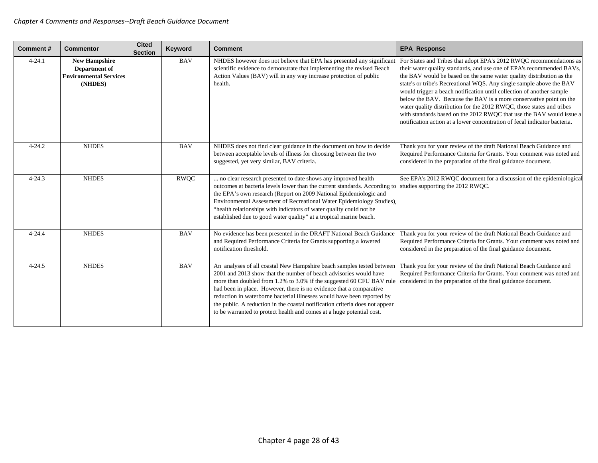| <b>Comment#</b> | <b>Commentor</b>                                                                  | <b>Cited</b><br><b>Section</b> | Keyword     | <b>Comment</b>                                                                                                                                                                                                                                                                                                                                                                                                                                                                                                                | <b>EPA Response</b>                                                                                                                                                                                                                                                                                                                                                                                                                                                                                                                                                                                                                                                       |
|-----------------|-----------------------------------------------------------------------------------|--------------------------------|-------------|-------------------------------------------------------------------------------------------------------------------------------------------------------------------------------------------------------------------------------------------------------------------------------------------------------------------------------------------------------------------------------------------------------------------------------------------------------------------------------------------------------------------------------|---------------------------------------------------------------------------------------------------------------------------------------------------------------------------------------------------------------------------------------------------------------------------------------------------------------------------------------------------------------------------------------------------------------------------------------------------------------------------------------------------------------------------------------------------------------------------------------------------------------------------------------------------------------------------|
| $4 - 24.1$      | <b>New Hampshire</b><br>Department of<br><b>Environmental Services</b><br>(NHDES) |                                | <b>BAV</b>  | NHDES however does not believe that EPA has presented any significant<br>scientific evidence to demonstrate that implementing the revised Beach<br>Action Values (BAV) will in any way increase protection of public<br>health.                                                                                                                                                                                                                                                                                               | For States and Tribes that adopt EPA's 2012 RWQC recommendations as<br>their water quality standards, and use one of EPA's recommended BAVs,<br>the BAV would be based on the same water quality distribution as the<br>state's or tribe's Recreational WQS. Any single sample above the BAV<br>would trigger a beach notification until collection of another sample<br>below the BAV. Because the BAV is a more conservative point on the<br>water quality distribution for the 2012 RWQC, those states and tribes<br>with standards based on the 2012 RWQC that use the BAV would issue a<br>notification action at a lower concentration of fecal indicator bacteria. |
| $4 - 24.2$      | <b>NHDES</b>                                                                      |                                | <b>BAV</b>  | NHDES does not find clear guidance in the document on how to decide<br>between acceptable levels of illness for choosing between the two<br>suggested, yet very similar, BAV criteria.                                                                                                                                                                                                                                                                                                                                        | Thank you for your review of the draft National Beach Guidance and<br>Required Performance Criteria for Grants. Your comment was noted and<br>considered in the preparation of the final guidance document.                                                                                                                                                                                                                                                                                                                                                                                                                                                               |
| $4 - 24.3$      | <b>NHDES</b>                                                                      |                                | <b>RWQC</b> | no clear research presented to date shows any improved health<br>outcomes at bacteria levels lower than the current standards. According to<br>the EPA's own research (Report on 2009 National Epidemiologic and<br>Environmental Assessment of Recreational Water Epidemiology Studies),<br>"health relationships with indicators of water quality could not be<br>established due to good water quality" at a tropical marine beach.                                                                                        | See EPA's 2012 RWQC document for a discussion of the epidemiological<br>studies supporting the 2012 RWQC.                                                                                                                                                                                                                                                                                                                                                                                                                                                                                                                                                                 |
| $4 - 24.4$      | <b>NHDES</b>                                                                      |                                | <b>BAV</b>  | No evidence has been presented in the DRAFT National Beach Guidance<br>and Required Performance Criteria for Grants supporting a lowered<br>notification threshold.                                                                                                                                                                                                                                                                                                                                                           | Thank you for your review of the draft National Beach Guidance and<br>Required Performance Criteria for Grants. Your comment was noted and<br>considered in the preparation of the final guidance document.                                                                                                                                                                                                                                                                                                                                                                                                                                                               |
| $4 - 24.5$      | <b>NHDES</b>                                                                      |                                | <b>BAV</b>  | An analyses of all coastal New Hampshire beach samples tested between<br>2001 and 2013 show that the number of beach advisories would have<br>more than doubled from 1.2% to 3.0% if the suggested 60 CFU BAV rule<br>had been in place. However, there is no evidence that a comparative<br>reduction in waterborne bacterial illnesses would have been reported by<br>the public. A reduction in the coastal notification criteria does not appear<br>to be warranted to protect health and comes at a huge potential cost. | Thank you for your review of the draft National Beach Guidance and<br>Required Performance Criteria for Grants. Your comment was noted and<br>considered in the preparation of the final guidance document.                                                                                                                                                                                                                                                                                                                                                                                                                                                               |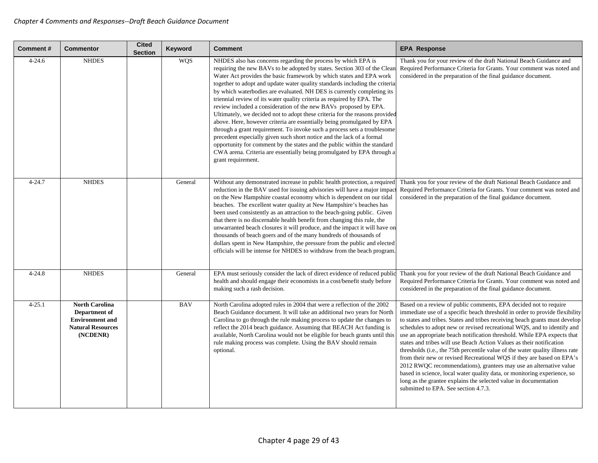| <b>Comment#</b> | <b>Commentor</b>                                                                                         | <b>Cited</b><br><b>Section</b> | Keyword    | <b>Comment</b>                                                                                                                                                                                                                                                                                                                                                                                                                                                                                                                                                                                                                                                                                                                                                                                                                                                                                                                                                                                                    | <b>EPA Response</b>                                                                                                                                                                                                                                                                                                                                                                                                                                                                                                                                                                                                                                                                                                                                                                                                                                                                 |
|-----------------|----------------------------------------------------------------------------------------------------------|--------------------------------|------------|-------------------------------------------------------------------------------------------------------------------------------------------------------------------------------------------------------------------------------------------------------------------------------------------------------------------------------------------------------------------------------------------------------------------------------------------------------------------------------------------------------------------------------------------------------------------------------------------------------------------------------------------------------------------------------------------------------------------------------------------------------------------------------------------------------------------------------------------------------------------------------------------------------------------------------------------------------------------------------------------------------------------|-------------------------------------------------------------------------------------------------------------------------------------------------------------------------------------------------------------------------------------------------------------------------------------------------------------------------------------------------------------------------------------------------------------------------------------------------------------------------------------------------------------------------------------------------------------------------------------------------------------------------------------------------------------------------------------------------------------------------------------------------------------------------------------------------------------------------------------------------------------------------------------|
| $4 - 24.6$      | <b>NHDES</b>                                                                                             |                                | <b>WQS</b> | NHDES also has concerns regarding the process by which EPA is<br>requiring the new BAVs to be adopted by states. Section 303 of the Clean<br>Water Act provides the basic framework by which states and EPA work<br>together to adopt and update water quality standards including the criteria<br>by which waterbodies are evaluated. NH DES is currently completing its<br>triennial review of its water quality criteria as required by EPA. The<br>review included a consideration of the new BAVs proposed by EPA.<br>Ultimately, we decided not to adopt these criteria for the reasons provided<br>above. Here, however criteria are essentially being promulgated by EPA<br>through a grant requirement. To invoke such a process sets a troublesome<br>precedent especially given such short notice and the lack of a formal<br>opportunity for comment by the states and the public within the standard<br>CWA arena. Criteria are essentially being promulgated by EPA through a<br>grant requirement. | Thank you for your review of the draft National Beach Guidance and<br>Required Performance Criteria for Grants. Your comment was noted and<br>considered in the preparation of the final guidance document.                                                                                                                                                                                                                                                                                                                                                                                                                                                                                                                                                                                                                                                                         |
| $4 - 24.7$      | <b>NHDES</b>                                                                                             |                                | General    | Without any demonstrated increase in public health protection, a required<br>reduction in the BAV used for issuing advisories will have a major impac<br>on the New Hampshire coastal economy which is dependent on our tidal<br>beaches. The excellent water quality at New Hampshire's beaches has<br>been used consistently as an attraction to the beach-going public. Given<br>that there is no discernable health benefit from changing this rule, the<br>unwarranted beach closures it will produce, and the impact it will have on<br>thousands of beach goers and of the many hundreds of thousands of<br>dollars spent in New Hampshire, the pressure from the public and elected<br>officials will be intense for NHDES to withdraw from the beach program                                                                                                                                                                                                                                             | Thank you for your review of the draft National Beach Guidance and<br>Required Performance Criteria for Grants. Your comment was noted and<br>considered in the preparation of the final guidance document.                                                                                                                                                                                                                                                                                                                                                                                                                                                                                                                                                                                                                                                                         |
| $4 - 24.8$      | <b>NHDES</b>                                                                                             |                                | General    | EPA must seriously consider the lack of direct evidence of reduced public<br>health and should engage their economists in a cost/benefit study before<br>making such a rash decision.                                                                                                                                                                                                                                                                                                                                                                                                                                                                                                                                                                                                                                                                                                                                                                                                                             | Thank you for your review of the draft National Beach Guidance and<br>Required Performance Criteria for Grants. Your comment was noted and<br>considered in the preparation of the final guidance document.                                                                                                                                                                                                                                                                                                                                                                                                                                                                                                                                                                                                                                                                         |
| $4 - 25.1$      | <b>North Carolina</b><br>Department of<br><b>Environment</b> and<br><b>Natural Resources</b><br>(NCDENR) |                                | <b>BAV</b> | North Carolina adopted rules in 2004 that were a reflection of the 2002<br>Beach Guidance document. It will take an additional two years for North<br>Carolina to go through the rule making process to update the changes to<br>reflect the 2014 beach guidance. Assuming that BEACH Act funding is<br>available, North Carolina would not be eligible for beach grants until this<br>rule making process was complete. Using the BAV should remain<br>optional.                                                                                                                                                                                                                                                                                                                                                                                                                                                                                                                                                 | Based on a review of public comments, EPA decided not to require<br>immediate use of a specific beach threshold in order to provide flexibility<br>to states and tribes. States and tribes receiving beach grants must develop<br>schedules to adopt new or revised recreational WQS, and to identify and<br>use an appropriate beach notification threshold. While EPA expects that<br>states and tribes will use Beach Action Values as their notification<br>thresholds (i.e., the 75th percentile value of the water quality illness rate<br>from their new or revised Recreational WQS if they are based on EPA's<br>2012 RWQC recommendations), grantees may use an alternative value<br>based in science, local water quality data, or monitoring experience, so<br>long as the grantee explains the selected value in documentation<br>submitted to EPA. See section 4.7.3. |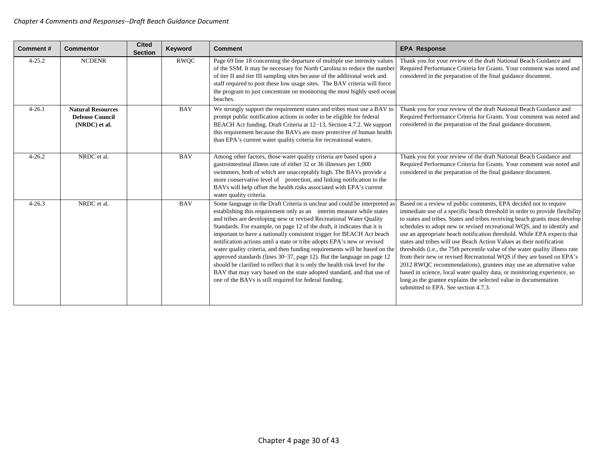| Comment#   | <b>Commentor</b>                                                    | <b>Cited</b><br><b>Section</b> | Keyword     | <b>Comment</b>                                                                                                                                                                                                                                                                                                                                                                                                                                                                                                                                                                                                                                                                                                                                                                                                                         | <b>EPA Response</b>                                                                                                                                                                                                                                                                                                                                                                                                                                                                                                                                                                                                                                                                                                                                                                                                                                                                 |
|------------|---------------------------------------------------------------------|--------------------------------|-------------|----------------------------------------------------------------------------------------------------------------------------------------------------------------------------------------------------------------------------------------------------------------------------------------------------------------------------------------------------------------------------------------------------------------------------------------------------------------------------------------------------------------------------------------------------------------------------------------------------------------------------------------------------------------------------------------------------------------------------------------------------------------------------------------------------------------------------------------|-------------------------------------------------------------------------------------------------------------------------------------------------------------------------------------------------------------------------------------------------------------------------------------------------------------------------------------------------------------------------------------------------------------------------------------------------------------------------------------------------------------------------------------------------------------------------------------------------------------------------------------------------------------------------------------------------------------------------------------------------------------------------------------------------------------------------------------------------------------------------------------|
| $4 - 25.2$ | <b>NCDENR</b>                                                       |                                | <b>RWQC</b> | Page 69 line 18 concerning the departure of multiple use intensity values<br>of the SSM. It may be necessary for North Carolina to reduce the number<br>of tier II and tier III sampling sites because of the additional work and<br>staff required to post these low usage sites. The BAV criteria will force<br>the program to just concentrate on monitoring the most highly used ocean<br>beaches.                                                                                                                                                                                                                                                                                                                                                                                                                                 | Thank you for your review of the draft National Beach Guidance and<br>Required Performance Criteria for Grants. Your comment was noted and<br>considered in the preparation of the final guidance document.                                                                                                                                                                                                                                                                                                                                                                                                                                                                                                                                                                                                                                                                         |
| $4 - 26.1$ | <b>Natural Resources</b><br><b>Defense Council</b><br>(NRDC) et al. |                                | <b>BAV</b>  | We strongly support the requirement states and tribes must use a BAV to<br>prompt public notification actions in order to be eligible for federal<br>BEACH Act funding. Draft Criteria at 12–13, Section 4.7.2. We support<br>this requirement because the BAVs are more protective of human health<br>than EPA's current water quality criteria for recreational waters.                                                                                                                                                                                                                                                                                                                                                                                                                                                              | Thank you for your review of the draft National Beach Guidance and<br>Required Performance Criteria for Grants. Your comment was noted and<br>considered in the preparation of the final guidance document.                                                                                                                                                                                                                                                                                                                                                                                                                                                                                                                                                                                                                                                                         |
| $4 - 26.2$ | NRDC et al.                                                         |                                | <b>BAV</b>  | Among other factors, those water quality criteria are based upon a<br>gastrointestinal illness rate of either 32 or 36 illnesses per 1,000<br>swimmers, both of which are unacceptably high. The BAVs provide a<br>more conservative level of protection, and linking notification to the<br>BAVs will help offset the health risks associated with EPA's current<br>water quality criteria.                                                                                                                                                                                                                                                                                                                                                                                                                                           | Thank you for your review of the draft National Beach Guidance and<br>Required Performance Criteria for Grants. Your comment was noted and<br>considered in the preparation of the final guidance document.                                                                                                                                                                                                                                                                                                                                                                                                                                                                                                                                                                                                                                                                         |
| $4 - 26.3$ | NRDC et al.                                                         |                                | <b>BAV</b>  | Some language in the Draft Criteria is unclear and could be interpreted as<br>establishing this requirement only as an interim measure while states<br>and tribes are developing new or revised Recreational Water Quality<br>Standards. For example, on page 12 of the draft, it indicates that it is<br>important to have a nationally consistent trigger for BEACH Act beach<br>notification actions until a state or tribe adopts EPA's new or revised<br>water quality criteria, and then funding requirements will be based on the<br>approved standards (lines 30–37, page 12). But the language on page 12<br>should be clarified to reflect that it is only the health risk level for the<br>BAV that may vary based on the state adopted standard, and that use of<br>one of the BAVs is still required for federal funding. | Based on a review of public comments, EPA decided not to require<br>immediate use of a specific beach threshold in order to provide flexibility<br>to states and tribes. States and tribes receiving beach grants must develop<br>schedules to adopt new or revised recreational WQS, and to identify and<br>use an appropriate beach notification threshold. While EPA expects that<br>states and tribes will use Beach Action Values as their notification<br>thresholds (i.e., the 75th percentile value of the water quality illness rate<br>from their new or revised Recreational WQS if they are based on EPA's<br>2012 RWQC recommendations), grantees may use an alternative value<br>based in science, local water quality data, or monitoring experience, so<br>long as the grantee explains the selected value in documentation<br>submitted to EPA. See section 4.7.3. |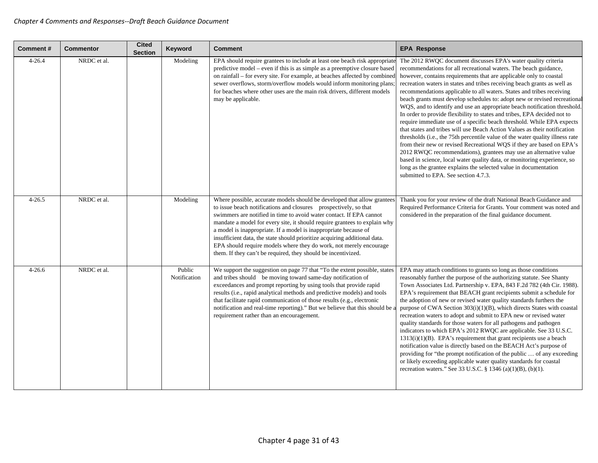| Comment#   | <b>Commentor</b> | <b>Cited</b><br><b>Section</b> | <b>Keyword</b>         | <b>Comment</b>                                                                                                                                                                                                                                                                                                                                                                                                                                                                                                                                                                          | <b>EPA Response</b>                                                                                                                                                                                                                                                                                                                                                                                                                                                                                                                                                                                                                                                                                                                                                                                                                                                                                                                                                                                                                                                                                                                                                              |
|------------|------------------|--------------------------------|------------------------|-----------------------------------------------------------------------------------------------------------------------------------------------------------------------------------------------------------------------------------------------------------------------------------------------------------------------------------------------------------------------------------------------------------------------------------------------------------------------------------------------------------------------------------------------------------------------------------------|----------------------------------------------------------------------------------------------------------------------------------------------------------------------------------------------------------------------------------------------------------------------------------------------------------------------------------------------------------------------------------------------------------------------------------------------------------------------------------------------------------------------------------------------------------------------------------------------------------------------------------------------------------------------------------------------------------------------------------------------------------------------------------------------------------------------------------------------------------------------------------------------------------------------------------------------------------------------------------------------------------------------------------------------------------------------------------------------------------------------------------------------------------------------------------|
| $4 - 26.4$ | NRDC et al.      |                                | Modeling               | EPA should require grantees to include at least one beach risk appropriate<br>predictive model – even if this is as simple as a preemptive closure based<br>on rainfall – for every site. For example, at beaches affected by combined<br>sewer overflows, storm/overflow models would inform monitoring plans;<br>for beaches where other uses are the main risk drivers, different models<br>may be applicable.                                                                                                                                                                       | The 2012 RWQC document discusses EPA's water quality criteria<br>recommendations for all recreational waters. The beach guidance,<br>however, contains requirements that are applicable only to coastal<br>recreation waters in states and tribes receiving beach grants as well as<br>recommendations applicable to all waters. States and tribes receiving<br>beach grants must develop schedules to: adopt new or revised recreational<br>WQS, and to identify and use an appropriate beach notification threshold.<br>In order to provide flexibility to states and tribes, EPA decided not to<br>require immediate use of a specific beach threshold. While EPA expects<br>that states and tribes will use Beach Action Values as their notification<br>thresholds (i.e., the 75th percentile value of the water quality illness rate<br>from their new or revised Recreational WQS if they are based on EPA's<br>2012 RWQC recommendations), grantees may use an alternative value<br>based in science, local water quality data, or monitoring experience, so<br>long as the grantee explains the selected value in documentation<br>submitted to EPA. See section 4.7.3. |
| $4 - 26.5$ | NRDC et al.      |                                | Modeling               | Where possible, accurate models should be developed that allow grantees<br>to issue beach notifications and closures prospectively, so that<br>swimmers are notified in time to avoid water contact. If EPA cannot<br>mandate a model for every site, it should require grantees to explain why<br>a model is inappropriate. If a model is inappropriate because of<br>insufficient data, the state should prioritize acquiring additional data.<br>EPA should require models where they do work, not merely encourage<br>them. If they can't be required, they should be incentivized. | Thank you for your review of the draft National Beach Guidance and<br>Required Performance Criteria for Grants. Your comment was noted and<br>considered in the preparation of the final guidance document.                                                                                                                                                                                                                                                                                                                                                                                                                                                                                                                                                                                                                                                                                                                                                                                                                                                                                                                                                                      |
| $4 - 26.6$ | NRDC et al.      |                                | Public<br>Notification | We support the suggestion on page 77 that "To the extent possible, states<br>and tribes should be moving toward same-day notification of<br>exceedances and prompt reporting by using tools that provide rapid<br>results (i.e., rapid analytical methods and predictive models) and tools<br>that facilitate rapid communication of those results (e.g., electronic<br>notification and real-time reporting)." But we believe that this should be a<br>requirement rather than an encouragement.                                                                                       | EPA may attach conditions to grants so long as those conditions<br>reasonably further the purpose of the authorizing statute. See Shanty<br>Town Associates Ltd. Partnership v. EPA, 843 F.2d 782 (4th Cir. 1988).<br>EPA's requirement that BEACH grant recipients submit a schedule for<br>the adoption of new or revised water quality standards furthers the<br>purpose of CWA Section 303(i)(1)(B), which directs States with coastal<br>recreation waters to adopt and submit to EPA new or revised water<br>quality standards for those waters for all pathogens and pathogen<br>indicators to which EPA's 2012 RWQC are applicable. See 33 U.S.C.<br>$1313(i)(1)(B)$ . EPA's requirement that grant recipients use a beach<br>notification value is directly based on the BEACH Act's purpose of<br>providing for "the prompt notification of the public  of any exceeding<br>or likely exceeding applicable water quality standards for coastal<br>recreation waters." See 33 U.S.C. § 1346 (a)(1)(B), (b)(1).                                                                                                                                                          |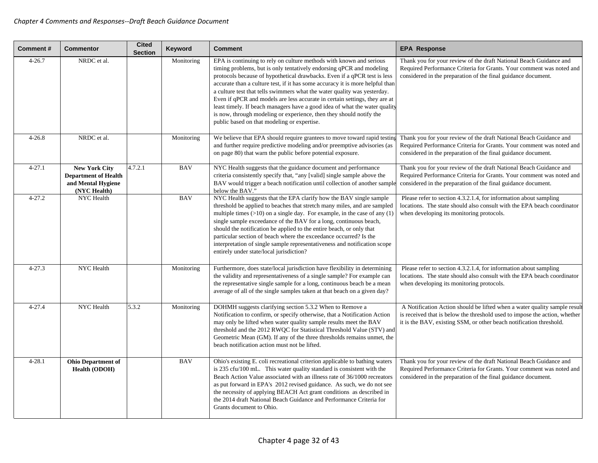| <b>Comment#</b> | <b>Commentor</b>                                                                          | <b>Cited</b><br><b>Section</b> | Keyword    | <b>Comment</b>                                                                                                                                                                                                                                                                                                                                                                                                                                                                                                                                                                                                                                                         | <b>EPA Response</b>                                                                                                                                                                                                            |
|-----------------|-------------------------------------------------------------------------------------------|--------------------------------|------------|------------------------------------------------------------------------------------------------------------------------------------------------------------------------------------------------------------------------------------------------------------------------------------------------------------------------------------------------------------------------------------------------------------------------------------------------------------------------------------------------------------------------------------------------------------------------------------------------------------------------------------------------------------------------|--------------------------------------------------------------------------------------------------------------------------------------------------------------------------------------------------------------------------------|
| $4 - 26.7$      | NRDC et al.                                                                               |                                | Monitoring | EPA is continuing to rely on culture methods with known and serious<br>timing problems, but is only tentatively endorsing qPCR and modeling<br>protocols because of hypothetical drawbacks. Even if a qPCR test is less<br>accurate than a culture test, if it has some accuracy it is more helpful than<br>a culture test that tells swimmers what the water quality was yesterday.<br>Even if qPCR and models are less accurate in certain settings, they are at<br>least timely. If beach managers have a good idea of what the water quality<br>is now, through modeling or experience, then they should notify the<br>public based on that modeling or expertise. | Thank you for your review of the draft National Beach Guidance and<br>Required Performance Criteria for Grants. Your comment was noted and<br>considered in the preparation of the final guidance document.                    |
| $4 - 26.8$      | NRDC et al.                                                                               |                                | Monitoring | We believe that EPA should require grantees to move toward rapid testing<br>and further require predictive modeling and/or preemptive advisories (as<br>on page 80) that warn the public before potential exposure.                                                                                                                                                                                                                                                                                                                                                                                                                                                    | Thank you for your review of the draft National Beach Guidance and<br>Required Performance Criteria for Grants. Your comment was noted and<br>considered in the preparation of the final guidance document.                    |
| $4 - 27.1$      | <b>New York City</b><br><b>Department of Health</b><br>and Mental Hygiene<br>(NYC Health) | 4.7.2.1                        | <b>BAV</b> | NYC Health suggests that the guidance document and performance<br>criteria consistently specify that, "any [valid] single sample above the<br>BAV would trigger a beach notification until collection of another sample<br>below the BAV."                                                                                                                                                                                                                                                                                                                                                                                                                             | Thank you for your review of the draft National Beach Guidance and<br>Required Performance Criteria for Grants. Your comment was noted and<br>considered in the preparation of the final guidance document.                    |
| $4 - 27.2$      | NYC Health                                                                                |                                | <b>BAV</b> | NYC Health suggests that the EPA clarify how the BAV single sample<br>threshold be applied to beaches that stretch many miles, and are sampled<br>multiple times $(>10)$ on a single day. For example, in the case of any $(1)$<br>single sample exceedance of the BAV for a long, continuous beach,<br>should the notification be applied to the entire beach, or only that<br>particular section of beach where the exceedance occurred? Is the<br>interpretation of single sample representativeness and notification scope<br>entirely under state/local jurisdiction?                                                                                             | Please refer to section 4.3.2.1.4, for information about sampling<br>locations. The state should also consult with the EPA beach coordinator<br>when developing its monitoring protocols.                                      |
| $4 - 27.3$      | NYC Health                                                                                |                                | Monitoring | Furthermore, does state/local jurisdiction have flexibility in determining<br>the validity and representativeness of a single sample? For example can<br>the representative single sample for a long, continuous beach be a mean<br>average of all of the single samples taken at that beach on a given day?                                                                                                                                                                                                                                                                                                                                                           | Please refer to section 4.3.2.1.4, for information about sampling<br>locations. The state should also consult with the EPA beach coordinator<br>when developing its monitoring protocols.                                      |
| $4 - 27.4$      | NYC Health                                                                                | 5.3.2                          | Monitoring | DOHMH suggests clarifying section 5.3.2 When to Remove a<br>Notification to confirm, or specify otherwise, that a Notification Action<br>may only be lifted when water quality sample results meet the BAV<br>threshold and the 2012 RWQC for Statistical Threshold Value (STV) and<br>Geometric Mean (GM). If any of the three thresholds remains unmet, the<br>beach notification action must not be lifted.                                                                                                                                                                                                                                                         | A Notification Action should be lifted when a water quality sample result<br>is received that is below the threshold used to impose the action, whether<br>it is the BAV, existing SSM, or other beach notification threshold. |
| $4 - 28.1$      | <b>Ohio Department of</b><br><b>Health (ODOH)</b>                                         |                                | <b>BAV</b> | Ohio's existing E. coli recreational criterion applicable to bathing waters<br>is 235 cfu/100 mL. This water quality standard is consistent with the<br>Beach Action Value associated with an illness rate of 36/1000 recreators<br>as put forward in EPA's 2012 revised guidance. As such, we do not see<br>the necessity of applying BEACH Act grant conditions as described in<br>the 2014 draft National Beach Guidance and Performance Criteria for<br>Grants document to Ohio.                                                                                                                                                                                   | Thank you for your review of the draft National Beach Guidance and<br>Required Performance Criteria for Grants. Your comment was noted and<br>considered in the preparation of the final guidance document.                    |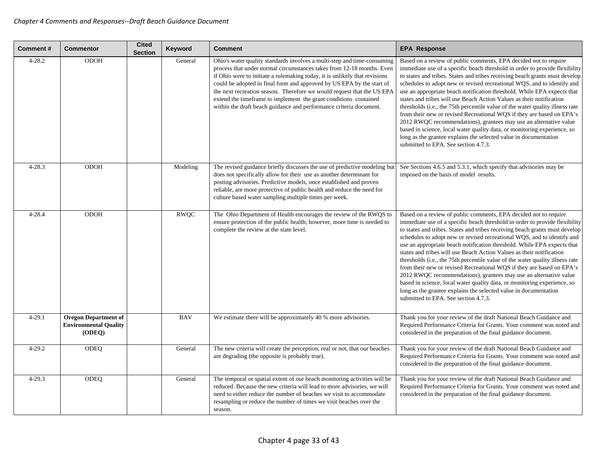| <b>Comment#</b> | <b>Commentor</b>                                                      | <b>Cited</b><br><b>Section</b> | Keyword     | <b>Comment</b>                                                                                                                                                                                                                                                                                                                                                                                                                                                                                                              | <b>EPA Response</b>                                                                                                                                                                                                                                                                                                                                                                                                                                                                                                                                                                                                                                                                                                                                                                                                                                                                          |
|-----------------|-----------------------------------------------------------------------|--------------------------------|-------------|-----------------------------------------------------------------------------------------------------------------------------------------------------------------------------------------------------------------------------------------------------------------------------------------------------------------------------------------------------------------------------------------------------------------------------------------------------------------------------------------------------------------------------|----------------------------------------------------------------------------------------------------------------------------------------------------------------------------------------------------------------------------------------------------------------------------------------------------------------------------------------------------------------------------------------------------------------------------------------------------------------------------------------------------------------------------------------------------------------------------------------------------------------------------------------------------------------------------------------------------------------------------------------------------------------------------------------------------------------------------------------------------------------------------------------------|
| $4 - 28.2$      | <b>ODOH</b>                                                           |                                | General     | Ohio's water quality standards involves a multi-step and time-consuming<br>process that under normal circumstances takes from 12-18 months. Even<br>if Ohio were to initiate a rulemaking today, it is unlikely that revisions<br>could be adopted in final form and approved by US EPA by the start of<br>the next recreation season. Therefore we would request that the US EPA<br>extend the timeframe to implement the grant conditions contained<br>within the draft beach guidance and performance criteria document. | Based on a review of public comments, EPA decided not to require<br>immediate use of a specific beach threshold in order to provide flexibility<br>to states and tribes. States and tribes receiving beach grants must develop<br>schedules to adopt new or revised recreational WQS, and to identify and<br>use an appropriate beach notification threshold. While EPA expects that<br>states and tribes will use Beach Action Values as their notification<br>thresholds ( <i>i.e.</i> , the 75th percentile value of the water quality illness rate<br>from their new or revised Recreational WQS if they are based on EPA's<br>2012 RWQC recommendations), grantees may use an alternative value<br>based in science, local water quality data, or monitoring experience, so<br>long as the grantee explains the selected value in documentation<br>submitted to EPA. See section 4.7.3. |
| $4 - 28.3$      | <b>ODOH</b>                                                           |                                | Modeling    | The revised guidance briefly discusses the use of predictive modeling but<br>does not specifically allow for their use as another determinant for<br>posting advisories. Predictive models, once established and proven<br>reliable, are more protective of public health and reduce the need for<br>culture based water sampling multiple times per week.                                                                                                                                                                  | See Sections 4.6.5 and 5.3.1, which specify that advisories may be<br>imposed on the basis of model results.                                                                                                                                                                                                                                                                                                                                                                                                                                                                                                                                                                                                                                                                                                                                                                                 |
| $4 - 28.4$      | <b>ODOH</b>                                                           |                                | <b>RWQC</b> | The Ohio Department of Health encourages the review of the RWQS to<br>ensure protection of the public health; however, more time is needed to<br>complete the review at the state level.                                                                                                                                                                                                                                                                                                                                    | Based on a review of public comments, EPA decided not to require<br>immediate use of a specific beach threshold in order to provide flexibility<br>to states and tribes. States and tribes receiving beach grants must develop<br>schedules to adopt new or revised recreational WQS, and to identify and<br>use an appropriate beach notification threshold. While EPA expects that<br>states and tribes will use Beach Action Values as their notification<br>thresholds (i.e., the 75th percentile value of the water quality illness rate<br>from their new or revised Recreational WQS if they are based on EPA's<br>2012 RWQC recommendations), grantees may use an alternative value<br>based in science, local water quality data, or monitoring experience, so<br>long as the grantee explains the selected value in documentation<br>submitted to EPA. See section 4.7.3.          |
| $4 - 29.1$      | <b>Oregon Department of</b><br><b>Environmental Quality</b><br>(ODEQ) |                                | <b>BAV</b>  | We estimate there will be approximately 40 % more advisories.                                                                                                                                                                                                                                                                                                                                                                                                                                                               | Thank you for your review of the draft National Beach Guidance and<br>Required Performance Criteria for Grants. Your comment was noted and<br>considered in the preparation of the final guidance document.                                                                                                                                                                                                                                                                                                                                                                                                                                                                                                                                                                                                                                                                                  |
| $4 - 29.2$      | <b>ODEQ</b>                                                           |                                | General     | The new criteria will create the perception, real or not, that our beaches<br>are degrading (the opposite is probably true).                                                                                                                                                                                                                                                                                                                                                                                                | Thank you for your review of the draft National Beach Guidance and<br>Required Performance Criteria for Grants. Your comment was noted and<br>considered in the preparation of the final guidance document.                                                                                                                                                                                                                                                                                                                                                                                                                                                                                                                                                                                                                                                                                  |
| $4 - 29.3$      | <b>ODEQ</b>                                                           |                                | General     | The temporal or spatial extent of our beach monitoring activities will be<br>reduced. Because the new criteria will lead to more advisories, we will<br>need to either reduce the number of beaches we visit to accommodate<br>resampling or reduce the number of times we visit beaches over the<br>season.                                                                                                                                                                                                                | Thank you for your review of the draft National Beach Guidance and<br>Required Performance Criteria for Grants. Your comment was noted and<br>considered in the preparation of the final guidance document.                                                                                                                                                                                                                                                                                                                                                                                                                                                                                                                                                                                                                                                                                  |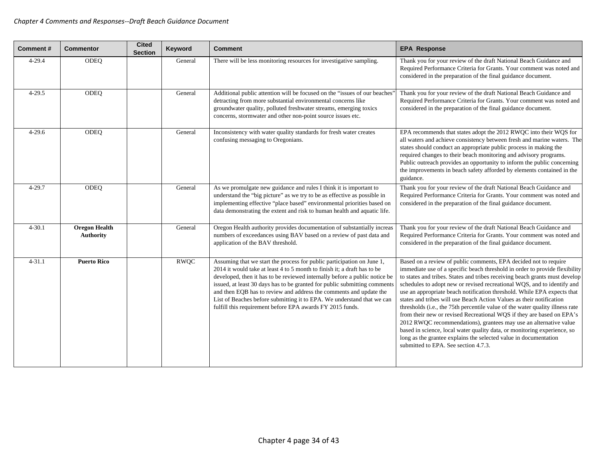| Comment#   | <b>Commentor</b>                         | <b>Cited</b><br><b>Section</b> | Keyword     | <b>Comment</b>                                                                                                                                                                                                                                                                                                                                                                                                                                                                                                             | <b>EPA Response</b>                                                                                                                                                                                                                                                                                                                                                                                                                                                                                                                                                                                                                                                                                                                                                                                                                                                                 |
|------------|------------------------------------------|--------------------------------|-------------|----------------------------------------------------------------------------------------------------------------------------------------------------------------------------------------------------------------------------------------------------------------------------------------------------------------------------------------------------------------------------------------------------------------------------------------------------------------------------------------------------------------------------|-------------------------------------------------------------------------------------------------------------------------------------------------------------------------------------------------------------------------------------------------------------------------------------------------------------------------------------------------------------------------------------------------------------------------------------------------------------------------------------------------------------------------------------------------------------------------------------------------------------------------------------------------------------------------------------------------------------------------------------------------------------------------------------------------------------------------------------------------------------------------------------|
| $4 - 29.4$ | <b>ODEO</b>                              |                                | General     | There will be less monitoring resources for investigative sampling.                                                                                                                                                                                                                                                                                                                                                                                                                                                        | Thank you for your review of the draft National Beach Guidance and<br>Required Performance Criteria for Grants. Your comment was noted and<br>considered in the preparation of the final guidance document.                                                                                                                                                                                                                                                                                                                                                                                                                                                                                                                                                                                                                                                                         |
| $4 - 29.5$ | ODEQ                                     |                                | General     | Additional public attention will be focused on the "issues of our beaches"<br>detracting from more substantial environmental concerns like<br>groundwater quality, polluted freshwater streams, emerging toxics<br>concerns, stormwater and other non-point source issues etc.                                                                                                                                                                                                                                             | Thank you for your review of the draft National Beach Guidance and<br>Required Performance Criteria for Grants. Your comment was noted and<br>considered in the preparation of the final guidance document.                                                                                                                                                                                                                                                                                                                                                                                                                                                                                                                                                                                                                                                                         |
| $4 - 29.6$ | ODEQ                                     |                                | General     | Inconsistency with water quality standards for fresh water creates<br>confusing messaging to Oregonians.                                                                                                                                                                                                                                                                                                                                                                                                                   | EPA recommends that states adopt the 2012 RWQC into their WQS for<br>all waters and achieve consistency between fresh and marine waters. The<br>states should conduct an appropriate public process in making the<br>required changes to their beach monitoring and advisory programs.<br>Public outreach provides an opportunity to inform the public concerning<br>the improvements in beach safety afforded by elements contained in the<br>guidance.                                                                                                                                                                                                                                                                                                                                                                                                                            |
| $4 - 29.7$ | ODEQ                                     |                                | General     | As we promulgate new guidance and rules I think it is important to<br>understand the "big picture" as we try to be as effective as possible in<br>implementing effective "place based" environmental priorities based on<br>data demonstrating the extent and risk to human health and aquatic life.                                                                                                                                                                                                                       | Thank you for your review of the draft National Beach Guidance and<br>Required Performance Criteria for Grants. Your comment was noted and<br>considered in the preparation of the final guidance document.                                                                                                                                                                                                                                                                                                                                                                                                                                                                                                                                                                                                                                                                         |
| $4 - 30.1$ | <b>Oregon Health</b><br><b>Authority</b> |                                | General     | Oregon Health authority provides documentation of substantially increas<br>numbers of exceedances using BAV based on a review of past data and<br>application of the BAV threshold.                                                                                                                                                                                                                                                                                                                                        | Thank you for your review of the draft National Beach Guidance and<br>Required Performance Criteria for Grants. Your comment was noted and<br>considered in the preparation of the final guidance document.                                                                                                                                                                                                                                                                                                                                                                                                                                                                                                                                                                                                                                                                         |
| $4 - 31.1$ | <b>Puerto Rico</b>                       |                                | <b>RWQC</b> | Assuming that we start the process for public participation on June 1,<br>2014 it would take at least 4 to 5 month to finish it; a draft has to be<br>developed, then it has to be reviewed internally before a public notice be<br>issued, at least 30 days has to be granted for public submitting comments<br>and then EQB has to review and address the comments and update the<br>List of Beaches before submitting it to EPA. We understand that we can<br>fulfill this requirement before EPA awards FY 2015 funds. | Based on a review of public comments, EPA decided not to require<br>immediate use of a specific beach threshold in order to provide flexibility<br>to states and tribes. States and tribes receiving beach grants must develop<br>schedules to adopt new or revised recreational WQS, and to identify and<br>use an appropriate beach notification threshold. While EPA expects that<br>states and tribes will use Beach Action Values as their notification<br>thresholds (i.e., the 75th percentile value of the water quality illness rate<br>from their new or revised Recreational WQS if they are based on EPA's<br>2012 RWQC recommendations), grantees may use an alternative value<br>based in science, local water quality data, or monitoring experience, so<br>long as the grantee explains the selected value in documentation<br>submitted to EPA. See section 4.7.3. |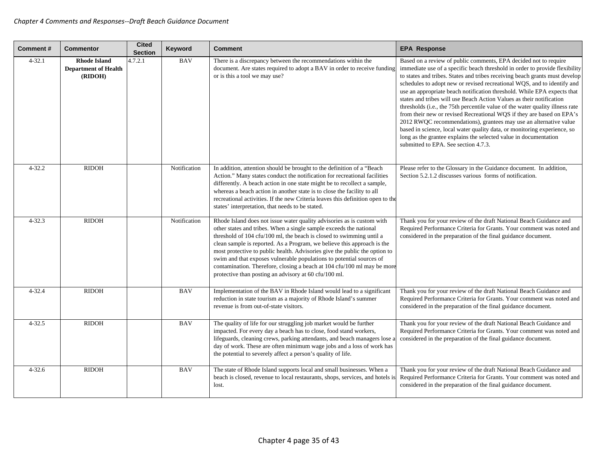| Comment#   | <b>Commentor</b>                                              | <b>Cited</b><br><b>Section</b> | Keyword      | <b>Comment</b>                                                                                                                                                                                                                                                                                                                                                                                                                                                                                                                                                                            | <b>EPA Response</b>                                                                                                                                                                                                                                                                                                                                                                                                                                                                                                                                                                                                                                                                                                                                                                                                                                                                 |
|------------|---------------------------------------------------------------|--------------------------------|--------------|-------------------------------------------------------------------------------------------------------------------------------------------------------------------------------------------------------------------------------------------------------------------------------------------------------------------------------------------------------------------------------------------------------------------------------------------------------------------------------------------------------------------------------------------------------------------------------------------|-------------------------------------------------------------------------------------------------------------------------------------------------------------------------------------------------------------------------------------------------------------------------------------------------------------------------------------------------------------------------------------------------------------------------------------------------------------------------------------------------------------------------------------------------------------------------------------------------------------------------------------------------------------------------------------------------------------------------------------------------------------------------------------------------------------------------------------------------------------------------------------|
| $4 - 32.1$ | <b>Rhode Island</b><br><b>Department of Health</b><br>(RIDOH) | 4.7.2.1                        | <b>BAV</b>   | There is a discrepancy between the recommendations within the<br>document. Are states required to adopt a BAV in order to receive funding<br>or is this a tool we may use?                                                                                                                                                                                                                                                                                                                                                                                                                | Based on a review of public comments, EPA decided not to require<br>immediate use of a specific beach threshold in order to provide flexibility<br>to states and tribes. States and tribes receiving beach grants must develop<br>schedules to adopt new or revised recreational WQS, and to identify and<br>use an appropriate beach notification threshold. While EPA expects that<br>states and tribes will use Beach Action Values as their notification<br>thresholds (i.e., the 75th percentile value of the water quality illness rate<br>from their new or revised Recreational WQS if they are based on EPA's<br>2012 RWQC recommendations), grantees may use an alternative value<br>based in science, local water quality data, or monitoring experience, so<br>long as the grantee explains the selected value in documentation<br>submitted to EPA. See section 4.7.3. |
| $4 - 32.2$ | <b>RIDOH</b>                                                  |                                | Notification | In addition, attention should be brought to the definition of a "Beach<br>Action." Many states conduct the notification for recreational facilities<br>differently. A beach action in one state might be to recollect a sample,<br>whereas a beach action in another state is to close the facility to all<br>recreational activities. If the new Criteria leaves this definition open to the<br>states' interpretation, that needs to be stated.                                                                                                                                         | Please refer to the Glossary in the Guidance document. In addition,<br>Section 5.2.1.2 discusses various forms of notification.                                                                                                                                                                                                                                                                                                                                                                                                                                                                                                                                                                                                                                                                                                                                                     |
| $4 - 32.3$ | <b>RIDOH</b>                                                  |                                | Notification | Rhode Island does not issue water quality advisories as is custom with<br>other states and tribes. When a single sample exceeds the national<br>threshold of 104 cfu/100 ml, the beach is closed to swimming until a<br>clean sample is reported. As a Program, we believe this approach is the<br>most protective to public health. Advisories give the public the option to<br>swim and that exposes vulnerable populations to potential sources of<br>contamination. Therefore, closing a beach at 104 cfu/100 ml may be more<br>protective than posting an advisory at 60 cfu/100 ml. | Thank you for your review of the draft National Beach Guidance and<br>Required Performance Criteria for Grants. Your comment was noted and<br>considered in the preparation of the final guidance document.                                                                                                                                                                                                                                                                                                                                                                                                                                                                                                                                                                                                                                                                         |
| $4 - 32.4$ | <b>RIDOH</b>                                                  |                                | <b>BAV</b>   | Implementation of the BAV in Rhode Island would lead to a significant<br>reduction in state tourism as a majority of Rhode Island's summer<br>revenue is from out-of-state visitors.                                                                                                                                                                                                                                                                                                                                                                                                      | Thank you for your review of the draft National Beach Guidance and<br>Required Performance Criteria for Grants. Your comment was noted and<br>considered in the preparation of the final guidance document.                                                                                                                                                                                                                                                                                                                                                                                                                                                                                                                                                                                                                                                                         |
| $4 - 32.5$ | <b>RIDOH</b>                                                  |                                | <b>BAV</b>   | The quality of life for our struggling job market would be further<br>impacted. For every day a beach has to close, food stand workers,<br>lifeguards, cleaning crews, parking attendants, and beach managers lose a<br>day of work. These are often minimum wage jobs and a loss of work has<br>the potential to severely affect a person's quality of life.                                                                                                                                                                                                                             | Thank you for your review of the draft National Beach Guidance and<br>Required Performance Criteria for Grants. Your comment was noted and<br>considered in the preparation of the final guidance document.                                                                                                                                                                                                                                                                                                                                                                                                                                                                                                                                                                                                                                                                         |
| $4 - 32.6$ | <b>RIDOH</b>                                                  |                                | <b>BAV</b>   | The state of Rhode Island supports local and small businesses. When a<br>beach is closed, revenue to local restaurants, shops, services, and hotels is<br>lost.                                                                                                                                                                                                                                                                                                                                                                                                                           | Thank you for your review of the draft National Beach Guidance and<br>Required Performance Criteria for Grants. Your comment was noted and<br>considered in the preparation of the final guidance document.                                                                                                                                                                                                                                                                                                                                                                                                                                                                                                                                                                                                                                                                         |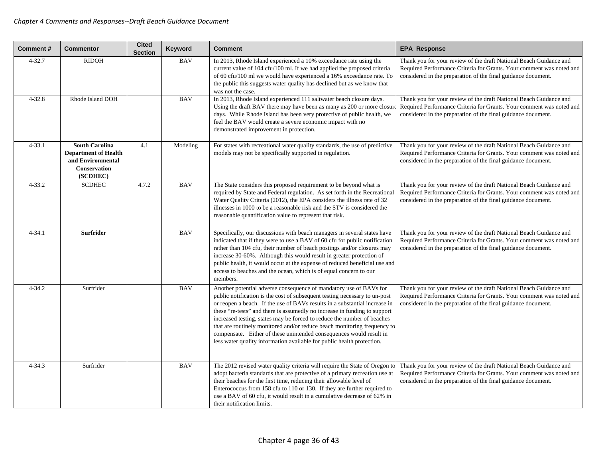| <b>Comment#</b> | <b>Commentor</b>                                                                                             | <b>Cited</b><br><b>Section</b> | Keyword    | <b>Comment</b>                                                                                                                                                                                                                                                                                                                                                                                                                                                                                                                                                                                                      | <b>EPA Response</b>                                                                                                                                                                                         |
|-----------------|--------------------------------------------------------------------------------------------------------------|--------------------------------|------------|---------------------------------------------------------------------------------------------------------------------------------------------------------------------------------------------------------------------------------------------------------------------------------------------------------------------------------------------------------------------------------------------------------------------------------------------------------------------------------------------------------------------------------------------------------------------------------------------------------------------|-------------------------------------------------------------------------------------------------------------------------------------------------------------------------------------------------------------|
| $4 - 32.7$      | <b>RIDOH</b>                                                                                                 |                                | <b>BAV</b> | In 2013, Rhode Island experienced a 10% exceedance rate using the<br>current value of 104 cfu/100 ml. If we had applied the proposed criteria<br>of 60 cfu/100 ml we would have experienced a 16% exceedance rate. To<br>the public this suggests water quality has declined but as we know that<br>was not the case.                                                                                                                                                                                                                                                                                               | Thank you for your review of the draft National Beach Guidance and<br>Required Performance Criteria for Grants. Your comment was noted and<br>considered in the preparation of the final guidance document. |
| $4 - 32.8$      | Rhode Island DOH                                                                                             |                                | <b>BAV</b> | In 2013, Rhode Island experienced 111 saltwater beach closure days.<br>Using the draft BAV there may have been as many as 200 or more closur<br>days. While Rhode Island has been very protective of public health, we<br>feel the BAV would create a severe economic impact with no<br>demonstrated improvement in protection.                                                                                                                                                                                                                                                                                     | Thank you for your review of the draft National Beach Guidance and<br>Required Performance Criteria for Grants. Your comment was noted and<br>considered in the preparation of the final guidance document. |
| $4 - 33.1$      | <b>South Carolina</b><br><b>Department of Health</b><br>and Environmental<br><b>Conservation</b><br>(SCDHEC) | 4.1                            | Modeling   | For states with recreational water quality standards, the use of predictive<br>models may not be specifically supported in regulation.                                                                                                                                                                                                                                                                                                                                                                                                                                                                              | Thank you for your review of the draft National Beach Guidance and<br>Required Performance Criteria for Grants. Your comment was noted and<br>considered in the preparation of the final guidance document. |
| $4 - 33.2$      | <b>SCDHEC</b>                                                                                                | 4.7.2                          | <b>BAV</b> | The State considers this proposed requirement to be beyond what is<br>required by State and Federal regulation. As set forth in the Recreational<br>Water Quality Criteria (2012), the EPA considers the illness rate of 32<br>illnesses in 1000 to be a reasonable risk and the STV is considered the<br>reasonable quantification value to represent that risk.                                                                                                                                                                                                                                                   | Thank you for your review of the draft National Beach Guidance and<br>Required Performance Criteria for Grants. Your comment was noted and<br>considered in the preparation of the final guidance document. |
| $4 - 34.1$      | <b>Surfrider</b>                                                                                             |                                | <b>BAV</b> | Specifically, our discussions with beach managers in several states have<br>indicated that if they were to use a BAV of 60 cfu for public notification<br>rather than 104 cfu, their number of beach postings and/or closures may<br>increase 30-60%. Although this would result in greater protection of<br>public health, it would occur at the expense of reduced beneficial use and<br>access to beaches and the ocean, which is of equal concern to our<br>members.                                                                                                                                            | Thank you for your review of the draft National Beach Guidance and<br>Required Performance Criteria for Grants. Your comment was noted and<br>considered in the preparation of the final guidance document. |
| $4 - 34.2$      | Surfrider                                                                                                    |                                | <b>BAV</b> | Another potential adverse consequence of mandatory use of BAVs for<br>public notification is the cost of subsequent testing necessary to un-post<br>or reopen a beach. If the use of BAVs results in a substantial increase in<br>these "re-tests" and there is assumedly no increase in funding to support<br>increased testing, states may be forced to reduce the number of beaches<br>that are routinely monitored and/or reduce beach monitoring frequency to<br>compensate. Either of these unintended consequences would result in<br>less water quality information available for public health protection. | Thank you for your review of the draft National Beach Guidance and<br>Required Performance Criteria for Grants. Your comment was noted and<br>considered in the preparation of the final guidance document. |
| $4 - 34.3$      | Surfrider                                                                                                    |                                | <b>BAV</b> | The 2012 revised water quality criteria will require the State of Oregon to<br>adopt bacteria standards that are protective of a primary recreation use at<br>their beaches for the first time, reducing their allowable level of<br>Enterococcus from 158 cfu to 110 or 130. If they are further required to<br>use a BAV of 60 cfu, it would result in a cumulative decrease of 62% in<br>their notification limits.                                                                                                                                                                                              | Thank you for your review of the draft National Beach Guidance and<br>Required Performance Criteria for Grants. Your comment was noted and<br>considered in the preparation of the final guidance document. |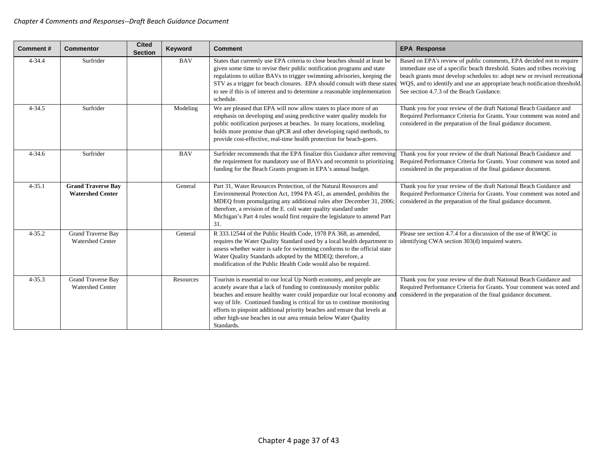| <b>Comment#</b> | <b>Commentor</b>                                     | <b>Cited</b><br><b>Section</b> | Keyword    | <b>Comment</b>                                                                                                                                                                                                                                                                                                                                                                                                                                               | <b>EPA Response</b>                                                                                                                                                                                                                                                                                                                                    |
|-----------------|------------------------------------------------------|--------------------------------|------------|--------------------------------------------------------------------------------------------------------------------------------------------------------------------------------------------------------------------------------------------------------------------------------------------------------------------------------------------------------------------------------------------------------------------------------------------------------------|--------------------------------------------------------------------------------------------------------------------------------------------------------------------------------------------------------------------------------------------------------------------------------------------------------------------------------------------------------|
| $4 - 34.4$      | Surfrider                                            |                                | <b>BAV</b> | States that currently use EPA criteria to close beaches should at least be<br>given some time to revise their public notification programs and state<br>regulations to utilize BAVs to trigger swimming advisories, keeping the<br>STV as a trigger for beach closures. EPA should consult with these state<br>to see if this is of interest and to determine a reasonable implementation<br>schedule.                                                       | Based on EPA's review of public comments, EPA decided not to require<br>immediate use of a specific beach threshold. States and tribes receiving<br>beach grants must develop schedules to: adopt new or revised recreational<br>WQS, and to identify and use an appropriate beach notification threshold.<br>See section 4.7.3 of the Beach Guidance. |
| $4 - 34.5$      | Surfrider                                            |                                | Modeling   | We are pleased that EPA will now allow states to place more of an<br>emphasis on developing and using predictive water quality models for<br>public notification purposes at beaches. In many locations, modeling<br>holds more promise than qPCR and other developing rapid methods, to<br>provide cost-effective, real-time health protection for beach-goers.                                                                                             | Thank you for your review of the draft National Beach Guidance and<br>Required Performance Criteria for Grants. Your comment was noted and<br>considered in the preparation of the final guidance document.                                                                                                                                            |
| $4 - 34.6$      | Surfrider                                            |                                | <b>BAV</b> | Surfrider recommends that the EPA finalize this Guidance after removing<br>the requirement for mandatory use of BAVs and recommit to prioritizing<br>funding for the Beach Grants program in EPA's annual budget.                                                                                                                                                                                                                                            | Thank you for your review of the draft National Beach Guidance and<br>Required Performance Criteria for Grants. Your comment was noted and<br>considered in the preparation of the final guidance document.                                                                                                                                            |
| $4 - 35.1$      | <b>Grand Traverse Bay</b><br><b>Watershed Center</b> |                                | General    | Part 31, Water Resources Protection, of the Natural Resources and<br>Environmental Protection Act, 1994 PA 451, as amended, prohibits the<br>MDEQ from promulgating any additional rules after December 31, 2006;<br>therefore, a revision of the E. coli water quality standard under<br>Michigan's Part 4 rules would first require the legislature to amend Part<br>31.                                                                                   | Thank you for your review of the draft National Beach Guidance and<br>Required Performance Criteria for Grants. Your comment was noted and<br>considered in the preparation of the final guidance document.                                                                                                                                            |
| $4 - 35.2$      | <b>Grand Traverse Bay</b><br><b>Watershed Center</b> |                                | General    | R 333.12544 of the Public Health Code, 1978 PA 368, as amended,<br>requires the Water Quality Standard used by a local health department to<br>assess whether water is safe for swimming conforms to the official state<br>Water Quality Standards adopted by the MDEQ; therefore, a<br>modification of the Public Health Code would also be required.                                                                                                       | Please see section 4.7.4 for a discussion of the use of RWQC in<br>identifying CWA section 303(d) impaired waters.                                                                                                                                                                                                                                     |
| $4 - 35.3$      | <b>Grand Traverse Bay</b><br><b>Watershed Center</b> |                                | Resources  | Tourism is essential to our local Up North economy, and people are<br>acutely aware that a lack of funding to continuously monitor public<br>beaches and ensure healthy water could jeopardize our local economy and<br>way of life. Continued funding is critical for us to continue monitoring<br>efforts to pinpoint additional priority beaches and ensure that levels at<br>other high-use beaches in our area remain below Water Quality<br>Standards. | Thank you for your review of the draft National Beach Guidance and<br>Required Performance Criteria for Grants. Your comment was noted and<br>considered in the preparation of the final guidance document.                                                                                                                                            |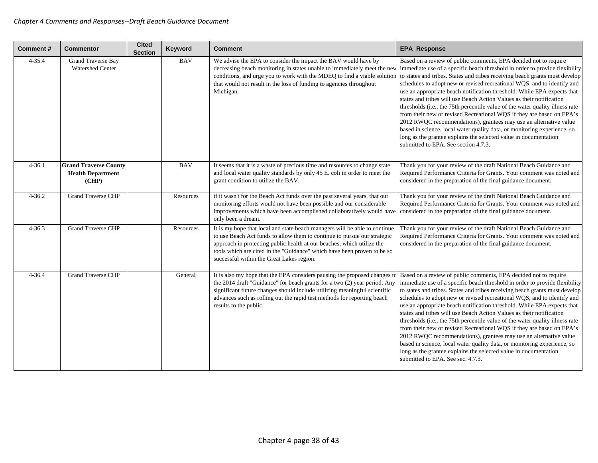| Comment#   | <b>Commentor</b>                                                  | <b>Cited</b><br><b>Section</b> | Keyword    | <b>Comment</b>                                                                                                                                                                                                                                                                                                                                           | <b>EPA Response</b>                                                                                                                                                                                                                                                                                                                                                                                                                                                                                                                                                                                                                                                                                                                                                                                                                                                                 |
|------------|-------------------------------------------------------------------|--------------------------------|------------|----------------------------------------------------------------------------------------------------------------------------------------------------------------------------------------------------------------------------------------------------------------------------------------------------------------------------------------------------------|-------------------------------------------------------------------------------------------------------------------------------------------------------------------------------------------------------------------------------------------------------------------------------------------------------------------------------------------------------------------------------------------------------------------------------------------------------------------------------------------------------------------------------------------------------------------------------------------------------------------------------------------------------------------------------------------------------------------------------------------------------------------------------------------------------------------------------------------------------------------------------------|
| $4 - 35.4$ | <b>Grand Traverse Bay</b><br><b>Watershed Center</b>              |                                | <b>BAV</b> | We advise the EPA to consider the impact the BAV would have by<br>decreasing beach monitoring in states unable to immediately meet the nev<br>conditions, and urge you to work with the MDEQ to find a viable solution<br>that would not result in the loss of funding to agencies throughout<br>Michigan.                                               | Based on a review of public comments, EPA decided not to require<br>immediate use of a specific beach threshold in order to provide flexibility<br>to states and tribes. States and tribes receiving beach grants must develop<br>schedules to adopt new or revised recreational WQS, and to identify and<br>use an appropriate beach notification threshold. While EPA expects that<br>states and tribes will use Beach Action Values as their notification<br>thresholds (i.e., the 75th percentile value of the water quality illness rate<br>from their new or revised Recreational WQS if they are based on EPA's<br>2012 RWQC recommendations), grantees may use an alternative value<br>based in science, local water quality data, or monitoring experience, so<br>long as the grantee explains the selected value in documentation<br>submitted to EPA. See section 4.7.3. |
| $4 - 36.1$ | <b>Grand Traverse County</b><br><b>Health Department</b><br>(CHP) |                                | <b>BAV</b> | It seems that it is a waste of precious time and resources to change state<br>and local water quality standards by only 45 E. coli in order to meet the<br>grant condition to utilize the BAV.                                                                                                                                                           | Thank you for your review of the draft National Beach Guidance and<br>Required Performance Criteria for Grants. Your comment was noted and<br>considered in the preparation of the final guidance document.                                                                                                                                                                                                                                                                                                                                                                                                                                                                                                                                                                                                                                                                         |
| $4 - 36.2$ | <b>Grand Traverse CHP</b>                                         |                                | Resources  | if it wasn't for the Beach Act funds over the past several years, that our<br>monitoring efforts would not have been possible and our considerable<br>improvements which have been accomplished collaboratively would have<br>only been a dream.                                                                                                         | Thank you for your review of the draft National Beach Guidance and<br>Required Performance Criteria for Grants. Your comment was noted and<br>considered in the preparation of the final guidance document.                                                                                                                                                                                                                                                                                                                                                                                                                                                                                                                                                                                                                                                                         |
| $4 - 36.3$ | <b>Grand Traverse CHP</b>                                         |                                | Resources  | It is my hope that local and state beach managers will be able to continue<br>to use Beach Act funds to allow them to continue to pursue our strategic<br>approach in protecting public health at our beaches, which utilize the<br>tools which are cited in the "Guidance" which have been proven to be so<br>successful within the Great Lakes region. | Thank you for your review of the draft National Beach Guidance and<br>Required Performance Criteria for Grants. Your comment was noted and<br>considered in the preparation of the final guidance document.                                                                                                                                                                                                                                                                                                                                                                                                                                                                                                                                                                                                                                                                         |
| $4 - 36.4$ | <b>Grand Traverse CHP</b>                                         |                                | General    | It is also my hope that the EPA considers pausing the proposed changes to<br>the 2014 draft "Guidance" for beach grants for a two (2) year period. Any<br>significant future changes should include utilizing meaningful scientific<br>advances such as rolling out the rapid test methods for reporting beach<br>results to the public.                 | Based on a review of public comments, EPA decided not to require<br>immediate use of a specific beach threshold in order to provide flexibility<br>to states and tribes. States and tribes receiving beach grants must develop<br>schedules to adopt new or revised recreational WQS, and to identify and<br>use an appropriate beach notification threshold. While EPA expects that<br>states and tribes will use Beach Action Values as their notification<br>thresholds (i.e., the 75th percentile value of the water quality illness rate<br>from their new or revised Recreational WQS if they are based on EPA's<br>2012 RWQC recommendations), grantees may use an alternative value<br>based in science, local water quality data, or monitoring experience, so<br>long as the grantee explains the selected value in documentation<br>submitted to EPA. See sec. 4.7.3.    |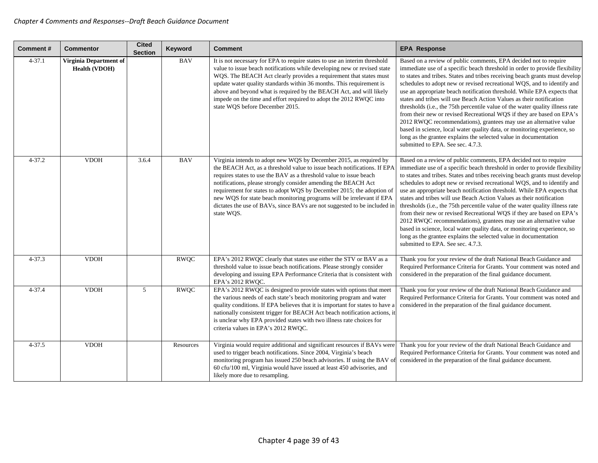| <b>Comment#</b> | <b>Commentor</b>                               | <b>Cited</b><br><b>Section</b> | Keyword     | <b>Comment</b>                                                                                                                                                                                                                                                                                                                                                                                                                                                                                                                     | <b>EPA Response</b>                                                                                                                                                                                                                                                                                                                                                                                                                                                                                                                                                                                                                                                                                                                                                                                                                                                              |
|-----------------|------------------------------------------------|--------------------------------|-------------|------------------------------------------------------------------------------------------------------------------------------------------------------------------------------------------------------------------------------------------------------------------------------------------------------------------------------------------------------------------------------------------------------------------------------------------------------------------------------------------------------------------------------------|----------------------------------------------------------------------------------------------------------------------------------------------------------------------------------------------------------------------------------------------------------------------------------------------------------------------------------------------------------------------------------------------------------------------------------------------------------------------------------------------------------------------------------------------------------------------------------------------------------------------------------------------------------------------------------------------------------------------------------------------------------------------------------------------------------------------------------------------------------------------------------|
| $4 - 37.1$      | Virginia Department of<br><b>Health (VDOH)</b> |                                | <b>BAV</b>  | It is not necessary for EPA to require states to use an interim threshold<br>value to issue beach notifications while developing new or revised state<br>WQS. The BEACH Act clearly provides a requirement that states must<br>update water quality standards within 36 months. This requirement is<br>above and beyond what is required by the BEACH Act, and will likely<br>impede on the time and effort required to adopt the 2012 RWQC into<br>state WQS before December 2015.                                                | Based on a review of public comments, EPA decided not to require<br>immediate use of a specific beach threshold in order to provide flexibility<br>to states and tribes. States and tribes receiving beach grants must develop<br>schedules to adopt new or revised recreational WQS, and to identify and<br>use an appropriate beach notification threshold. While EPA expects that<br>states and tribes will use Beach Action Values as their notification<br>thresholds (i.e., the 75th percentile value of the water quality illness rate<br>from their new or revised Recreational WQS if they are based on EPA's<br>2012 RWQC recommendations), grantees may use an alternative value<br>based in science, local water quality data, or monitoring experience, so<br>long as the grantee explains the selected value in documentation<br>submitted to EPA. See sec. 4.7.3. |
| $4 - 37.2$      | <b>VDOH</b>                                    | 3.6.4                          | <b>BAV</b>  | Virginia intends to adopt new WQS by December 2015, as required by<br>the BEACH Act, as a threshold value to issue beach notifications. If EPA<br>requires states to use the BAV as a threshold value to issue beach<br>notifications, please strongly consider amending the BEACH Act<br>requirement for states to adopt WQS by December 2015; the adoption of<br>new WQS for state beach monitoring programs will be irrelevant if EPA<br>dictates the use of BAVs, since BAVs are not suggested to be included in<br>state WQS. | Based on a review of public comments, EPA decided not to require<br>immediate use of a specific beach threshold in order to provide flexibility<br>to states and tribes. States and tribes receiving beach grants must develop<br>schedules to adopt new or revised recreational WQS, and to identify and<br>use an appropriate beach notification threshold. While EPA expects that<br>states and tribes will use Beach Action Values as their notification<br>thresholds (i.e., the 75th percentile value of the water quality illness rate<br>from their new or revised Recreational WQS if they are based on EPA's<br>2012 RWQC recommendations), grantees may use an alternative value<br>based in science, local water quality data, or monitoring experience, so<br>long as the grantee explains the selected value in documentation<br>submitted to EPA. See sec. 4.7.3. |
| $4 - 37.3$      | <b>VDOH</b>                                    |                                | <b>RWQC</b> | EPA's 2012 RWQC clearly that states use either the STV or BAV as a<br>threshold value to issue beach notifications. Please strongly consider<br>developing and issuing EPA Performance Criteria that is consistent with<br>EPA's 2012 RWQC.                                                                                                                                                                                                                                                                                        | Thank you for your review of the draft National Beach Guidance and<br>Required Performance Criteria for Grants. Your comment was noted and<br>considered in the preparation of the final guidance document.                                                                                                                                                                                                                                                                                                                                                                                                                                                                                                                                                                                                                                                                      |
| $4 - 37.4$      | <b>VDOH</b>                                    | 5                              | RWQC        | EPA's 2012 RWQC is designed to provide states with options that meet<br>the various needs of each state's beach monitoring program and water<br>quality conditions. If EPA believes that it is important for states to have a<br>nationally consistent trigger for BEACH Act beach notification actions, it<br>is unclear why EPA provided states with two illness rate choices for<br>criteria values in EPA's 2012 RWQC.                                                                                                         | Thank you for your review of the draft National Beach Guidance and<br>Required Performance Criteria for Grants. Your comment was noted and<br>considered in the preparation of the final guidance document.                                                                                                                                                                                                                                                                                                                                                                                                                                                                                                                                                                                                                                                                      |
| $4 - 37.5$      | <b>VDOH</b>                                    |                                | Resources   | Virginia would require additional and significant resources if BAVs were<br>used to trigger beach notifications. Since 2004, Virginia's beach<br>monitoring program has issued 250 beach advisories. If using the BAV o<br>60 cfu/100 ml, Virginia would have issued at least 450 advisories, and<br>likely more due to resampling.                                                                                                                                                                                                | Thank you for your review of the draft National Beach Guidance and<br>Required Performance Criteria for Grants. Your comment was noted and<br>considered in the preparation of the final guidance document.                                                                                                                                                                                                                                                                                                                                                                                                                                                                                                                                                                                                                                                                      |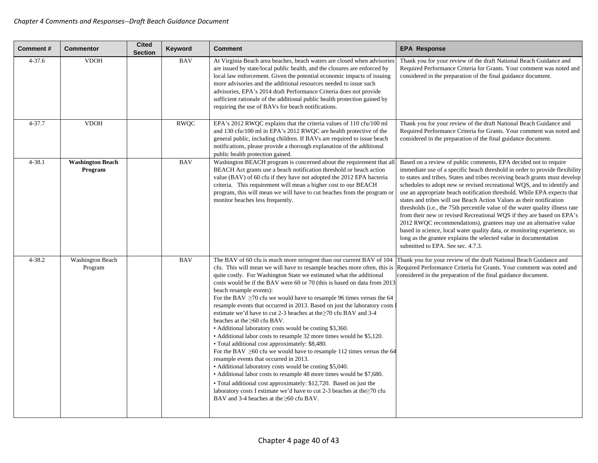| <b>Comment#</b> | <b>Commentor</b>                   | <b>Cited</b><br><b>Section</b> | Keyword     | <b>Comment</b>                                                                                                                                                                                                                                                                                                                                                                                                                                                                                                                                                                                                                                                                                                                                                                                                                                                                                                                                                                                                                                                                                                                                                                                                                                                | <b>EPA Response</b>                                                                                                                                                                                                                                                                                                                                                                                                                                                                                                                                                                                                                                                                                                                                                                                                                                                              |
|-----------------|------------------------------------|--------------------------------|-------------|---------------------------------------------------------------------------------------------------------------------------------------------------------------------------------------------------------------------------------------------------------------------------------------------------------------------------------------------------------------------------------------------------------------------------------------------------------------------------------------------------------------------------------------------------------------------------------------------------------------------------------------------------------------------------------------------------------------------------------------------------------------------------------------------------------------------------------------------------------------------------------------------------------------------------------------------------------------------------------------------------------------------------------------------------------------------------------------------------------------------------------------------------------------------------------------------------------------------------------------------------------------|----------------------------------------------------------------------------------------------------------------------------------------------------------------------------------------------------------------------------------------------------------------------------------------------------------------------------------------------------------------------------------------------------------------------------------------------------------------------------------------------------------------------------------------------------------------------------------------------------------------------------------------------------------------------------------------------------------------------------------------------------------------------------------------------------------------------------------------------------------------------------------|
| $4 - 37.6$      | <b>VDOH</b>                        |                                | <b>BAV</b>  | At Virginia Beach area beaches, beach waters are closed when advisories<br>are issued by state/local public health, and the closures are enforced by<br>local law enforcement. Given the potential economic impacts of issuing<br>more advisories and the additional resources needed to issue such<br>advisories, EPA's 2014 draft Performance Criteria does not provide<br>sufficient rationale of the additional public health protection gained by<br>requiring the use of BAVs for beach notifications.                                                                                                                                                                                                                                                                                                                                                                                                                                                                                                                                                                                                                                                                                                                                                  | Thank you for your review of the draft National Beach Guidance and<br>Required Performance Criteria for Grants. Your comment was noted and<br>considered in the preparation of the final guidance document.                                                                                                                                                                                                                                                                                                                                                                                                                                                                                                                                                                                                                                                                      |
| $4 - 37.7$      | <b>VDOH</b>                        |                                | <b>RWQC</b> | EPA's 2012 RWQC explains that the criteria values of 110 cfu/100 ml<br>and 130 cfu/100 ml in EPA's 2012 RWQC are health protective of the<br>general public, including children. If BAVs are required to issue beach<br>notifications, please provide a thorough explanation of the additional<br>public health protection gained.                                                                                                                                                                                                                                                                                                                                                                                                                                                                                                                                                                                                                                                                                                                                                                                                                                                                                                                            | Thank you for your review of the draft National Beach Guidance and<br>Required Performance Criteria for Grants. Your comment was noted and<br>considered in the preparation of the final guidance document.                                                                                                                                                                                                                                                                                                                                                                                                                                                                                                                                                                                                                                                                      |
| $4 - 38.1$      | <b>Washington Beach</b><br>Program |                                | <b>BAV</b>  | Washington BEACH program is concerned about the requirement that all<br>BEACH Act grants use a beach notification threshold or beach action<br>value (BAV) of 60 cfu if they have not adopted the 2012 EPA bacteria<br>criteria. This requirement will mean a higher cost to our BEACH<br>program, this will mean we will have to cut beaches from the program or<br>monitor beaches less frequently.                                                                                                                                                                                                                                                                                                                                                                                                                                                                                                                                                                                                                                                                                                                                                                                                                                                         | Based on a review of public comments, EPA decided not to require<br>immediate use of a specific beach threshold in order to provide flexibility<br>to states and tribes. States and tribes receiving beach grants must develop<br>schedules to adopt new or revised recreational WQS, and to identify and<br>use an appropriate beach notification threshold. While EPA expects that<br>states and tribes will use Beach Action Values as their notification<br>thresholds (i.e., the 75th percentile value of the water quality illness rate<br>from their new or revised Recreational WQS if they are based on EPA's<br>2012 RWQC recommendations), grantees may use an alternative value<br>based in science, local water quality data, or monitoring experience, so<br>long as the grantee explains the selected value in documentation<br>submitted to EPA. See sec. 4.7.3. |
| 4-38.2          | <b>Washington Beach</b><br>Program |                                | <b>BAV</b>  | The BAV of 60 cfu is much more stringent than our current BAV of 104<br>cfu. This will mean we will have to resample beaches more often, this is<br>quite costly. For Washington State we estimated what the additional<br>costs would be if the BAV were 60 or 70 (this is based on data from 2013)<br>beach resample events):<br>For the BAV $\geq$ 70 cfu we would have to resample 96 times versus the 64<br>resample events that occurred in 2013. Based on just the laboratory costs<br>estimate we'd have to cut 2-3 beaches at the ≥70 cfu BAV and 3-4<br>beaches at the $\geq 60$ cfu BAV.<br>• Additional laboratory costs would be costing \$3,360.<br>• Additional labor costs to resample 32 more times would be \$5,120.<br>• Total additional cost approximately: \$8,480.<br>For the BAV $\geq 60$ cfu we would have to resample 112 times versus the 64<br>resample events that occurred in 2013.<br>• Additional laboratory costs would be costing \$5,040.<br>• Additional labor costs to resample 48 more times would be \$7,680.<br>• Total additional cost approximately: \$12,720. Based on just the<br>laboratory costs I estimate we'd have to cut 2-3 beaches at the $\geq$ 70 cfu<br>BAV and 3-4 beaches at the $\geq 60$ cfu BAV. | Thank you for your review of the draft National Beach Guidance and<br>Required Performance Criteria for Grants. Your comment was noted and<br>considered in the preparation of the final guidance document.                                                                                                                                                                                                                                                                                                                                                                                                                                                                                                                                                                                                                                                                      |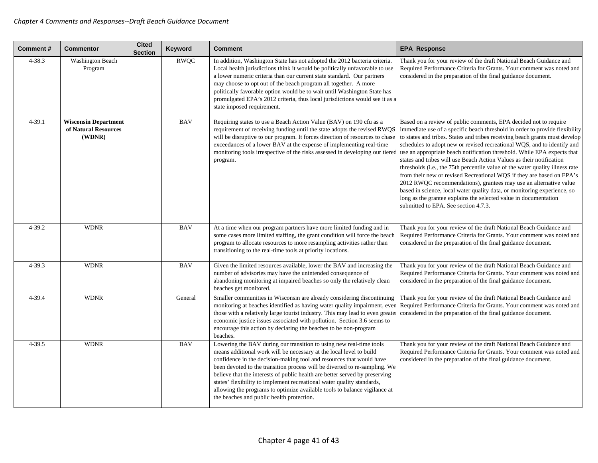| <b>Comment#</b> | <b>Commentor</b>                                              | <b>Cited</b><br><b>Section</b> | Keyword     | <b>Comment</b>                                                                                                                                                                                                                                                                                                                                                                                                                                                                                                                                                                      | <b>EPA Response</b>                                                                                                                                                                                                                                                                                                                                                                                                                                                                                                                                                                                                                                                                                                                                                                                                                                                                          |
|-----------------|---------------------------------------------------------------|--------------------------------|-------------|-------------------------------------------------------------------------------------------------------------------------------------------------------------------------------------------------------------------------------------------------------------------------------------------------------------------------------------------------------------------------------------------------------------------------------------------------------------------------------------------------------------------------------------------------------------------------------------|----------------------------------------------------------------------------------------------------------------------------------------------------------------------------------------------------------------------------------------------------------------------------------------------------------------------------------------------------------------------------------------------------------------------------------------------------------------------------------------------------------------------------------------------------------------------------------------------------------------------------------------------------------------------------------------------------------------------------------------------------------------------------------------------------------------------------------------------------------------------------------------------|
| $4 - 38.3$      | <b>Washington Beach</b><br>Program                            |                                | <b>RWQC</b> | In addition, Washington State has not adopted the 2012 bacteria criteria.<br>Local health jurisdictions think it would be politically unfavorable to use<br>a lower numeric criteria than our current state standard. Our partners<br>may choose to opt out of the beach program all together. A more<br>politically favorable option would be to wait until Washington State has<br>promulgated EPA's 2012 criteria, thus local jurisdictions would see it as a<br>state imposed requirement.                                                                                      | Thank you for your review of the draft National Beach Guidance and<br>Required Performance Criteria for Grants. Your comment was noted and<br>considered in the preparation of the final guidance document.                                                                                                                                                                                                                                                                                                                                                                                                                                                                                                                                                                                                                                                                                  |
| 4-39.1          | <b>Wisconsin Department</b><br>of Natural Resources<br>(WDNR) |                                | <b>BAV</b>  | Requiring states to use a Beach Action Value (BAV) on 190 cfu as a<br>requirement of receiving funding until the state adopts the revised RWQS<br>will be disruptive to our program. It forces direction of resources to chase<br>exceedances of a lower BAV at the expense of implementing real-time<br>monitoring tools irrespective of the risks assessed in developing our tiered<br>program.                                                                                                                                                                                   | Based on a review of public comments, EPA decided not to require<br>immediate use of a specific beach threshold in order to provide flexibility<br>to states and tribes. States and tribes receiving beach grants must develop<br>schedules to adopt new or revised recreational WQS, and to identify and<br>use an appropriate beach notification threshold. While EPA expects that<br>states and tribes will use Beach Action Values as their notification<br>thresholds ( <i>i.e.</i> , the 75th percentile value of the water quality illness rate<br>from their new or revised Recreational WQS if they are based on EPA's<br>2012 RWQC recommendations), grantees may use an alternative value<br>based in science, local water quality data, or monitoring experience, so<br>long as the grantee explains the selected value in documentation<br>submitted to EPA. See section 4.7.3. |
| 4-39.2          | <b>WDNR</b>                                                   |                                | <b>BAV</b>  | At a time when our program partners have more limited funding and in<br>some cases more limited staffing, the grant condition will force the beach<br>program to allocate resources to more resampling activities rather than<br>transitioning to the real-time tools at priority locations.                                                                                                                                                                                                                                                                                        | Thank you for your review of the draft National Beach Guidance and<br>Required Performance Criteria for Grants. Your comment was noted and<br>considered in the preparation of the final guidance document.                                                                                                                                                                                                                                                                                                                                                                                                                                                                                                                                                                                                                                                                                  |
| $4 - 39.3$      | <b>WDNR</b>                                                   |                                | <b>BAV</b>  | Given the limited resources available, lower the BAV and increasing the<br>number of advisories may have the unintended consequence of<br>abandoning monitoring at impaired beaches so only the relatively clean<br>beaches get monitored.                                                                                                                                                                                                                                                                                                                                          | Thank you for your review of the draft National Beach Guidance and<br>Required Performance Criteria for Grants. Your comment was noted and<br>considered in the preparation of the final guidance document.                                                                                                                                                                                                                                                                                                                                                                                                                                                                                                                                                                                                                                                                                  |
| 4-39.4          | <b>WDNR</b>                                                   |                                | General     | Smaller communities in Wisconsin are already considering discontinuing<br>monitoring at beaches identified as having water quality impairment, eve<br>those with a relatively large tourist industry. This may lead to even greate<br>economic justice issues associated with pollution. Section 3.6 seems to<br>encourage this action by declaring the beaches to be non-program<br>beaches.                                                                                                                                                                                       | Thank you for your review of the draft National Beach Guidance and<br>Required Performance Criteria for Grants. Your comment was noted and<br>considered in the preparation of the final guidance document.                                                                                                                                                                                                                                                                                                                                                                                                                                                                                                                                                                                                                                                                                  |
| $4 - 39.5$      | <b>WDNR</b>                                                   |                                | <b>BAV</b>  | Lowering the BAV during our transition to using new real-time tools<br>means additional work will be necessary at the local level to build<br>confidence in the decision-making tool and resources that would have<br>been devoted to the transition process will be diverted to re-sampling. We<br>believe that the interests of public health are better served by preserving<br>states' flexibility to implement recreational water quality standards,<br>allowing the programs to optimize available tools to balance vigilance at<br>the beaches and public health protection. | Thank you for your review of the draft National Beach Guidance and<br>Required Performance Criteria for Grants. Your comment was noted and<br>considered in the preparation of the final guidance document.                                                                                                                                                                                                                                                                                                                                                                                                                                                                                                                                                                                                                                                                                  |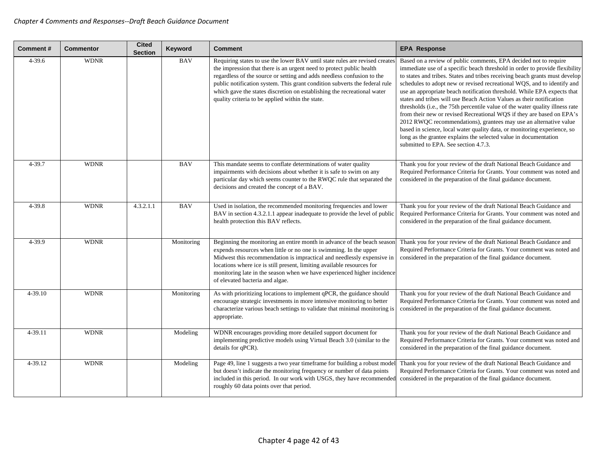| Comment#   | <b>Commentor</b> | <b>Cited</b><br><b>Section</b> | Keyword    | <b>Comment</b>                                                                                                                                                                                                                                                                                                                                                                                                                             | <b>EPA Response</b>                                                                                                                                                                                                                                                                                                                                                                                                                                                                                                                                                                                                                                                                                                                                                                                                                                                                 |
|------------|------------------|--------------------------------|------------|--------------------------------------------------------------------------------------------------------------------------------------------------------------------------------------------------------------------------------------------------------------------------------------------------------------------------------------------------------------------------------------------------------------------------------------------|-------------------------------------------------------------------------------------------------------------------------------------------------------------------------------------------------------------------------------------------------------------------------------------------------------------------------------------------------------------------------------------------------------------------------------------------------------------------------------------------------------------------------------------------------------------------------------------------------------------------------------------------------------------------------------------------------------------------------------------------------------------------------------------------------------------------------------------------------------------------------------------|
| $4 - 39.6$ | <b>WDNR</b>      |                                | <b>BAV</b> | Requiring states to use the lower BAV until state rules are revised creates<br>the impression that there is an urgent need to protect public health<br>regardless of the source or setting and adds needless confusion to the<br>public notification system. This grant condition subverts the federal rule<br>which gave the states discretion on establishing the recreational water<br>quality criteria to be applied within the state. | Based on a review of public comments, EPA decided not to require<br>immediate use of a specific beach threshold in order to provide flexibility<br>to states and tribes. States and tribes receiving beach grants must develop<br>schedules to adopt new or revised recreational WQS, and to identify and<br>use an appropriate beach notification threshold. While EPA expects that<br>states and tribes will use Beach Action Values as their notification<br>thresholds (i.e., the 75th percentile value of the water quality illness rate<br>from their new or revised Recreational WQS if they are based on EPA's<br>2012 RWQC recommendations), grantees may use an alternative value<br>based in science, local water quality data, or monitoring experience, so<br>long as the grantee explains the selected value in documentation<br>submitted to EPA. See section 4.7.3. |
| 4-39.7     | <b>WDNR</b>      |                                | <b>BAV</b> | This mandate seems to conflate determinations of water quality<br>impairments with decisions about whether it is safe to swim on any<br>particular day which seems counter to the RWQC rule that separated the<br>decisions and created the concept of a BAV.                                                                                                                                                                              | Thank you for your review of the draft National Beach Guidance and<br>Required Performance Criteria for Grants. Your comment was noted and<br>considered in the preparation of the final guidance document.                                                                                                                                                                                                                                                                                                                                                                                                                                                                                                                                                                                                                                                                         |
| 4-39.8     | <b>WDNR</b>      | 4.3.2.1.1                      | <b>BAV</b> | Used in isolation, the recommended monitoring frequencies and lower<br>BAV in section 4.3.2.1.1 appear inadequate to provide the level of public<br>health protection this BAV reflects.                                                                                                                                                                                                                                                   | Thank you for your review of the draft National Beach Guidance and<br>Required Performance Criteria for Grants. Your comment was noted and<br>considered in the preparation of the final guidance document.                                                                                                                                                                                                                                                                                                                                                                                                                                                                                                                                                                                                                                                                         |
| 4-39.9     | <b>WDNR</b>      |                                | Monitoring | Beginning the monitoring an entire month in advance of the beach season<br>expends resources when little or no one is swimming. In the upper<br>Midwest this recommendation is impractical and needlessly expensive in<br>locations where ice is still present, limiting available resources for<br>monitoring late in the season when we have experienced higher incidence<br>of elevated bacteria and algae.                             | Thank you for your review of the draft National Beach Guidance and<br>Required Performance Criteria for Grants. Your comment was noted and<br>considered in the preparation of the final guidance document.                                                                                                                                                                                                                                                                                                                                                                                                                                                                                                                                                                                                                                                                         |
| 4-39.10    | <b>WDNR</b>      |                                | Monitoring | As with prioritizing locations to implement qPCR, the guidance should<br>encourage strategic investments in more intensive monitoring to better<br>characterize various beach settings to validate that minimal monitoring is<br>appropriate.                                                                                                                                                                                              | Thank you for your review of the draft National Beach Guidance and<br>Required Performance Criteria for Grants. Your comment was noted and<br>considered in the preparation of the final guidance document.                                                                                                                                                                                                                                                                                                                                                                                                                                                                                                                                                                                                                                                                         |
| 4-39.11    | <b>WDNR</b>      |                                | Modeling   | WDNR encourages providing more detailed support document for<br>implementing predictive models using Virtual Beach 3.0 (similar to the<br>details for qPCR).                                                                                                                                                                                                                                                                               | Thank you for your review of the draft National Beach Guidance and<br>Required Performance Criteria for Grants. Your comment was noted and<br>considered in the preparation of the final guidance document.                                                                                                                                                                                                                                                                                                                                                                                                                                                                                                                                                                                                                                                                         |
| 4-39.12    | <b>WDNR</b>      |                                | Modeling   | Page 49, line 1 suggests a two year timeframe for building a robust mode<br>but doesn't indicate the monitoring frequency or number of data points<br>included in this period. In our work with USGS, they have recommended<br>roughly 60 data points over that period.                                                                                                                                                                    | Thank you for your review of the draft National Beach Guidance and<br>Required Performance Criteria for Grants. Your comment was noted and<br>considered in the preparation of the final guidance document.                                                                                                                                                                                                                                                                                                                                                                                                                                                                                                                                                                                                                                                                         |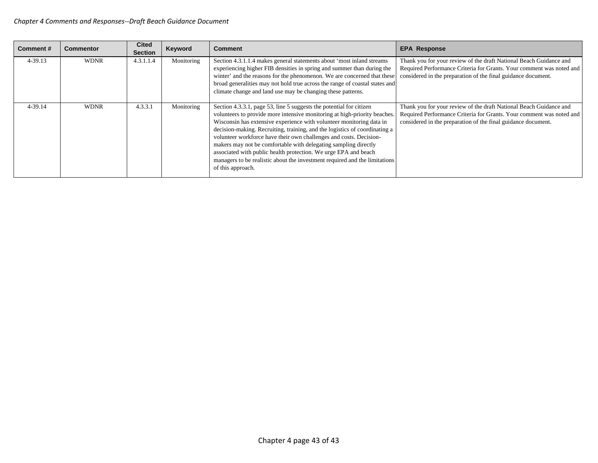| Comment#    | Commentor   | <b>Cited</b><br><b>Section</b> | Keyword    | <b>Comment</b>                                                                                                                                                                                                                                                                                                                                                                                                                                                                                                                                                                                                        | <b>EPA Response</b>                                                                                                                                                                                         |
|-------------|-------------|--------------------------------|------------|-----------------------------------------------------------------------------------------------------------------------------------------------------------------------------------------------------------------------------------------------------------------------------------------------------------------------------------------------------------------------------------------------------------------------------------------------------------------------------------------------------------------------------------------------------------------------------------------------------------------------|-------------------------------------------------------------------------------------------------------------------------------------------------------------------------------------------------------------|
| $4 - 39.13$ | <b>WDNR</b> | 4.3.1.1.4                      | Monitoring | Section 4.3.1.1.4 makes general statements about 'most inland streams<br>experiencing higher FIB densities in spring and summer than during the<br>winter' and the reasons for the phenomenon. We are concerned that these<br>broad generalities may not hold true across the range of coastal states and<br>climate change and land use may be changing these patterns.                                                                                                                                                                                                                                              | Thank you for your review of the draft National Beach Guidance and<br>Required Performance Criteria for Grants. Your comment was noted and<br>considered in the preparation of the final guidance document. |
| 4-39.14     | <b>WDNR</b> | 4.3.3.1                        | Monitoring | Section 4.3.3.1, page 53, line 5 suggests the potential for citizen<br>volunteers to provide more intensive monitoring at high-priority beaches.<br>Wisconsin has extensive experience with volunteer monitoring data in<br>decision-making. Recruiting, training, and the logistics of coordinating a<br>volunteer workforce have their own challenges and costs. Decision-<br>makers may not be comfortable with delegating sampling directly<br>associated with public health protection. We urge EPA and beach<br>managers to be realistic about the investment required and the limitations<br>of this approach. | Thank you for your review of the draft National Beach Guidance and<br>Required Performance Criteria for Grants. Your comment was noted and<br>considered in the preparation of the final guidance document. |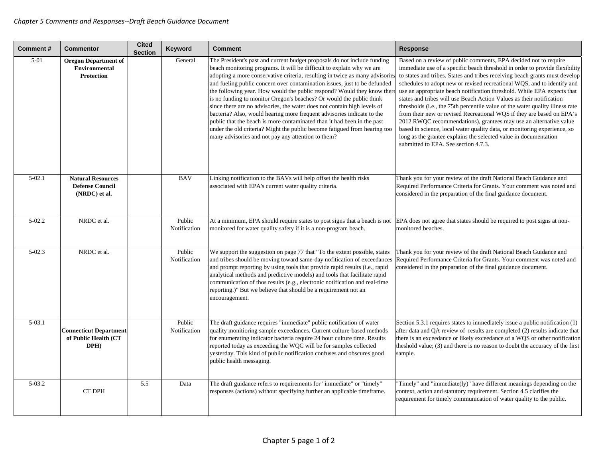| <b>Comment#</b> | <b>Commentor</b>                                                         | <b>Cited</b><br><b>Section</b> | <b>Keyword</b>         | Comment                                                                                                                                                                                                                                                                                                                                                                                                                                                                                                                                                                                                                                                                                                                                                                                                                             | <b>Response</b>                                                                                                                                                                                                                                                                                                                                                                                                                                                                                                                                                                                                                                                                                                                                                                                                                                                                              |
|-----------------|--------------------------------------------------------------------------|--------------------------------|------------------------|-------------------------------------------------------------------------------------------------------------------------------------------------------------------------------------------------------------------------------------------------------------------------------------------------------------------------------------------------------------------------------------------------------------------------------------------------------------------------------------------------------------------------------------------------------------------------------------------------------------------------------------------------------------------------------------------------------------------------------------------------------------------------------------------------------------------------------------|----------------------------------------------------------------------------------------------------------------------------------------------------------------------------------------------------------------------------------------------------------------------------------------------------------------------------------------------------------------------------------------------------------------------------------------------------------------------------------------------------------------------------------------------------------------------------------------------------------------------------------------------------------------------------------------------------------------------------------------------------------------------------------------------------------------------------------------------------------------------------------------------|
| $5-01$          | <b>Oregon Department of</b><br><b>Environmental</b><br><b>Protection</b> |                                | General                | The President's past and current budget proposals do not include funding<br>beach monitoring programs. It will be difficult to explain why we are<br>adopting a more conservative criteria, resulting in twice as many advisorie<br>and fueling public concern over contamination issues, just to be defunded<br>the following year. How would the public respond? Would they know then<br>is no funding to monitor Oregon's beaches? Or would the public think<br>since there are no advisories, the water does not contain high levels of<br>bacteria? Also, would hearing more frequent advisories indicate to the<br>public that the beach is more contaminated than it had been in the past<br>under the old criteria? Might the public become fatigued from hearing too<br>many advisories and not pay any attention to them? | Based on a review of public comments, EPA decided not to require<br>immediate use of a specific beach threshold in order to provide flexibility<br>to states and tribes. States and tribes receiving beach grants must develop<br>schedules to adopt new or revised recreational WQS, and to identify and<br>use an appropriate beach notification threshold. While EPA expects that<br>states and tribes will use Beach Action Values as their notification<br>thresholds ( <i>i.e.</i> , the 75th percentile value of the water quality illness rate<br>from their new or revised Recreational WQS if they are based on EPA's<br>2012 RWQC recommendations), grantees may use an alternative value<br>based in science, local water quality data, or monitoring experience, so<br>long as the grantee explains the selected value in documentation<br>submitted to EPA. See section 4.7.3. |
| $5 - 02.1$      | <b>Natural Resources</b><br><b>Defense Council</b><br>(NRDC) et al.      |                                | <b>BAV</b>             | Linking notification to the BAVs will help offset the health risks<br>associated with EPA's current water quality criteria.                                                                                                                                                                                                                                                                                                                                                                                                                                                                                                                                                                                                                                                                                                         | Thank you for your review of the draft National Beach Guidance and<br>Required Performance Criteria for Grants. Your comment was noted and<br>considered in the preparation of the final guidance document.                                                                                                                                                                                                                                                                                                                                                                                                                                                                                                                                                                                                                                                                                  |
| $5-02.2$        | NRDC et al.                                                              |                                | Public<br>Notification | At a minimum, EPA should require states to post signs that a beach is not<br>monitored for water quality safety if it is a non-program beach.                                                                                                                                                                                                                                                                                                                                                                                                                                                                                                                                                                                                                                                                                       | EPA does not agree that states should be required to post signs at non-<br>monitored beaches.                                                                                                                                                                                                                                                                                                                                                                                                                                                                                                                                                                                                                                                                                                                                                                                                |
| $5 - 02.3$      | NRDC et al.                                                              |                                | Public<br>Notification | We support the suggestion on page 77 that "To the extent possible, states<br>and tribes should be moving toward same-day nofitication of exceedances<br>and prompt reporting by using tools that provide rapid results (i.e., rapid<br>analytical methods and predictive models) and tools that facilitate rapid<br>communication of thos results (e.g., electronic notification and real-time<br>reporting.)" But we believe that should be a requirement not an<br>encouragement.                                                                                                                                                                                                                                                                                                                                                 | Thank you for your review of the draft National Beach Guidance and<br>Required Performance Criteria for Grants. Your comment was noted and<br>considered in the preparation of the final guidance document.                                                                                                                                                                                                                                                                                                                                                                                                                                                                                                                                                                                                                                                                                  |
| $5 - 03.1$      | <b>Connecticut Department</b><br>of Public Health (CT<br>DPH)            |                                | Public<br>Notification | The draft guidance requires "immediate" public notification of water<br>quality monitioring sample exceedances. Current culture-based methods<br>for enumerating indicator bacteria require 24 hour culture time. Results<br>reported today as exceeding the WQC will be for samples collected<br>yesterday. This kind of public notification confuses and obscures good<br>public health messaging.                                                                                                                                                                                                                                                                                                                                                                                                                                | Section 5.3.1 requires states to immediately issue a public notification (1)<br>after data and QA review of results are completed (2) results indicate that<br>there is an exceedance or likely exceedance of a WQS or other notification<br>the shold value; (3) and there is no reason to doubt the accuracy of the first<br>sample.                                                                                                                                                                                                                                                                                                                                                                                                                                                                                                                                                       |
| $5-03.2$        | <b>CT DPH</b>                                                            | 5.5                            | Data                   | The draft guidance refers to requirements for "immediate" or "timely"<br>responses (actions) without specifying further an applicable timeframe.                                                                                                                                                                                                                                                                                                                                                                                                                                                                                                                                                                                                                                                                                    | "Timely" and "immediate(ly)" have different meanings depending on the<br>context, action and statutory requirement. Section 4.5 clarifies the<br>requirement for timely communication of water quality to the public.                                                                                                                                                                                                                                                                                                                                                                                                                                                                                                                                                                                                                                                                        |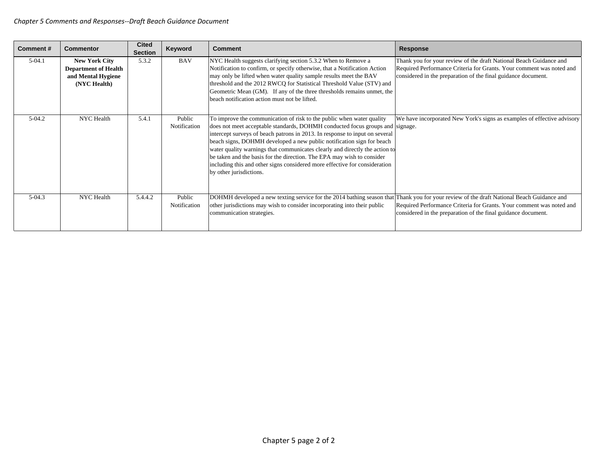| <b>Comment#</b> | <b>Commentor</b>                                                                          | <b>Cited</b><br><b>Section</b> | Keyword                | <b>Comment</b>                                                                                                                                                                                                                                                                                                                                                                                                                                                                                                                                                                   | <b>Response</b>                                                                                                                                                                                             |
|-----------------|-------------------------------------------------------------------------------------------|--------------------------------|------------------------|----------------------------------------------------------------------------------------------------------------------------------------------------------------------------------------------------------------------------------------------------------------------------------------------------------------------------------------------------------------------------------------------------------------------------------------------------------------------------------------------------------------------------------------------------------------------------------|-------------------------------------------------------------------------------------------------------------------------------------------------------------------------------------------------------------|
| $5-04.1$        | <b>New York City</b><br><b>Department of Health</b><br>and Mental Hygiene<br>(NYC Health) | 5.3.2                          | <b>BAV</b>             | NYC Health suggests clarifying section 5.3.2 When to Remove a<br>Notification to confirm, or specify otherwise, that a Notification Action<br>may only be lifted when water quality sample results meet the BAV<br>threshold and the 2012 RWCQ for Statistical Threshold Value (STV) and<br>Geometric Mean (GM). If any of the three thresholds remains unmet, the<br>beach notification action must not be lifted.                                                                                                                                                              | Thank you for your review of the draft National Beach Guidance and<br>Required Performance Criteria for Grants. Your comment was noted and<br>considered in the preparation of the final guidance document. |
| $5-04.2$        | NYC Health                                                                                | 5.4.1                          | Public<br>Notification | To improve the communication of risk to the public when water quality<br>does not meet acceptable standards, DOHMH conducted focus groups and signage.<br>intercept surveys of beach patrons in 2013. In response to input on several<br>beach signs, DOHMH developed a new public notification sign for beach<br>water quality warnings that communicates clearly and directly the action to<br>be taken and the basis for the direction. The EPA may wish to consider<br>including this and other signs considered more effective for consideration<br>by other jurisdictions. | We have incorporated New York's signs as examples of effective advisory                                                                                                                                     |
| $5-04.3$        | NYC Health                                                                                | 5.4.4.2                        | Public<br>Notification | DOHMH developed a new texting service for the 2014 bathing season that<br>other jurisdictions may wish to consider incorporating into their public<br>communication strategies.                                                                                                                                                                                                                                                                                                                                                                                                  | Thank you for your review of the draft National Beach Guidance and<br>Required Performance Criteria for Grants. Your comment was noted and<br>considered in the preparation of the final guidance document. |